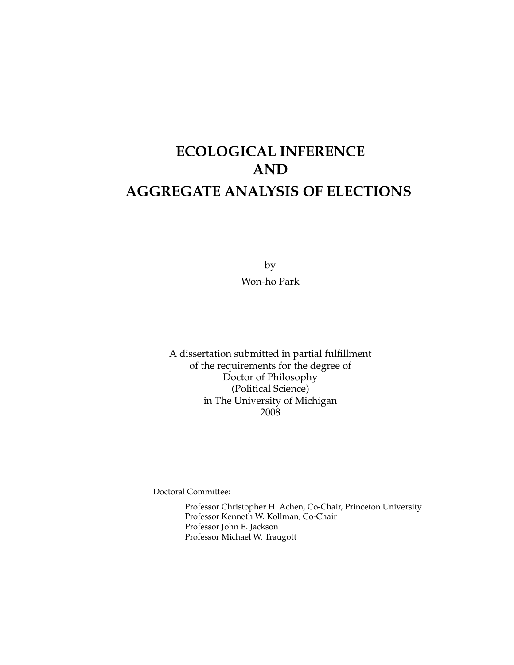# **ECOLOGICAL INFERENCE AND AGGREGATE ANALYSIS OF ELECTIONS**

by Won-ho Park

A dissertation submitted in partial fulfillment of the requirements for the degree of Doctor of Philosophy (Political Science) in The University of Michigan 2008

Doctoral Committee:

Professor Christopher H. Achen, Co-Chair, Princeton University Professor Kenneth W. Kollman, Co-Chair Professor John E. Jackson Professor Michael W. Traugott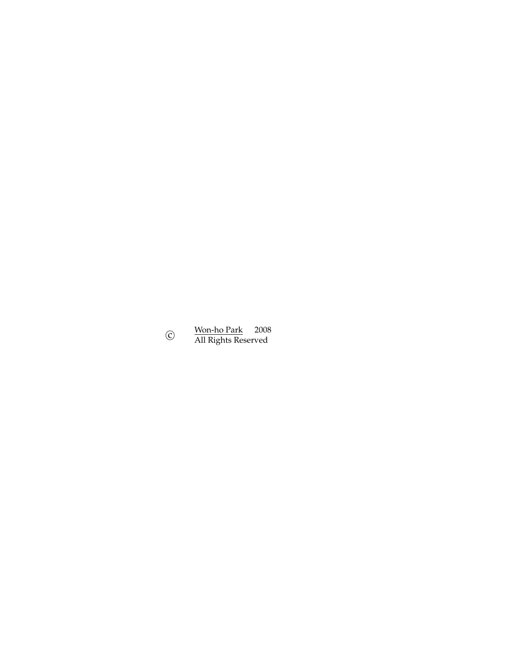$^\copyright$ Won-ho Park 2008 All Rights Reserved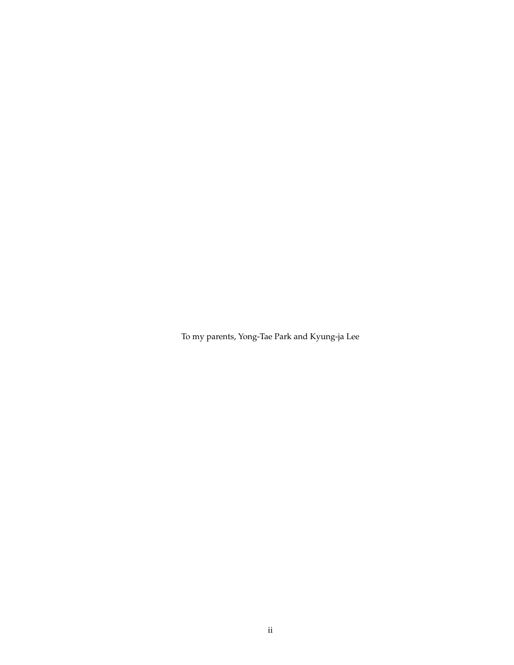To my parents, Yong-Tae Park and Kyung-ja Lee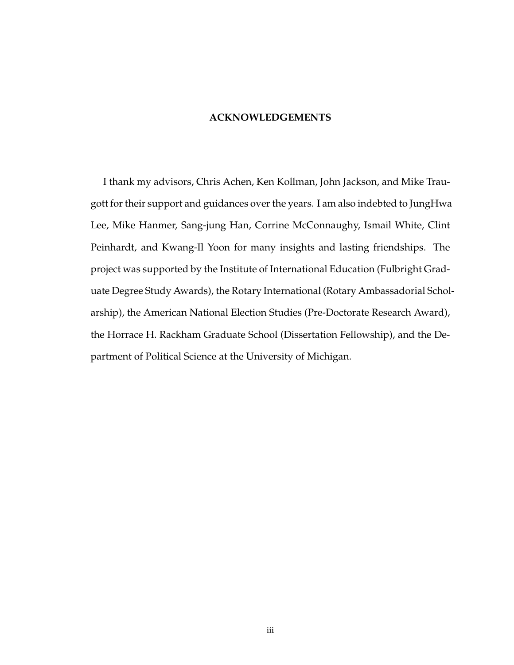### **ACKNOWLEDGEMENTS**

I thank my advisors, Chris Achen, Ken Kollman, John Jackson, and Mike Traugott for their support and guidances over the years. I am also indebted to JungHwa Lee, Mike Hanmer, Sang-jung Han, Corrine McConnaughy, Ismail White, Clint Peinhardt, and Kwang-Il Yoon for many insights and lasting friendships. The project was supported by the Institute of International Education (Fulbright Graduate Degree Study Awards), the Rotary International (Rotary Ambassadorial Scholarship), the American National Election Studies (Pre-Doctorate Research Award), the Horrace H. Rackham Graduate School (Dissertation Fellowship), and the Department of Political Science at the University of Michigan.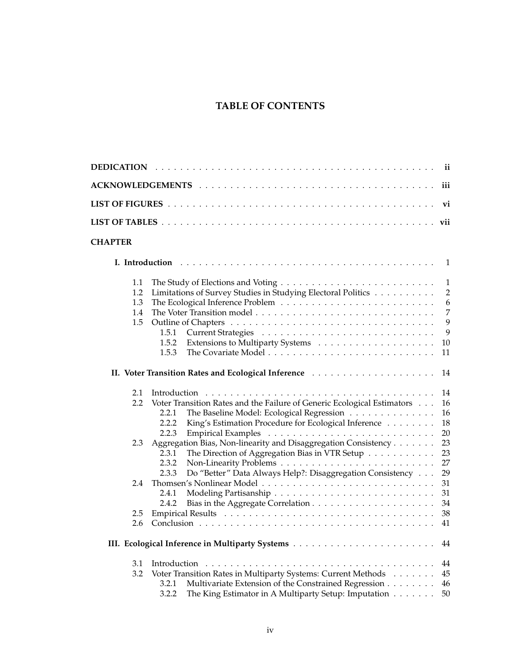# **TABLE OF CONTENTS**

|                                 |                                                                                                                                                                                                         | ii                                                                          |
|---------------------------------|---------------------------------------------------------------------------------------------------------------------------------------------------------------------------------------------------------|-----------------------------------------------------------------------------|
|                                 |                                                                                                                                                                                                         | iii                                                                         |
|                                 |                                                                                                                                                                                                         | vi                                                                          |
|                                 |                                                                                                                                                                                                         |                                                                             |
| <b>CHAPTER</b>                  |                                                                                                                                                                                                         |                                                                             |
|                                 |                                                                                                                                                                                                         | $\mathbf{1}$                                                                |
| 1.1<br>1.2<br>1.3<br>1.4<br>1.5 | Limitations of Survey Studies in Studying Electoral Politics<br>1.5.1<br>1.5.2<br>1.5.3                                                                                                                 | $\mathbf{1}$<br>$\overline{2}$<br>6<br>$\overline{7}$<br>9<br>9<br>10<br>11 |
|                                 |                                                                                                                                                                                                         | 14                                                                          |
| 2.1<br>$2.2\phantom{0}$         | Voter Transition Rates and the Failure of Generic Ecological Estimators<br>2.2.1<br>The Baseline Model: Ecological Regression<br>King's Estimation Procedure for Ecological Inference<br>2.2.2<br>2.2.3 | 14<br>16<br>16<br>18<br>20                                                  |
| 2.3                             | Aggregation Bias, Non-linearity and Disaggregation Consistency<br>2.3.1<br>The Direction of Aggregation Bias in VTR Setup<br>2.3.2                                                                      | 23<br>23<br>27                                                              |
| 2.4                             | 2.3.3<br>Do "Better" Data Always Help?: Disaggregation Consistency<br>2.4.1<br>2.4.2                                                                                                                    | 29<br>31<br>31<br>34                                                        |
| 2.5<br>2.6                      |                                                                                                                                                                                                         | 38<br>41                                                                    |
|                                 |                                                                                                                                                                                                         | 44                                                                          |
| 3.1<br>3.2                      | Voter Transition Rates in Multiparty Systems: Current Methods<br>Multivariate Extension of the Constrained Regression<br>3.2.1                                                                          | 44<br>45<br>46                                                              |

3.2.2 The King Estimator in A Multiparty Setup: Imputation . . . . . . . 50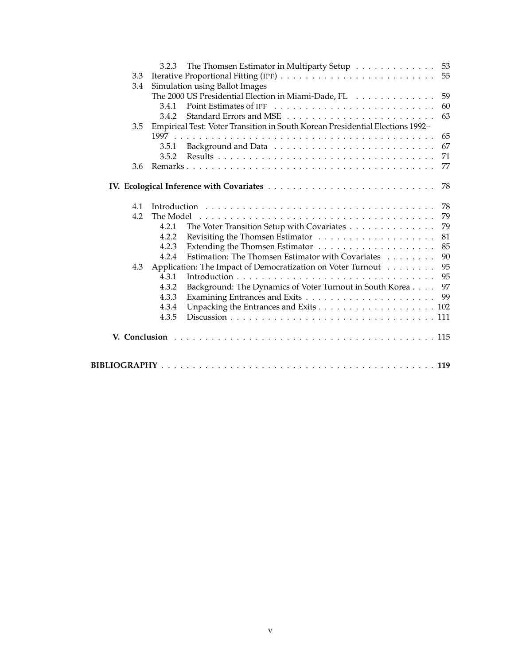|     | The Thomsen Estimator in Multiparty Setup 53<br>3.2.3                         |    |
|-----|-------------------------------------------------------------------------------|----|
| 3.3 |                                                                               |    |
| 3.4 | Simulation using Ballot Images                                                |    |
|     | The 2000 US Presidential Election in Miami-Dade, FL                           | 59 |
|     | 3.4.1                                                                         | 60 |
|     | 3.4.2                                                                         | 63 |
| 3.5 | Empirical Test: Voter Transition in South Korean Presidential Elections 1992- |    |
|     |                                                                               | 65 |
|     | 3.5.1                                                                         | 67 |
|     | 3.5.2                                                                         | 71 |
| 3.6 |                                                                               | 77 |
|     |                                                                               |    |
| 4.1 |                                                                               | 78 |
| 4.2 | The Model                                                                     | 79 |
|     | The Voter Transition Setup with Covariates<br>4.2.1                           | 79 |
|     | 4.2.2                                                                         | 81 |
|     | 4.2.3                                                                         | 85 |
|     | Estimation: The Thomsen Estimator with Covariates<br>4.2.4                    | 90 |
| 4.3 | Application: The Impact of Democratization on Voter Turnout                   | 95 |
|     | 4.3.1                                                                         | 95 |
|     | 4.3.2<br>Background: The Dynamics of Voter Turnout in South Korea             | 97 |
|     | 4.3.3                                                                         | 99 |
|     | 4.3.4                                                                         |    |
|     | 4.3.5                                                                         |    |
|     |                                                                               |    |
|     |                                                                               |    |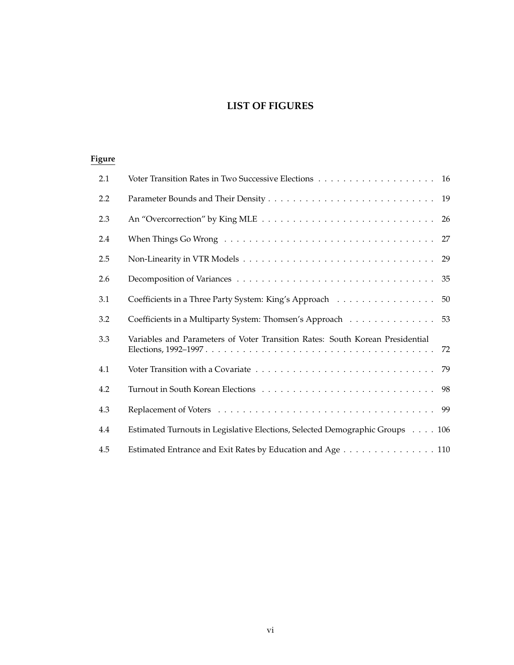# **LIST OF FIGURES**

# **Figure**

| 2.1 |                                                                                     |
|-----|-------------------------------------------------------------------------------------|
| 2.2 |                                                                                     |
| 2.3 | 26                                                                                  |
| 2.4 |                                                                                     |
| 2.5 |                                                                                     |
| 2.6 |                                                                                     |
| 3.1 | Coefficients in a Three Party System: King's Approach<br>50                         |
| 3.2 | Coefficients in a Multiparty System: Thomsen's Approach 53                          |
| 3.3 | Variables and Parameters of Voter Transition Rates: South Korean Presidential<br>72 |
| 4.1 |                                                                                     |
| 4.2 |                                                                                     |
| 4.3 |                                                                                     |
| 4.4 | Estimated Turnouts in Legislative Elections, Selected Demographic Groups 106        |
| 4.5 | Estimated Entrance and Exit Rates by Education and Age 110                          |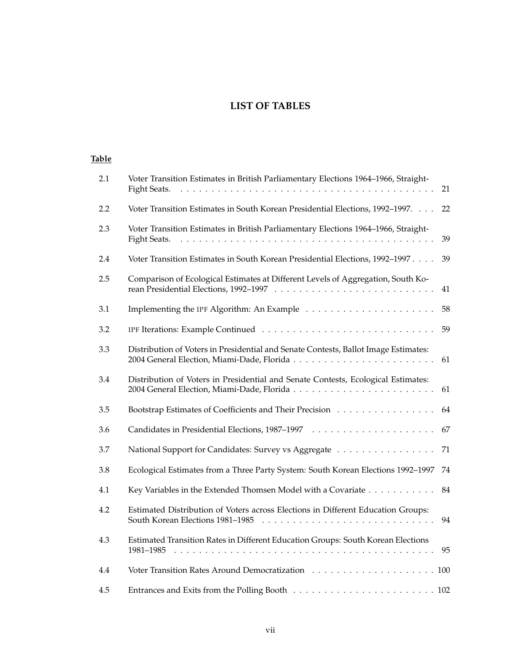# **LIST OF TABLES**

### **Table**

| 2.1 | Voter Transition Estimates in British Parliamentary Elections 1964–1966, Straight-<br>Fight Seats.                                | 21 |
|-----|-----------------------------------------------------------------------------------------------------------------------------------|----|
| 2.2 | Voter Transition Estimates in South Korean Presidential Elections, 1992-1997.                                                     | 22 |
| 2.3 | Voter Transition Estimates in British Parliamentary Elections 1964-1966, Straight-<br>Fight Seats.<br>$\mathbf{L}$ . $\mathbf{L}$ | 39 |
| 2.4 | Voter Transition Estimates in South Korean Presidential Elections, 1992-1997                                                      | 39 |
| 2.5 | Comparison of Ecological Estimates at Different Levels of Aggregation, South Ko-                                                  | 41 |
| 3.1 |                                                                                                                                   | 58 |
| 3.2 |                                                                                                                                   | 59 |
| 3.3 | Distribution of Voters in Presidential and Senate Contests, Ballot Image Estimates:<br>2004 General Election, Miami-Dade, Florida | 61 |
| 3.4 | Distribution of Voters in Presidential and Senate Contests, Ecological Estimates:<br>2004 General Election, Miami-Dade, Florida   | 61 |
| 3.5 | Bootstrap Estimates of Coefficients and Their Precision                                                                           | 64 |
| 3.6 |                                                                                                                                   | 67 |
| 3.7 | National Support for Candidates: Survey vs Aggregate                                                                              | 71 |
| 3.8 | Ecological Estimates from a Three Party System: South Korean Elections 1992-1997                                                  | 74 |
| 4.1 | Key Variables in the Extended Thomsen Model with a Covariate                                                                      | 84 |
| 4.2 | Estimated Distribution of Voters across Elections in Different Education Groups:<br>South Korean Elections 1981-1985              | 94 |
| 4.3 | Estimated Transition Rates in Different Education Groups: South Korean Elections<br>1981-1985                                     | 95 |
| 4.4 |                                                                                                                                   |    |
| 4.5 |                                                                                                                                   |    |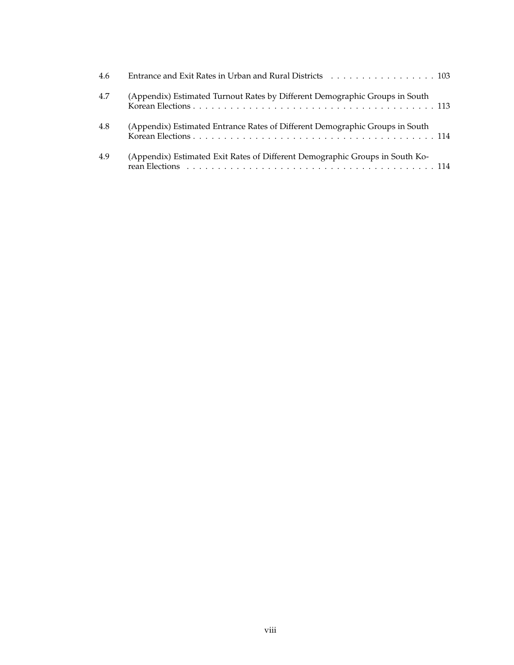| 4.6 | Entrance and Exit Rates in Urban and Rural Districts 103                     |
|-----|------------------------------------------------------------------------------|
| 4.7 | (Appendix) Estimated Turnout Rates by Different Demographic Groups in South  |
| 4.8 | (Appendix) Estimated Entrance Rates of Different Demographic Groups in South |
| 4.9 | (Appendix) Estimated Exit Rates of Different Demographic Groups in South Ko- |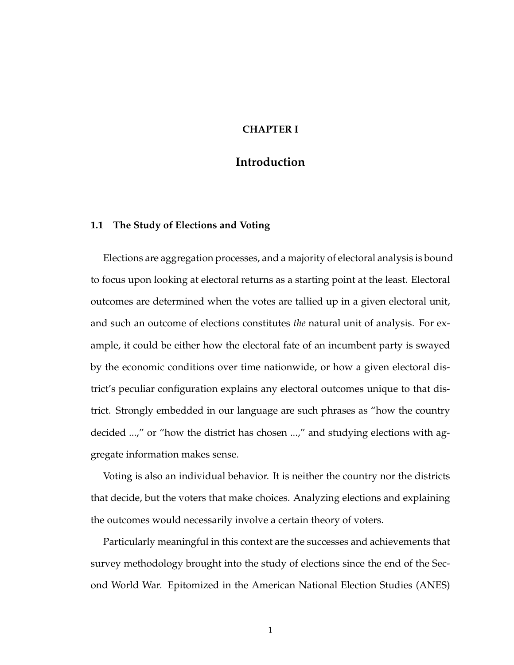## **CHAPTER I**

## **Introduction**

#### **1.1 The Study of Elections and Voting**

Elections are aggregation processes, and a majority of electoral analysis is bound to focus upon looking at electoral returns as a starting point at the least. Electoral outcomes are determined when the votes are tallied up in a given electoral unit, and such an outcome of elections constitutes *the* natural unit of analysis. For example, it could be either how the electoral fate of an incumbent party is swayed by the economic conditions over time nationwide, or how a given electoral district's peculiar configuration explains any electoral outcomes unique to that district. Strongly embedded in our language are such phrases as "how the country decided ...," or "how the district has chosen ...," and studying elections with aggregate information makes sense.

Voting is also an individual behavior. It is neither the country nor the districts that decide, but the voters that make choices. Analyzing elections and explaining the outcomes would necessarily involve a certain theory of voters.

Particularly meaningful in this context are the successes and achievements that survey methodology brought into the study of elections since the end of the Second World War. Epitomized in the American National Election Studies (ANES)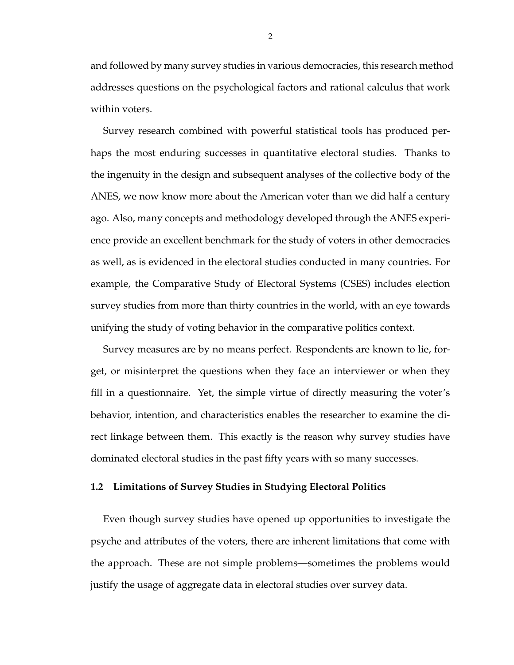and followed by many survey studies in various democracies, this research method addresses questions on the psychological factors and rational calculus that work within voters.

Survey research combined with powerful statistical tools has produced perhaps the most enduring successes in quantitative electoral studies. Thanks to the ingenuity in the design and subsequent analyses of the collective body of the ANES, we now know more about the American voter than we did half a century ago. Also, many concepts and methodology developed through the ANES experience provide an excellent benchmark for the study of voters in other democracies as well, as is evidenced in the electoral studies conducted in many countries. For example, the Comparative Study of Electoral Systems (CSES) includes election survey studies from more than thirty countries in the world, with an eye towards unifying the study of voting behavior in the comparative politics context.

Survey measures are by no means perfect. Respondents are known to lie, forget, or misinterpret the questions when they face an interviewer or when they fill in a questionnaire. Yet, the simple virtue of directly measuring the voter's behavior, intention, and characteristics enables the researcher to examine the direct linkage between them. This exactly is the reason why survey studies have dominated electoral studies in the past fifty years with so many successes.

#### **1.2 Limitations of Survey Studies in Studying Electoral Politics**

Even though survey studies have opened up opportunities to investigate the psyche and attributes of the voters, there are inherent limitations that come with the approach. These are not simple problems—sometimes the problems would justify the usage of aggregate data in electoral studies over survey data.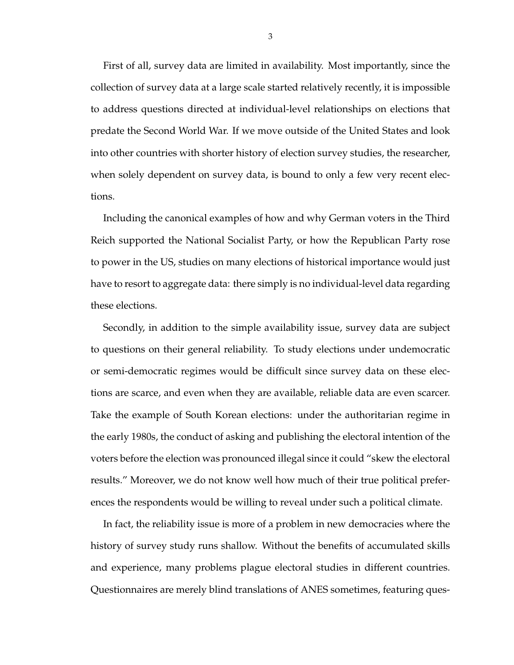First of all, survey data are limited in availability. Most importantly, since the collection of survey data at a large scale started relatively recently, it is impossible to address questions directed at individual-level relationships on elections that predate the Second World War. If we move outside of the United States and look into other countries with shorter history of election survey studies, the researcher, when solely dependent on survey data, is bound to only a few very recent elections.

Including the canonical examples of how and why German voters in the Third Reich supported the National Socialist Party, or how the Republican Party rose to power in the US, studies on many elections of historical importance would just have to resort to aggregate data: there simply is no individual-level data regarding these elections.

Secondly, in addition to the simple availability issue, survey data are subject to questions on their general reliability. To study elections under undemocratic or semi-democratic regimes would be difficult since survey data on these elections are scarce, and even when they are available, reliable data are even scarcer. Take the example of South Korean elections: under the authoritarian regime in the early 1980s, the conduct of asking and publishing the electoral intention of the voters before the election was pronounced illegal since it could "skew the electoral results." Moreover, we do not know well how much of their true political preferences the respondents would be willing to reveal under such a political climate.

In fact, the reliability issue is more of a problem in new democracies where the history of survey study runs shallow. Without the benefits of accumulated skills and experience, many problems plague electoral studies in different countries. Questionnaires are merely blind translations of ANES sometimes, featuring ques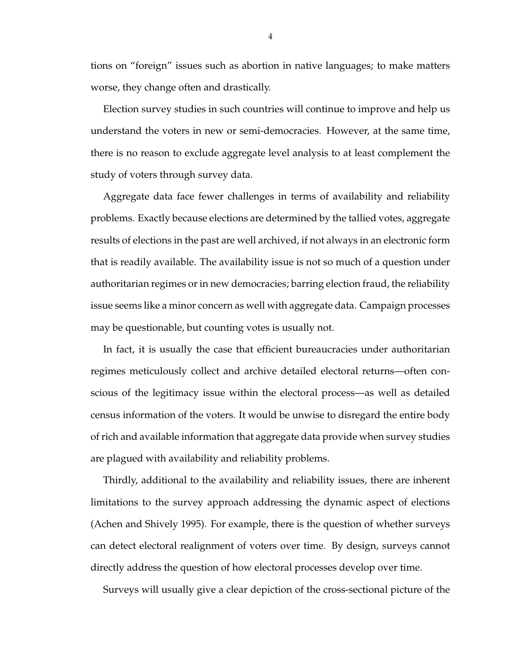tions on "foreign" issues such as abortion in native languages; to make matters worse, they change often and drastically.

Election survey studies in such countries will continue to improve and help us understand the voters in new or semi-democracies. However, at the same time, there is no reason to exclude aggregate level analysis to at least complement the study of voters through survey data.

Aggregate data face fewer challenges in terms of availability and reliability problems. Exactly because elections are determined by the tallied votes, aggregate results of elections in the past are well archived, if not always in an electronic form that is readily available. The availability issue is not so much of a question under authoritarian regimes or in new democracies; barring election fraud, the reliability issue seems like a minor concern as well with aggregate data. Campaign processes may be questionable, but counting votes is usually not.

In fact, it is usually the case that efficient bureaucracies under authoritarian regimes meticulously collect and archive detailed electoral returns—often conscious of the legitimacy issue within the electoral process—as well as detailed census information of the voters. It would be unwise to disregard the entire body of rich and available information that aggregate data provide when survey studies are plagued with availability and reliability problems.

Thirdly, additional to the availability and reliability issues, there are inherent limitations to the survey approach addressing the dynamic aspect of elections (Achen and Shively 1995). For example, there is the question of whether surveys can detect electoral realignment of voters over time. By design, surveys cannot directly address the question of how electoral processes develop over time.

Surveys will usually give a clear depiction of the cross-sectional picture of the

4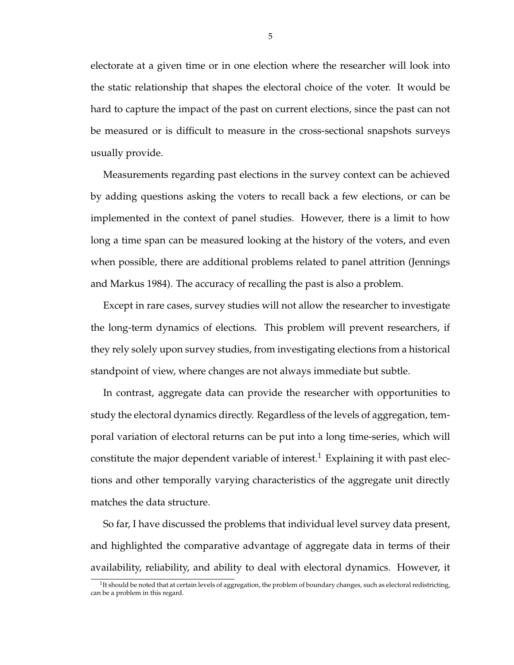electorate at a given time or in one election where the researcher will look into the static relationship that shapes the electoral choice of the voter. It would be hard to capture the impact of the past on current elections, since the past can not be measured or is difficult to measure in the cross-sectional snapshots surveys usually provide.

Measurements regarding past elections in the survey context can be achieved by adding questions asking the voters to recall back a few elections, or can be implemented in the context of panel studies. However, there is a limit to how long a time span can be measured looking at the history of the voters, and even when possible, there are additional problems related to panel attrition (Jennings and Markus 1984). The accuracy of recalling the past is also a problem.

Except in rare cases, survey studies will not allow the researcher to investigate the long-term dynamics of elections. This problem will prevent researchers, if they rely solely upon survey studies, from investigating elections from a historical standpoint of view, where changes are not always immediate but subtle.

In contrast, aggregate data can provide the researcher with opportunities to study the electoral dynamics directly. Regardless of the levels of aggregation, temporal variation of electoral returns can be put into a long time-series, which will constitute the major dependent variable of interest.<sup>1</sup> Explaining it with past elections and other temporally varying characteristics of the aggregate unit directly matches the data structure.

So far, I have discussed the problems that individual level survey data present, and highlighted the comparative advantage of aggregate data in terms of their availability, reliability, and ability to deal with electoral dynamics. However, it

 $1$ <sup>It</sup> should be noted that at certain levels of aggregation, the problem of boundary changes, such as electoral redistricting, can be a problem in this regard.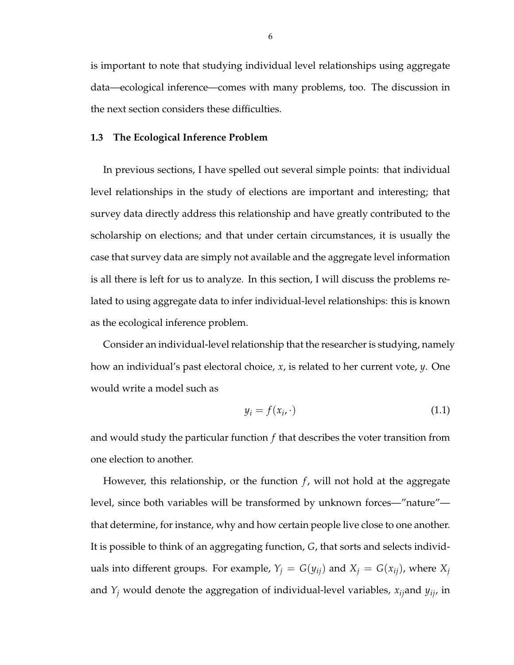is important to note that studying individual level relationships using aggregate data—ecological inference—comes with many problems, too. The discussion in the next section considers these difficulties.

#### **1.3 The Ecological Inference Problem**

In previous sections, I have spelled out several simple points: that individual level relationships in the study of elections are important and interesting; that survey data directly address this relationship and have greatly contributed to the scholarship on elections; and that under certain circumstances, it is usually the case that survey data are simply not available and the aggregate level information is all there is left for us to analyze. In this section, I will discuss the problems related to using aggregate data to infer individual-level relationships: this is known as the ecological inference problem.

Consider an individual-level relationship that the researcher is studying, namely how an individual's past electoral choice, *x*, is related to her current vote, *y*. One would write a model such as

$$
y_i = f(x_i, \cdot) \tag{1.1}
$$

and would study the particular function *f* that describes the voter transition from one election to another.

However, this relationship, or the function  $f$ , will not hold at the aggregate level, since both variables will be transformed by unknown forces—"nature" that determine, for instance, why and how certain people live close to one another. It is possible to think of an aggregating function, *G*, that sorts and selects individuals into different groups. For example,  $Y_j = G(y_{ij})$  and  $X_j = G(x_{ij})$ , where  $X_j$ and *Y<sup>j</sup>* would denote the aggregation of individual-level variables, *xij*and *yij*, in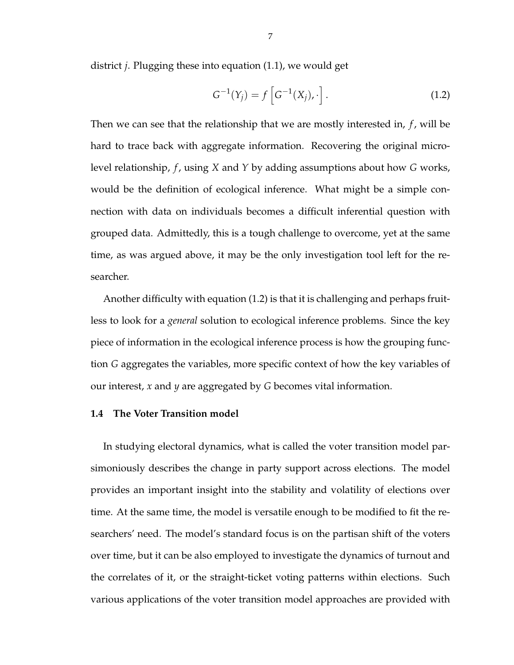district *j*. Plugging these into equation (1.1), we would get

$$
G^{-1}(Y_j) = f\left[G^{-1}(X_j), \cdot\right].
$$
 (1.2)

Then we can see that the relationship that we are mostly interested in, *f* , will be hard to trace back with aggregate information. Recovering the original microlevel relationship, *f* , using *X* and *Y* by adding assumptions about how *G* works, would be the definition of ecological inference. What might be a simple connection with data on individuals becomes a difficult inferential question with grouped data. Admittedly, this is a tough challenge to overcome, yet at the same time, as was argued above, it may be the only investigation tool left for the researcher.

Another difficulty with equation (1.2) is that it is challenging and perhaps fruitless to look for a *general* solution to ecological inference problems. Since the key piece of information in the ecological inference process is how the grouping function *G* aggregates the variables, more specific context of how the key variables of our interest, *x* and *y* are aggregated by *G* becomes vital information.

### **1.4 The Voter Transition model**

In studying electoral dynamics, what is called the voter transition model parsimoniously describes the change in party support across elections. The model provides an important insight into the stability and volatility of elections over time. At the same time, the model is versatile enough to be modified to fit the researchers' need. The model's standard focus is on the partisan shift of the voters over time, but it can be also employed to investigate the dynamics of turnout and the correlates of it, or the straight-ticket voting patterns within elections. Such various applications of the voter transition model approaches are provided with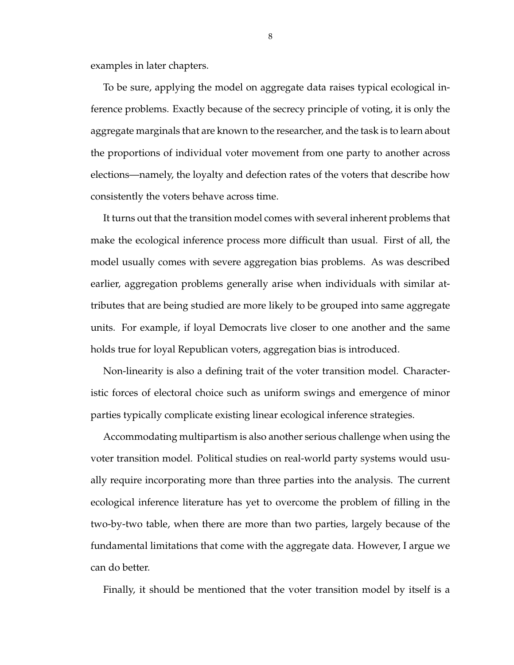examples in later chapters.

To be sure, applying the model on aggregate data raises typical ecological inference problems. Exactly because of the secrecy principle of voting, it is only the aggregate marginals that are known to the researcher, and the task is to learn about the proportions of individual voter movement from one party to another across elections—namely, the loyalty and defection rates of the voters that describe how consistently the voters behave across time.

It turns out that the transition model comes with several inherent problems that make the ecological inference process more difficult than usual. First of all, the model usually comes with severe aggregation bias problems. As was described earlier, aggregation problems generally arise when individuals with similar attributes that are being studied are more likely to be grouped into same aggregate units. For example, if loyal Democrats live closer to one another and the same holds true for loyal Republican voters, aggregation bias is introduced.

Non-linearity is also a defining trait of the voter transition model. Characteristic forces of electoral choice such as uniform swings and emergence of minor parties typically complicate existing linear ecological inference strategies.

Accommodating multipartism is also another serious challenge when using the voter transition model. Political studies on real-world party systems would usually require incorporating more than three parties into the analysis. The current ecological inference literature has yet to overcome the problem of filling in the two-by-two table, when there are more than two parties, largely because of the fundamental limitations that come with the aggregate data. However, I argue we can do better.

Finally, it should be mentioned that the voter transition model by itself is a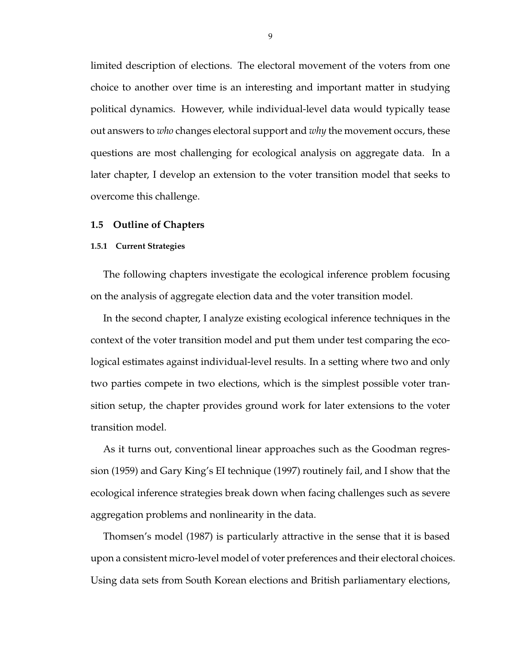limited description of elections. The electoral movement of the voters from one choice to another over time is an interesting and important matter in studying political dynamics. However, while individual-level data would typically tease out answers to *who* changes electoral support and *why* the movement occurs, these questions are most challenging for ecological analysis on aggregate data. In a later chapter, I develop an extension to the voter transition model that seeks to overcome this challenge.

#### **1.5 Outline of Chapters**

#### **1.5.1 Current Strategies**

The following chapters investigate the ecological inference problem focusing on the analysis of aggregate election data and the voter transition model.

In the second chapter, I analyze existing ecological inference techniques in the context of the voter transition model and put them under test comparing the ecological estimates against individual-level results. In a setting where two and only two parties compete in two elections, which is the simplest possible voter transition setup, the chapter provides ground work for later extensions to the voter transition model.

As it turns out, conventional linear approaches such as the Goodman regression (1959) and Gary King's EI technique (1997) routinely fail, and I show that the ecological inference strategies break down when facing challenges such as severe aggregation problems and nonlinearity in the data.

Thomsen's model (1987) is particularly attractive in the sense that it is based upon a consistent micro-level model of voter preferences and their electoral choices. Using data sets from South Korean elections and British parliamentary elections,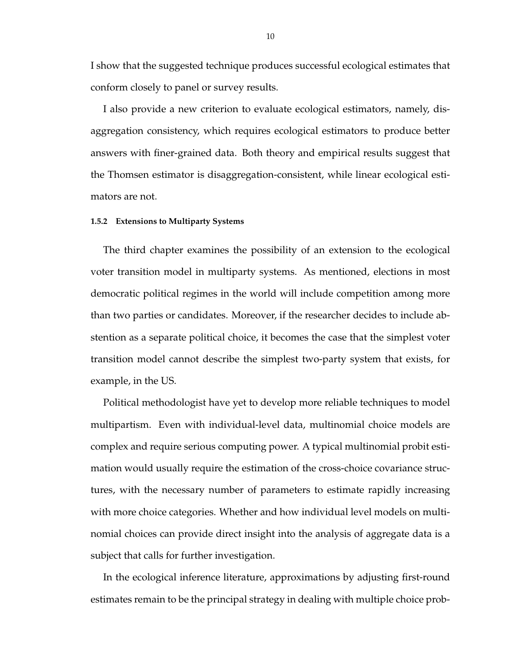I show that the suggested technique produces successful ecological estimates that conform closely to panel or survey results.

I also provide a new criterion to evaluate ecological estimators, namely, disaggregation consistency, which requires ecological estimators to produce better answers with finer-grained data. Both theory and empirical results suggest that the Thomsen estimator is disaggregation-consistent, while linear ecological estimators are not.

#### **1.5.2 Extensions to Multiparty Systems**

The third chapter examines the possibility of an extension to the ecological voter transition model in multiparty systems. As mentioned, elections in most democratic political regimes in the world will include competition among more than two parties or candidates. Moreover, if the researcher decides to include abstention as a separate political choice, it becomes the case that the simplest voter transition model cannot describe the simplest two-party system that exists, for example, in the US.

Political methodologist have yet to develop more reliable techniques to model multipartism. Even with individual-level data, multinomial choice models are complex and require serious computing power. A typical multinomial probit estimation would usually require the estimation of the cross-choice covariance structures, with the necessary number of parameters to estimate rapidly increasing with more choice categories. Whether and how individual level models on multinomial choices can provide direct insight into the analysis of aggregate data is a subject that calls for further investigation.

In the ecological inference literature, approximations by adjusting first-round estimates remain to be the principal strategy in dealing with multiple choice prob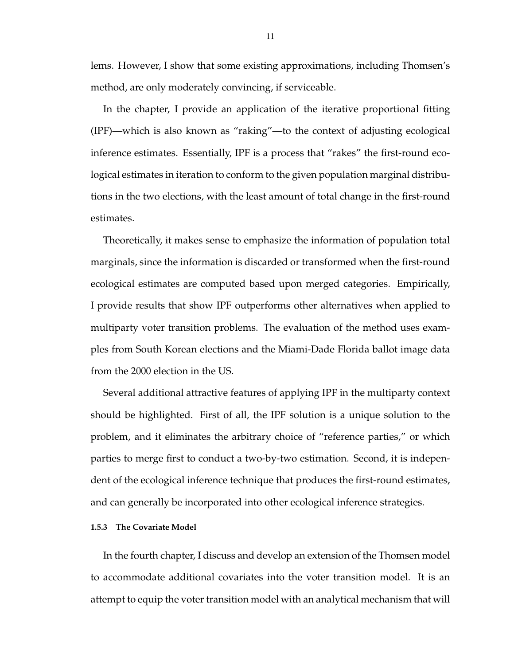lems. However, I show that some existing approximations, including Thomsen's method, are only moderately convincing, if serviceable.

In the chapter, I provide an application of the iterative proportional fitting (IPF)—which is also known as "raking"—to the context of adjusting ecological inference estimates. Essentially, IPF is a process that "rakes" the first-round ecological estimates in iteration to conform to the given population marginal distributions in the two elections, with the least amount of total change in the first-round estimates.

Theoretically, it makes sense to emphasize the information of population total marginals, since the information is discarded or transformed when the first-round ecological estimates are computed based upon merged categories. Empirically, I provide results that show IPF outperforms other alternatives when applied to multiparty voter transition problems. The evaluation of the method uses examples from South Korean elections and the Miami-Dade Florida ballot image data from the 2000 election in the US.

Several additional attractive features of applying IPF in the multiparty context should be highlighted. First of all, the IPF solution is a unique solution to the problem, and it eliminates the arbitrary choice of "reference parties," or which parties to merge first to conduct a two-by-two estimation. Second, it is independent of the ecological inference technique that produces the first-round estimates, and can generally be incorporated into other ecological inference strategies.

#### **1.5.3 The Covariate Model**

In the fourth chapter, I discuss and develop an extension of the Thomsen model to accommodate additional covariates into the voter transition model. It is an attempt to equip the voter transition model with an analytical mechanism that will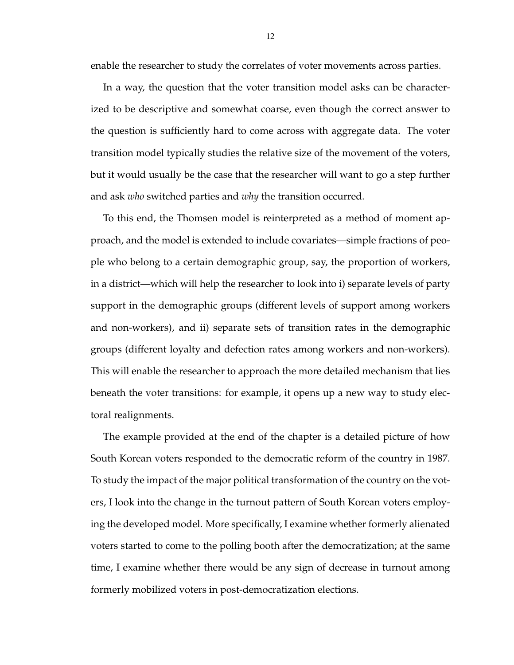enable the researcher to study the correlates of voter movements across parties.

In a way, the question that the voter transition model asks can be characterized to be descriptive and somewhat coarse, even though the correct answer to the question is sufficiently hard to come across with aggregate data. The voter transition model typically studies the relative size of the movement of the voters, but it would usually be the case that the researcher will want to go a step further and ask *who* switched parties and *why* the transition occurred.

To this end, the Thomsen model is reinterpreted as a method of moment approach, and the model is extended to include covariates—simple fractions of people who belong to a certain demographic group, say, the proportion of workers, in a district—which will help the researcher to look into i) separate levels of party support in the demographic groups (different levels of support among workers and non-workers), and ii) separate sets of transition rates in the demographic groups (different loyalty and defection rates among workers and non-workers). This will enable the researcher to approach the more detailed mechanism that lies beneath the voter transitions: for example, it opens up a new way to study electoral realignments.

The example provided at the end of the chapter is a detailed picture of how South Korean voters responded to the democratic reform of the country in 1987. To study the impact of the major political transformation of the country on the voters, I look into the change in the turnout pattern of South Korean voters employing the developed model. More specifically, I examine whether formerly alienated voters started to come to the polling booth after the democratization; at the same time, I examine whether there would be any sign of decrease in turnout among formerly mobilized voters in post-democratization elections.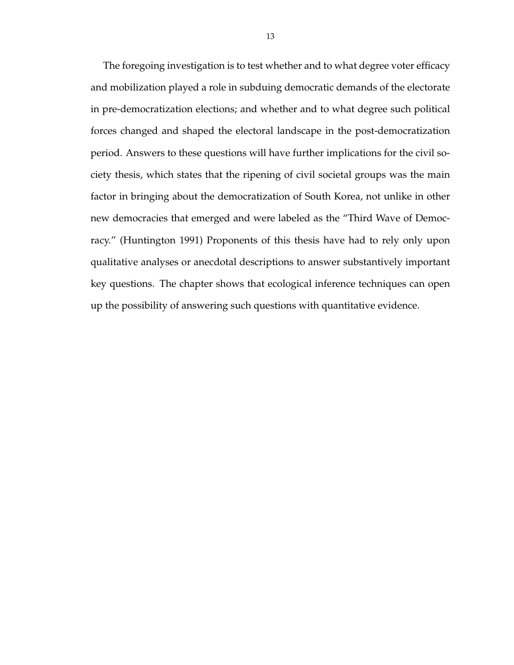The foregoing investigation is to test whether and to what degree voter efficacy and mobilization played a role in subduing democratic demands of the electorate in pre-democratization elections; and whether and to what degree such political forces changed and shaped the electoral landscape in the post-democratization period. Answers to these questions will have further implications for the civil society thesis, which states that the ripening of civil societal groups was the main factor in bringing about the democratization of South Korea, not unlike in other new democracies that emerged and were labeled as the "Third Wave of Democracy." (Huntington 1991) Proponents of this thesis have had to rely only upon qualitative analyses or anecdotal descriptions to answer substantively important key questions. The chapter shows that ecological inference techniques can open up the possibility of answering such questions with quantitative evidence.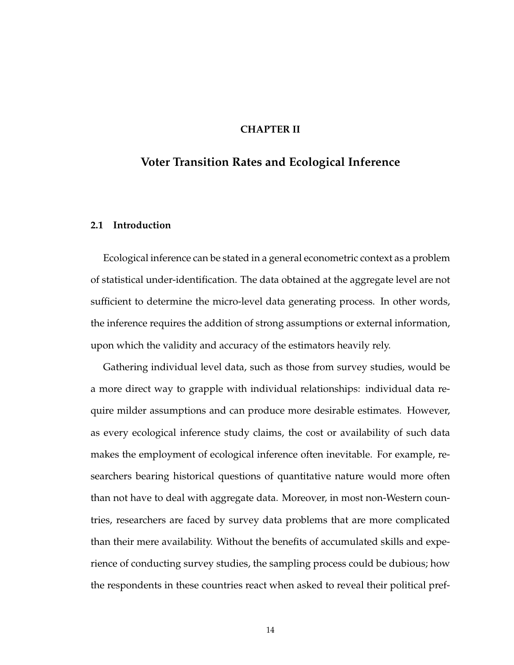### **CHAPTER II**

### **Voter Transition Rates and Ecological Inference**

### **2.1 Introduction**

Ecological inference can be stated in a general econometric context as a problem of statistical under-identification. The data obtained at the aggregate level are not sufficient to determine the micro-level data generating process. In other words, the inference requires the addition of strong assumptions or external information, upon which the validity and accuracy of the estimators heavily rely.

Gathering individual level data, such as those from survey studies, would be a more direct way to grapple with individual relationships: individual data require milder assumptions and can produce more desirable estimates. However, as every ecological inference study claims, the cost or availability of such data makes the employment of ecological inference often inevitable. For example, researchers bearing historical questions of quantitative nature would more often than not have to deal with aggregate data. Moreover, in most non-Western countries, researchers are faced by survey data problems that are more complicated than their mere availability. Without the benefits of accumulated skills and experience of conducting survey studies, the sampling process could be dubious; how the respondents in these countries react when asked to reveal their political pref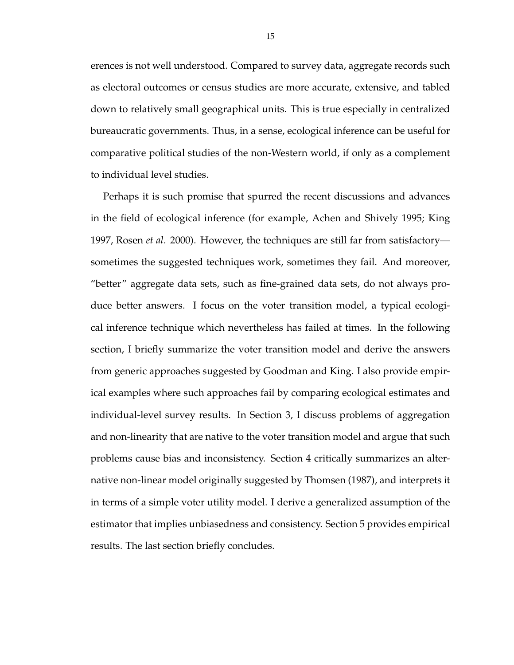erences is not well understood. Compared to survey data, aggregate records such as electoral outcomes or census studies are more accurate, extensive, and tabled down to relatively small geographical units. This is true especially in centralized bureaucratic governments. Thus, in a sense, ecological inference can be useful for comparative political studies of the non-Western world, if only as a complement to individual level studies.

Perhaps it is such promise that spurred the recent discussions and advances in the field of ecological inference (for example, Achen and Shively 1995; King 1997, Rosen *et al*. 2000). However, the techniques are still far from satisfactory sometimes the suggested techniques work, sometimes they fail. And moreover, "better" aggregate data sets, such as fine-grained data sets, do not always produce better answers. I focus on the voter transition model, a typical ecological inference technique which nevertheless has failed at times. In the following section, I briefly summarize the voter transition model and derive the answers from generic approaches suggested by Goodman and King. I also provide empirical examples where such approaches fail by comparing ecological estimates and individual-level survey results. In Section 3, I discuss problems of aggregation and non-linearity that are native to the voter transition model and argue that such problems cause bias and inconsistency. Section 4 critically summarizes an alternative non-linear model originally suggested by Thomsen (1987), and interprets it in terms of a simple voter utility model. I derive a generalized assumption of the estimator that implies unbiasedness and consistency. Section 5 provides empirical results. The last section briefly concludes.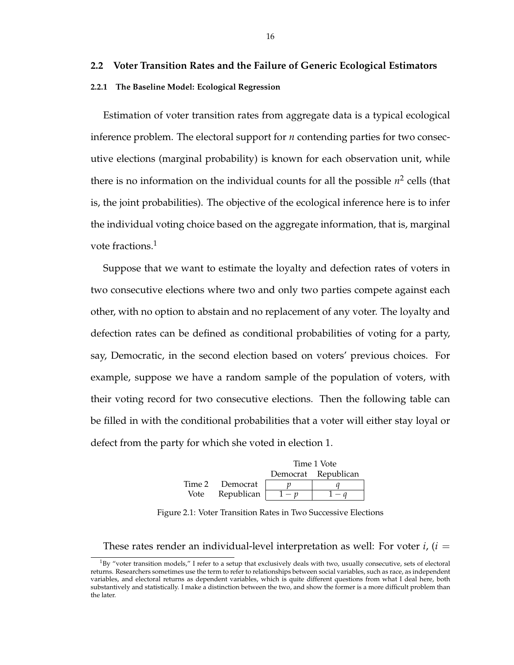### **2.2 Voter Transition Rates and the Failure of Generic Ecological Estimators**

#### **2.2.1 The Baseline Model: Ecological Regression**

Estimation of voter transition rates from aggregate data is a typical ecological inference problem. The electoral support for *n* contending parties for two consecutive elections (marginal probability) is known for each observation unit, while there is no information on the individual counts for all the possible  $n^2$  cells (that is, the joint probabilities). The objective of the ecological inference here is to infer the individual voting choice based on the aggregate information, that is, marginal vote fractions.<sup>1</sup>

Suppose that we want to estimate the loyalty and defection rates of voters in two consecutive elections where two and only two parties compete against each other, with no option to abstain and no replacement of any voter. The loyalty and defection rates can be defined as conditional probabilities of voting for a party, say, Democratic, in the second election based on voters' previous choices. For example, suppose we have a random sample of the population of voters, with their voting record for two consecutive elections. Then the following table can be filled in with the conditional probabilities that a voter will either stay loyal or defect from the party for which she voted in election 1.

|        |            | Time 1 Vote |                     |  |
|--------|------------|-------------|---------------------|--|
|        |            |             | Democrat Republican |  |
| Time 2 | Democrat   |             |                     |  |
| Vote   | Republican |             |                     |  |

Figure 2.1: Voter Transition Rates in Two Successive Elections

These rates render an individual-level interpretation as well: For voter *i*, (*i* =

 $1By$  "voter transition models," I refer to a setup that exclusively deals with two, usually consecutive, sets of electoral returns. Researchers sometimes use the term to refer to relationships between social variables, such as race, as independent variables, and electoral returns as dependent variables, which is quite different questions from what I deal here, both substantively and statistically. I make a distinction between the two, and show the former is a more difficult problem than the later.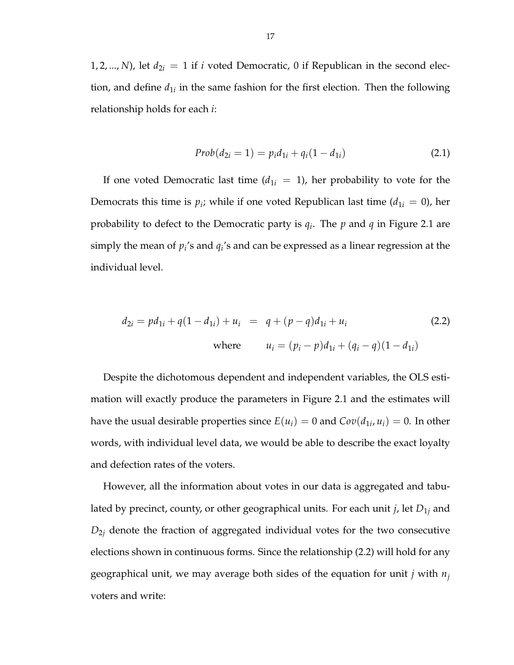1, 2, ..., *N*), let  $d_{2i} = 1$  if *i* voted Democratic, 0 if Republican in the second election, and define  $d_{1i}$  in the same fashion for the first election. Then the following relationship holds for each *i*:

$$
Prob(d_{2i} = 1) = p_i d_{1i} + q_i (1 - d_{1i})
$$
\n(2.1)

If one voted Democratic last time  $(d_{1i} = 1)$ , her probability to vote for the Democrats this time is  $p_i$ ; while if one voted Republican last time ( $d_{1i} = 0$ ), her probability to defect to the Democratic party is *q<sup>i</sup>* . The *p* and *q* in Figure 2.1 are simply the mean of  $p_i$ 's and  $q_i$ 's and can be expressed as a linear regression at the individual level.

$$
d_{2i} = pd_{1i} + q(1 - d_{1i}) + u_i = q + (p - q)d_{1i} + u_i
$$
\nwhere

\n
$$
u_i = (p_i - p)d_{1i} + (q_i - q)(1 - d_{1i})
$$
\n(2.2)

Despite the dichotomous dependent and independent variables, the OLS estimation will exactly produce the parameters in Figure 2.1 and the estimates will have the usual desirable properties since  $E(u_i) = 0$  and  $Cov(d_{1i}, u_i) = 0$ . In other words, with individual level data, we would be able to describe the exact loyalty and defection rates of the voters.

However, all the information about votes in our data is aggregated and tabulated by precinct, county, or other geographical units. For each unit *j*, let *D*1*<sup>j</sup>* and *D*2*<sup>j</sup>* denote the fraction of aggregated individual votes for the two consecutive elections shown in continuous forms. Since the relationship (2.2) will hold for any geographical unit, we may average both sides of the equation for unit *j* with *n<sup>j</sup>* voters and write: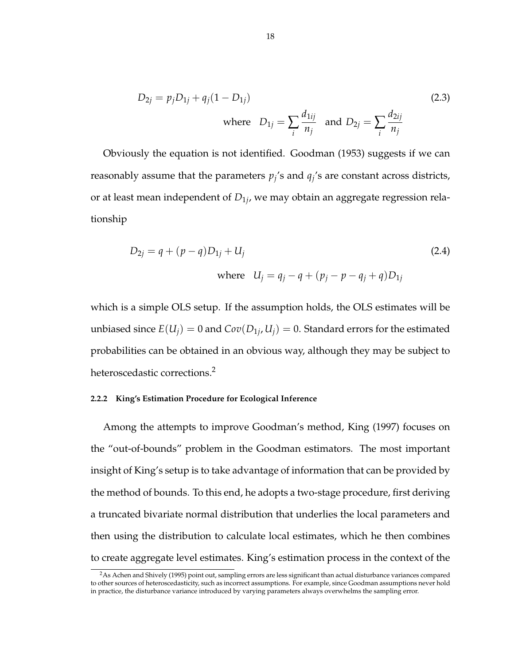$$
D_{2j} = p_j D_{1j} + q_j (1 - D_{1j})
$$
  
where  $D_{1j} = \sum_i \frac{d_{1ij}}{n_j}$  and  $D_{2j} = \sum_i \frac{d_{2ij}}{n_j}$  (2.3)

Obviously the equation is not identified. Goodman (1953) suggests if we can reasonably assume that the parameters  $p_j$ 's and  $q_j$ 's are constant across districts, or at least mean independent of *D*1*<sup>j</sup>* , we may obtain an aggregate regression relationship

$$
D_{2j} = q + (p - q)D_{1j} + U_j
$$
\nwhere

\n
$$
U_j = q_j - q + (p_j - p - q_j + q)D_{1j}
$$
\n(2.4)

which is a simple OLS setup. If the assumption holds, the OLS estimates will be unbiased since  $E(U_j) = 0$  and  $Cov(D_{1j}, U_j) = 0$ . Standard errors for the estimated probabilities can be obtained in an obvious way, although they may be subject to heteroscedastic corrections.<sup>2</sup>

#### **2.2.2 King's Estimation Procedure for Ecological Inference**

Among the attempts to improve Goodman's method, King (1997) focuses on the "out-of-bounds" problem in the Goodman estimators. The most important insight of King's setup is to take advantage of information that can be provided by the method of bounds. To this end, he adopts a two-stage procedure, first deriving a truncated bivariate normal distribution that underlies the local parameters and then using the distribution to calculate local estimates, which he then combines to create aggregate level estimates. King's estimation process in the context of the

<sup>&</sup>lt;sup>2</sup>As Achen and Shively (1995) point out, sampling errors are less significant than actual disturbance variances compared to other sources of heteroscedasticity, such as incorrect assumptions. For example, since Goodman assumptions never hold in practice, the disturbance variance introduced by varying parameters always overwhelms the sampling error.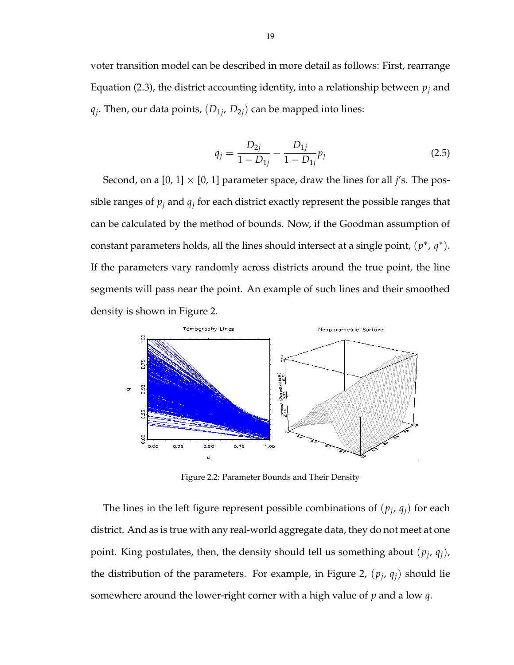voter transition model can be described in more detail as follows: First, rearrange Equation (2.3), the district accounting identity, into a relationship between *p<sup>j</sup>* and  $q_j$ . Then, our data points,  $(D_{1j}, D_{2j})$  can be mapped into lines:

$$
q_j = \frac{D_{2j}}{1 - D_{1j}} - \frac{D_{1j}}{1 - D_{1j}} p_j
$$
\n(2.5)

Second, on a  $[0, 1] \times [0, 1]$  parameter space, draw the lines for all *j*'s. The possible ranges of  $p_j$  and  $q_j$  for each district exactly represent the possible ranges that can be calculated by the method of bounds. Now, if the Goodman assumption of constant parameters holds, all the lines should intersect at a single point,  $(p^*, q^*)$ . If the parameters vary randomly across districts around the true point, the line segments will pass near the point. An example of such lines and their smoothed density is shown in Figure 2.



Figure 2.2: Parameter Bounds and Their Density

The lines in the left figure represent possible combinations of  $(p_j, q_j)$  for each district. And as is true with any real-world aggregate data, they do not meet at one point. King postulates, then, the density should tell us something about (*p<sup>j</sup>* , *qj*), the distribution of the parameters. For example, in Figure 2,  $(p_j, q_j)$  should lie somewhere around the lower-right corner with a high value of *p* and a low *q*.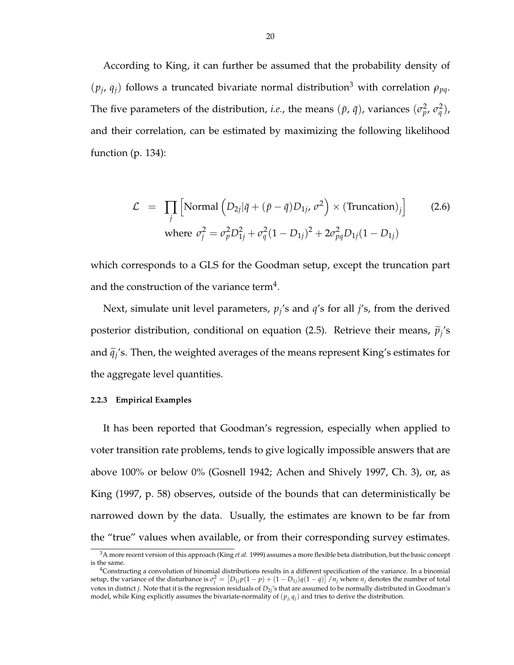According to King, it can further be assumed that the probability density of  $(p_j, q_j)$  follows a truncated bivariate normal distribution<sup>3</sup> with correlation  $\rho_{pq}$ . The five parameters of the distribution, *i.e.*, the means  $(\bar{p}, \bar{q})$ , variances  $(\sigma_p^2, \sigma_q^2)$ , and their correlation, can be estimated by maximizing the following likelihood function (p. 134):

$$
\mathcal{L} = \prod_{j} \left[ \text{Normal} \left( D_{2j} | \bar{q} + (\bar{p} - \bar{q}) D_{1j}, \sigma^2 \right) \times (\text{Truncation})_j \right]
$$
(2.6)  
where  $\sigma_j^2 = \sigma_p^2 D_{1j}^2 + \sigma_q^2 (1 - D_{1j})^2 + 2\sigma_{pq}^2 D_{1j} (1 - D_{1j})$ 

which corresponds to a GLS for the Goodman setup, except the truncation part and the construction of the variance term<sup>4</sup>.

Next, simulate unit level parameters,  $p_j$ 's and  $q$ 's for all *j*'s, from the derived posterior distribution, conditional on equation (2.5). Retrieve their means,  $\widetilde{p}_j$ 's and  $\widetilde{q}_j$ 's. Then, the weighted averages of the means represent King's estimates for the aggregate level quantities.

#### **2.2.3 Empirical Examples**

It has been reported that Goodman's regression, especially when applied to voter transition rate problems, tends to give logically impossible answers that are above 100% or below 0% (Gosnell 1942; Achen and Shively 1997, Ch. 3), or, as King (1997, p. 58) observes, outside of the bounds that can deterministically be narrowed down by the data. Usually, the estimates are known to be far from the "true" values when available, or from their corresponding survey estimates.

<sup>3</sup>A more recent version of this approach (King *et al.* 1999) assumes a more flexible beta distribution, but the basic concept is the same.

<sup>&</sup>lt;sup>4</sup>Constructing a convolution of binomial distributions results in a different specification of the variance. In a binomial setup, the variance of the disturbance is  $\sigma_j^2 = [D_{1j}p(1-p) + (1-D_{1j})q(1-q)]/n_j$  where  $n_j$  denotes the number of total votes in district *j*. Note that it is the regression residuals of *D*2*<sup>j</sup>* 's that are assumed to be normally distributed in Goodman's model, while King explicitly assumes the bivariate-normality of  $(p_i, q_i)$  and tries to derive the distribution.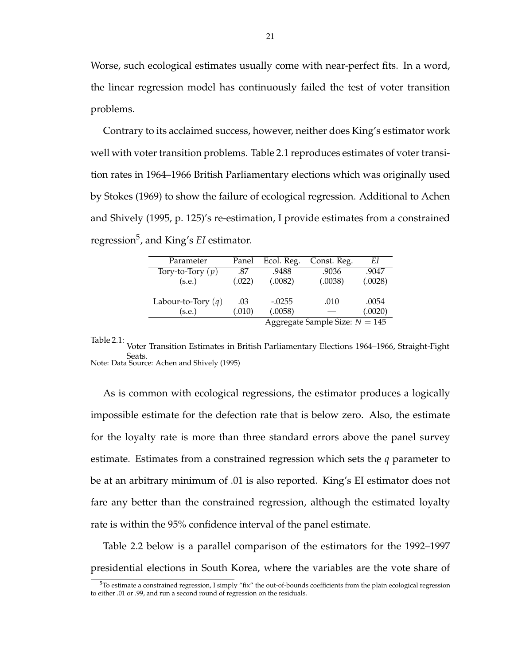Worse, such ecological estimates usually come with near-perfect fits. In a word, the linear regression model has continuously failed the test of voter transition problems.

Contrary to its acclaimed success, however, neither does King's estimator work well with voter transition problems. Table 2.1 reproduces estimates of voter transition rates in 1964–1966 British Parliamentary elections which was originally used by Stokes (1969) to show the failure of ecological regression. Additional to Achen and Shively (1995, p. 125)'s re-estimation, I provide estimates from a constrained regression<sup>5</sup> , and King's *EI* estimator.

| Parameter                        | Panel  | Ecol. Reg. | Const. Reg. | EΙ      |
|----------------------------------|--------|------------|-------------|---------|
| Tory-to-Tory $(p)$               | .87    | .9488      | .9036       | .9047   |
| (s.e.)                           | (.022) | (.0082)    | (.0038)     | (.0028) |
|                                  |        |            |             |         |
| Labour-to-Tory $(q)$             | .03    | $-.0255$   | .010        | .0054   |
| (s.e.)                           | (.010) | (.0058)    |             | (.0020) |
| Aggregate Sample Size: $N = 145$ |        |            |             |         |

Table 2.1: Voter Transition Estimates in British Parliamentary Elections 1964–1966, Straight-Fight Seats. Note: Data Source: Achen and Shively (1995)

As is common with ecological regressions, the estimator produces a logically impossible estimate for the defection rate that is below zero. Also, the estimate for the loyalty rate is more than three standard errors above the panel survey estimate. Estimates from a constrained regression which sets the *q* parameter to be at an arbitrary minimum of .01 is also reported. King's EI estimator does not fare any better than the constrained regression, although the estimated loyalty rate is within the 95% confidence interval of the panel estimate.

Table 2.2 below is a parallel comparison of the estimators for the 1992–1997 presidential elections in South Korea, where the variables are the vote share of

 $5T$ o estimate a constrained regression, I simply "fix" the out-of-bounds coefficients from the plain ecological regression to either .01 or .99, and run a second round of regression on the residuals.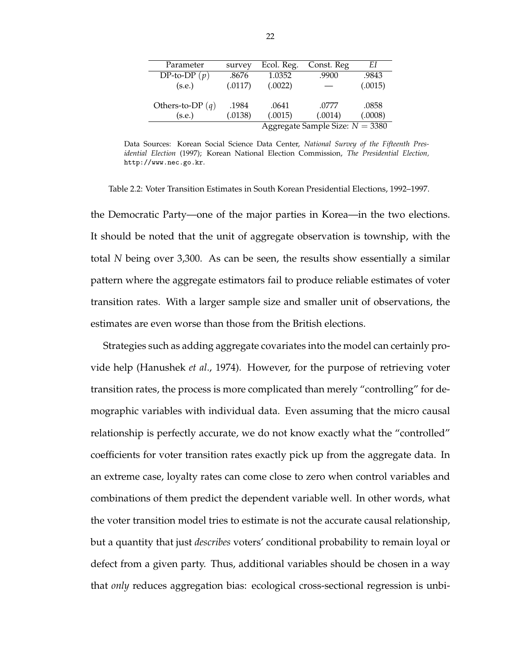| Parameter                         | survey  | Ecol. Reg. | Const. Reg | EΙ      |
|-----------------------------------|---------|------------|------------|---------|
| DP-to-DP $(p)$                    | .8676   | 1.0352     | .9900      | .9843   |
| (s.e.)                            | (.0117) | (.0022)    |            | (.0015) |
|                                   |         |            |            |         |
| Others-to-DP $(q)$                | .1984   | .0641      | .0777      | .0858   |
| (s.e.)                            | (.0138) | (.0015)    | (.0014)    | (.0008) |
| Aggregate Sample Size: $N = 3380$ |         |            |            |         |

Data Sources: Korean Social Science Data Center, *National Survey of the Fifteenth Presidential Election* (1997); Korean National Election Commission, *The Presidential Election,* http://www.nec.go.kr.

Table 2.2: Voter Transition Estimates in South Korean Presidential Elections, 1992–1997.

the Democratic Party—one of the major parties in Korea—in the two elections. It should be noted that the unit of aggregate observation is township, with the total *N* being over 3,300. As can be seen, the results show essentially a similar pattern where the aggregate estimators fail to produce reliable estimates of voter transition rates. With a larger sample size and smaller unit of observations, the estimates are even worse than those from the British elections.

Strategies such as adding aggregate covariates into the model can certainly provide help (Hanushek *et al*., 1974). However, for the purpose of retrieving voter transition rates, the process is more complicated than merely "controlling" for demographic variables with individual data. Even assuming that the micro causal relationship is perfectly accurate, we do not know exactly what the "controlled" coefficients for voter transition rates exactly pick up from the aggregate data. In an extreme case, loyalty rates can come close to zero when control variables and combinations of them predict the dependent variable well. In other words, what the voter transition model tries to estimate is not the accurate causal relationship, but a quantity that just *describes* voters' conditional probability to remain loyal or defect from a given party. Thus, additional variables should be chosen in a way that *only* reduces aggregation bias: ecological cross-sectional regression is unbi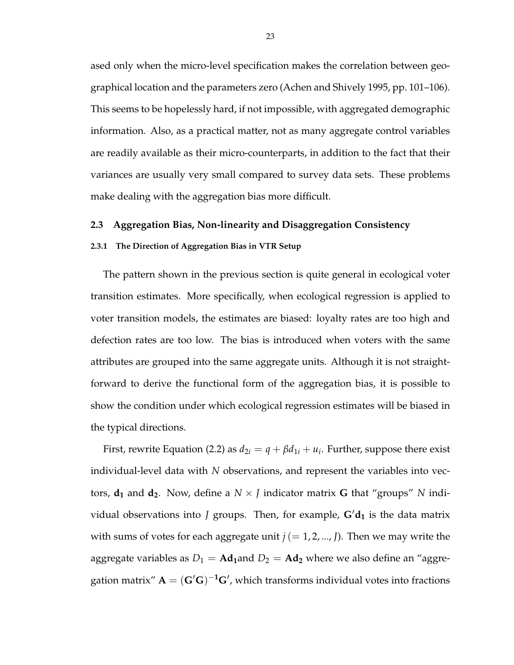ased only when the micro-level specification makes the correlation between geographical location and the parameters zero (Achen and Shively 1995, pp. 101–106). This seems to be hopelessly hard, if not impossible, with aggregated demographic information. Also, as a practical matter, not as many aggregate control variables are readily available as their micro-counterparts, in addition to the fact that their variances are usually very small compared to survey data sets. These problems make dealing with the aggregation bias more difficult.

#### **2.3 Aggregation Bias, Non-linearity and Disaggregation Consistency**

#### **2.3.1 The Direction of Aggregation Bias in VTR Setup**

The pattern shown in the previous section is quite general in ecological voter transition estimates. More specifically, when ecological regression is applied to voter transition models, the estimates are biased: loyalty rates are too high and defection rates are too low. The bias is introduced when voters with the same attributes are grouped into the same aggregate units. Although it is not straightforward to derive the functional form of the aggregation bias, it is possible to show the condition under which ecological regression estimates will be biased in the typical directions.

First, rewrite Equation (2.2) as  $d_{2i} = q + \beta d_{1i} + u_i$ . Further, suppose there exist individual-level data with *N* observations, and represent the variables into vectors,  $d_1$  and  $d_2$ . Now, define a  $N \times J$  indicator matrix G that "groups" N individual observations into *J* groups. Then, for example,  $G/d_1$  is the data matrix with sums of votes for each aggregate unit  $j (= 1, 2, ..., J)$ . Then we may write the aggregate variables as  $D_1 = \text{Ad}_1$  and  $D_2 = \text{Ad}_2$  where we also define an "aggregation matrix"  $A = (G'G)^{-1}G'$ , which transforms individual votes into fractions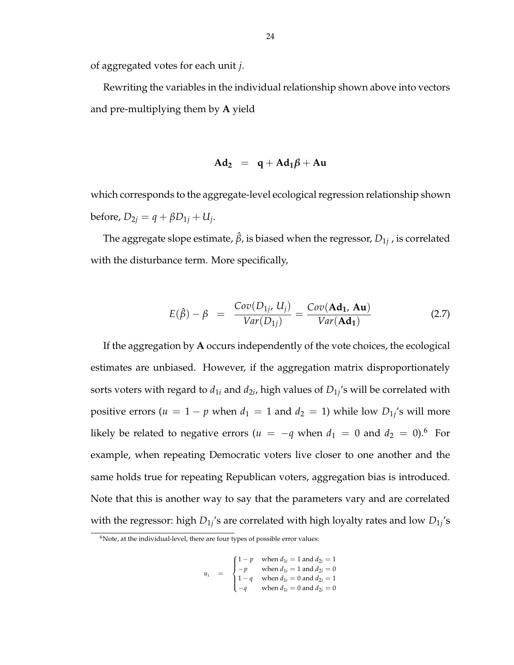of aggregated votes for each unit *j*.

Rewriting the variables in the individual relationship shown above into vectors and pre-multiplying them by **A** yield

$$
Ad_2 = q + Ad_1\beta + Au
$$

which corresponds to the aggregate-level ecological regression relationship shown  $\text{before, } D_{2j} = q + \beta D_{1j} + U_j.$ 

The aggregate slope estimate,  $\hat{\beta}$ , is biased when the regressor,  $D_{1j}$  , is correlated with the disturbance term. More specifically,

$$
E(\hat{\beta}) - \beta = \frac{Cov(D_{1j}, U_j)}{Var(D_{1j})} = \frac{Cov(\mathbf{Ad}_1, \mathbf{Au})}{Var(\mathbf{Ad}_1)}
$$
(2.7)

If the aggregation by **A** occurs independently of the vote choices, the ecological estimates are unbiased. However, if the aggregation matrix disproportionately sorts voters with regard to  $d_{1i}$  and  $d_{2i}$ , high values of  $D_{1j}$ 's will be correlated with positive errors ( $u = 1 - p$  when  $d_1 = 1$  and  $d_2 = 1$ ) while low  $D_{1j}$ 's will more likely be related to negative errors ( $u = -q$  when  $d_1 = 0$  and  $d_2 = 0$ ).<sup>6</sup> For example, when repeating Democratic voters live closer to one another and the same holds true for repeating Republican voters, aggregation bias is introduced. Note that this is another way to say that the parameters vary and are correlated with the regressor: high  $D_{1j}$ 's are correlated with high loyalty rates and low  $D_{1j}$ 's

$$
u_i = \begin{cases} 1-p & \text{when } d_{1i} = 1 \text{ and } d_{2i} = 1 \\ -p & \text{when } d_{1i} = 1 \text{ and } d_{2i} = 0 \\ 1-q & \text{when } d_{1i} = 0 \text{ and } d_{2i} = 1 \\ -q & \text{when } d_{1i} = 0 \text{ and } d_{2i} = 0 \end{cases}
$$

 $6$ Note, at the individual-level, there are four types of possible error values: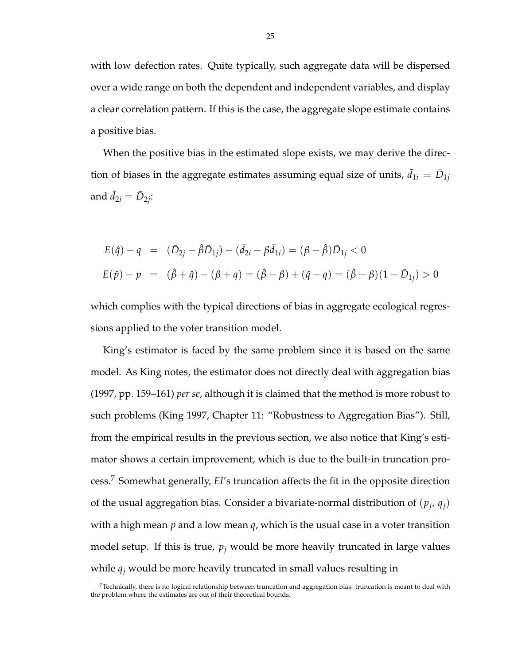with low defection rates. Quite typically, such aggregate data will be dispersed over a wide range on both the dependent and independent variables, and display a clear correlation pattern. If this is the case, the aggregate slope estimate contains a positive bias.

When the positive bias in the estimated slope exists, we may derive the direction of biases in the aggregate estimates assuming equal size of units,  $\bar{d}_{1i} = \bar{D}_{1j}$ and  $\bar{d}_{2i} = \bar{D}_{2i}$ :

$$
E(\hat{q}) - q = (\bar{D}_{2j} - \hat{\beta}\bar{D}_{1j}) - (\bar{d}_{2i} - \beta\bar{d}_{1i}) = (\beta - \hat{\beta})\bar{D}_{1j} < 0
$$
  

$$
E(\hat{p}) - p = (\hat{\beta} + \hat{q}) - (\beta + q) = (\hat{\beta} - \beta) + (\hat{q} - q) = (\hat{\beta} - \beta)(1 - \bar{D}_{1j}) > 0
$$

which complies with the typical directions of bias in aggregate ecological regressions applied to the voter transition model.

King's estimator is faced by the same problem since it is based on the same model. As King notes, the estimator does not directly deal with aggregation bias (1997, pp. 159–161) *per se*, although it is claimed that the method is more robust to such problems (King 1997, Chapter 11: "Robustness to Aggregation Bias"). Still, from the empirical results in the previous section, we also notice that King's estimator shows a certain improvement, which is due to the built-in truncation process.<sup>7</sup> Somewhat generally, *EI*'s truncation affects the fit in the opposite direction of the usual aggregation bias. Consider a bivariate-normal distribution of  $(p_j, q_j)$ with a high mean  $\bar{p}$  and a low mean  $\bar{q}$ , which is the usual case in a voter transition model setup. If this is true,  $p_j$  would be more heavily truncated in large values while *q<sup>j</sup>* would be more heavily truncated in small values resulting in

 $7$ Technically, there is no logical relationship between truncation and aggregation bias: truncation is meant to deal with the problem where the estimates are out of their theoretical bounds.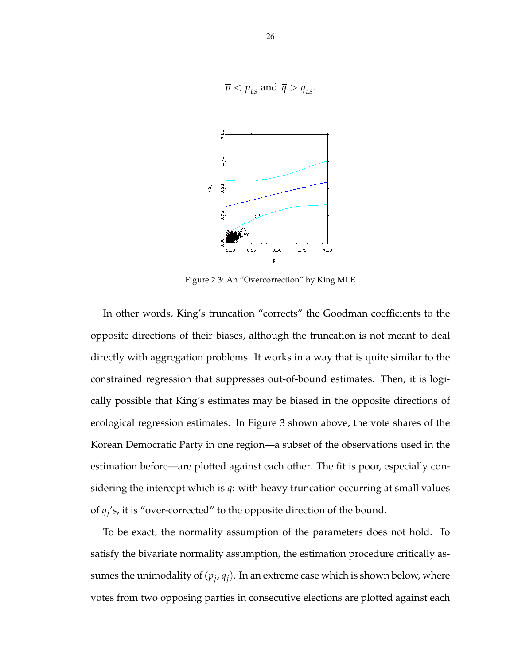$$
\overline{p} < p_{LS}
$$
 and  $\overline{q} > q_{LS}$ .



Figure 2.3: An "Overcorrection" by King MLE

In other words, King's truncation "corrects" the Goodman coefficients to the opposite directions of their biases, although the truncation is not meant to deal directly with aggregation problems. It works in a way that is quite similar to the constrained regression that suppresses out-of-bound estimates. Then, it is logically possible that King's estimates may be biased in the opposite directions of ecological regression estimates. In Figure 3 shown above, the vote shares of the Korean Democratic Party in one region—a subset of the observations used in the estimation before—are plotted against each other. The fit is poor, especially considering the intercept which is *q*: with heavy truncation occurring at small values of  $q_i$ 's, it is "over-corrected" to the opposite direction of the bound.

To be exact, the normality assumption of the parameters does not hold. To satisfy the bivariate normality assumption, the estimation procedure critically assumes the unimodality of  $(p_j, q_j)$ . In an extreme case which is shown below, where votes from two opposing parties in consecutive elections are plotted against each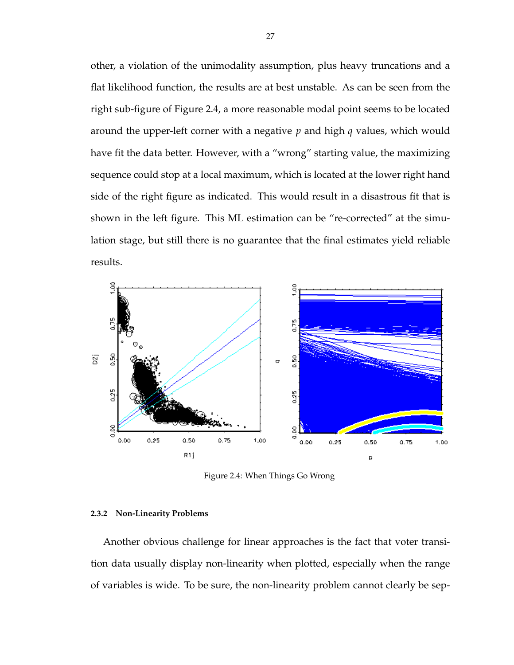other, a violation of the unimodality assumption, plus heavy truncations and a flat likelihood function, the results are at best unstable. As can be seen from the right sub-figure of Figure 2.4, a more reasonable modal point seems to be located around the upper-left corner with a negative *p* and high *q* values, which would have fit the data better. However, with a "wrong" starting value, the maximizing sequence could stop at a local maximum, which is located at the lower right hand side of the right figure as indicated. This would result in a disastrous fit that is shown in the left figure. This ML estimation can be "re-corrected" at the simulation stage, but still there is no guarantee that the final estimates yield reliable results.



Figure 2.4: When Things Go Wrong

#### **2.3.2 Non-Linearity Problems**

Another obvious challenge for linear approaches is the fact that voter transition data usually display non-linearity when plotted, especially when the range of variables is wide. To be sure, the non-linearity problem cannot clearly be sep-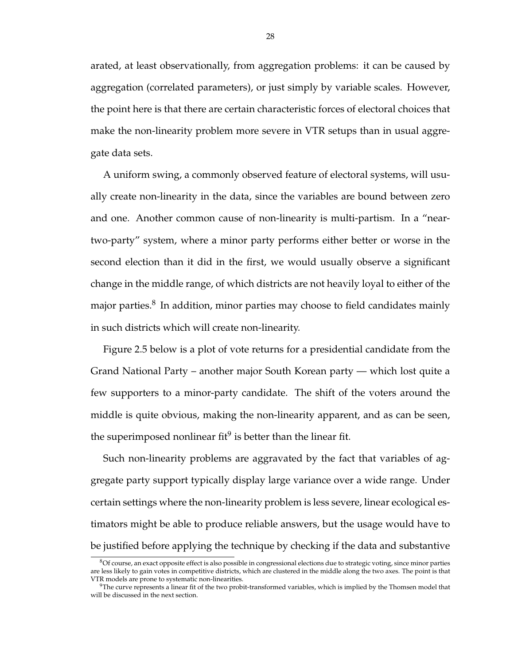arated, at least observationally, from aggregation problems: it can be caused by aggregation (correlated parameters), or just simply by variable scales. However, the point here is that there are certain characteristic forces of electoral choices that make the non-linearity problem more severe in VTR setups than in usual aggregate data sets.

A uniform swing, a commonly observed feature of electoral systems, will usually create non-linearity in the data, since the variables are bound between zero and one. Another common cause of non-linearity is multi-partism. In a "neartwo-party" system, where a minor party performs either better or worse in the second election than it did in the first, we would usually observe a significant change in the middle range, of which districts are not heavily loyal to either of the major parties. $8\,$  In addition, minor parties may choose to field candidates mainly in such districts which will create non-linearity.

Figure 2.5 below is a plot of vote returns for a presidential candidate from the Grand National Party – another major South Korean party — which lost quite a few supporters to a minor-party candidate. The shift of the voters around the middle is quite obvious, making the non-linearity apparent, and as can be seen, the superimposed nonlinear fit $9$  is better than the linear fit.

Such non-linearity problems are aggravated by the fact that variables of aggregate party support typically display large variance over a wide range. Under certain settings where the non-linearity problem is less severe, linear ecological estimators might be able to produce reliable answers, but the usage would have to be justified before applying the technique by checking if the data and substantive

 $8$ Of course, an exact opposite effect is also possible in congressional elections due to strategic voting, since minor parties are less likely to gain votes in competitive districts, which are clustered in the middle along the two axes. The point is that VTR models are prone to systematic non-linearities.

 $9$ The curve represents a linear fit of the two probit-transformed variables, which is implied by the Thomsen model that will be discussed in the next section.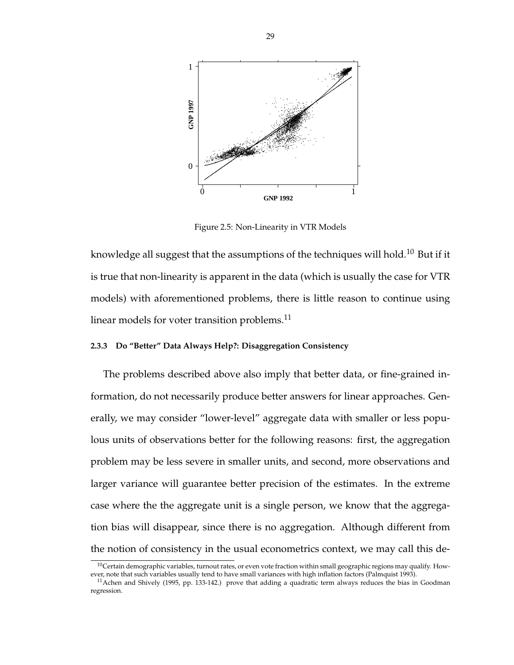

Figure 2.5: Non-Linearity in VTR Models

knowledge all suggest that the assumptions of the techniques will hold.<sup>10</sup> But if it is true that non-linearity is apparent in the data (which is usually the case for VTR models) with aforementioned problems, there is little reason to continue using linear models for voter transition problems.<sup>11</sup>

#### **2.3.3 Do "Better" Data Always Help?: Disaggregation Consistency**

The problems described above also imply that better data, or fine-grained information, do not necessarily produce better answers for linear approaches. Generally, we may consider "lower-level" aggregate data with smaller or less populous units of observations better for the following reasons: first, the aggregation problem may be less severe in smaller units, and second, more observations and larger variance will guarantee better precision of the estimates. In the extreme case where the the aggregate unit is a single person, we know that the aggregation bias will disappear, since there is no aggregation. Although different from the notion of consistency in the usual econometrics context, we may call this de-

 $10$ Certain demographic variables, turnout rates, or even vote fraction within small geographic regions may qualify. However, note that such variables usually tend to have small variances with high inflation factors (Palmquist 1993).

 $11$ Achen and Shively (1995, pp. 133-142.) prove that adding a quadratic term always reduces the bias in Goodman regression.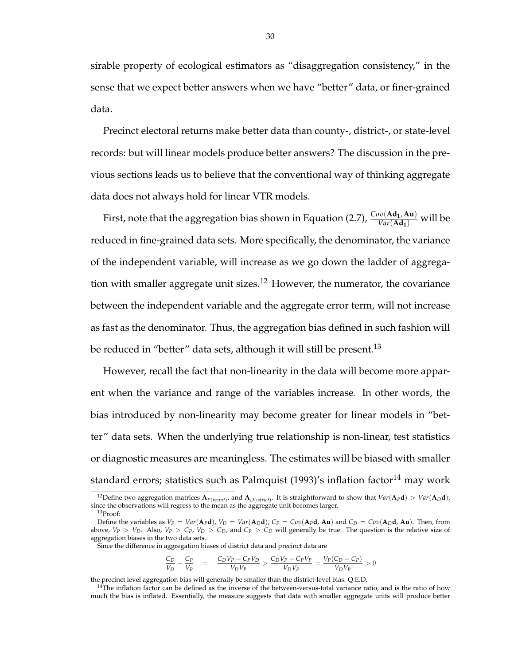sirable property of ecological estimators as "disaggregation consistency," in the sense that we expect better answers when we have "better" data, or finer-grained data.

Precinct electoral returns make better data than county-, district-, or state-level records: but will linear models produce better answers? The discussion in the previous sections leads us to believe that the conventional way of thinking aggregate data does not always hold for linear VTR models.

First, note that the aggregation bias shown in Equation (2.7), *Cov*(**Ad1**, **Au**) *Var*(**Ad1**) will be reduced in fine-grained data sets. More specifically, the denominator, the variance of the independent variable, will increase as we go down the ladder of aggregation with smaller aggregate unit sizes.<sup>12</sup> However, the numerator, the covariance between the independent variable and the aggregate error term, will not increase as fast as the denominator. Thus, the aggregation bias defined in such fashion will be reduced in "better" data sets, although it will still be present.<sup>13</sup>

However, recall the fact that non-linearity in the data will become more apparent when the variance and range of the variables increase. In other words, the bias introduced by non-linearity may become greater for linear models in "better" data sets. When the underlying true relationship is non-linear, test statistics or diagnostic measures are meaningless. The estimates will be biased with smaller standard errors; statistics such as Palmquist  $(1993)'$ s inflation factor<sup>14</sup> may work

$$
\frac{C_D}{V_D} - \frac{C_P}{V_P} = \frac{C_D V_P - C_P V_D}{V_D V_P} > \frac{C_D V_P - C_P V_P}{V_D V_P} = \frac{V_P (C_D - C_P)}{V_D V_P} > 0
$$

the precinct level aggregation bias will generally be smaller than the district-level bias. Q.E.D.

<sup>&</sup>lt;sup>12</sup>Define two aggregation matrices  $A_{P(reicht)}$ , and  $A_{D(istict)}$ . It is straightforward to show that  $Var(A_Pd) > Var(A_Dd)$ , since the observations will regress to the mean as the aggregate unit becomes larger. <sup>13</sup>Proof:

Define the variables as  $V_P = Var(A_P d)$ ,  $V_D = Var(A_D d)$ ,  $C_P = Cov(A_P d$ , Au) and  $C_D = Cov(A_D d$ , Au). Then, from above,  $V_P > V_D$ . Also,  $V_P > C_P$ ,  $V_D > C_D$ , and  $C_P > C_D$  will generally be true. The question is the relative size of aggregation biases in the two data sets.

Since the difference in aggregation biases of district data and precinct data are

 $14$ The inflation factor can be defined as the inverse of the between-versus-total variance ratio, and is the ratio of how much the bias is inflated. Essentially, the measure suggests that data with smaller aggregate units will produce better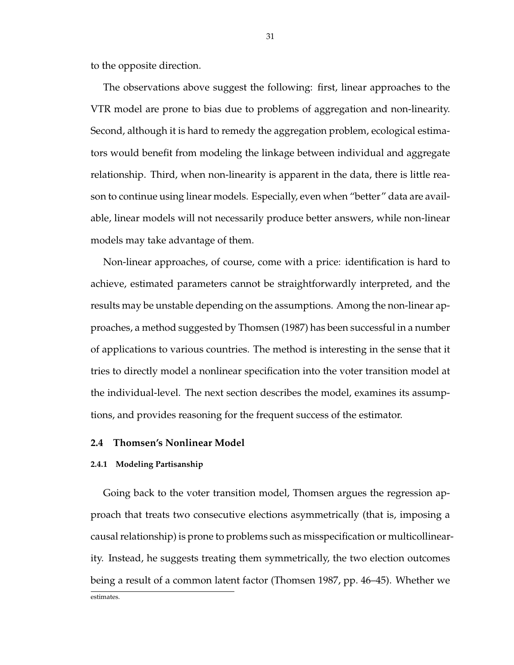to the opposite direction.

The observations above suggest the following: first, linear approaches to the VTR model are prone to bias due to problems of aggregation and non-linearity. Second, although it is hard to remedy the aggregation problem, ecological estimators would benefit from modeling the linkage between individual and aggregate relationship. Third, when non-linearity is apparent in the data, there is little reason to continue using linear models. Especially, even when "better" data are available, linear models will not necessarily produce better answers, while non-linear models may take advantage of them.

Non-linear approaches, of course, come with a price: identification is hard to achieve, estimated parameters cannot be straightforwardly interpreted, and the results may be unstable depending on the assumptions. Among the non-linear approaches, a method suggested by Thomsen (1987) has been successful in a number of applications to various countries. The method is interesting in the sense that it tries to directly model a nonlinear specification into the voter transition model at the individual-level. The next section describes the model, examines its assumptions, and provides reasoning for the frequent success of the estimator.

## **2.4 Thomsen's Nonlinear Model**

### **2.4.1 Modeling Partisanship**

Going back to the voter transition model, Thomsen argues the regression approach that treats two consecutive elections asymmetrically (that is, imposing a causal relationship) is prone to problems such as misspecification or multicollinearity. Instead, he suggests treating them symmetrically, the two election outcomes being a result of a common latent factor (Thomsen 1987, pp. 46–45). Whether we estimates.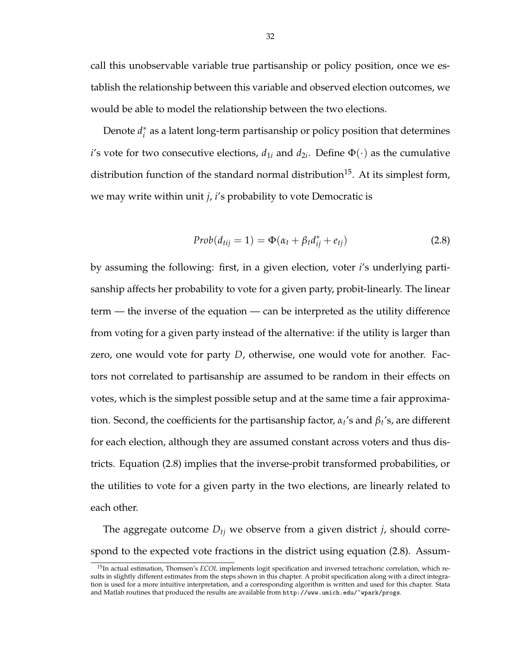call this unobservable variable true partisanship or policy position, once we establish the relationship between this variable and observed election outcomes, we would be able to model the relationship between the two elections.

Denote *d* ∗  $i<sub>i</sub><sup>*</sup>$  as a latent long-term partisanship or policy position that determines *i*'s vote for two consecutive elections,  $d_{1i}$  and  $d_{2i}$ . Define  $\Phi(\cdot)$  as the cumulative distribution function of the standard normal distribution<sup>15</sup>. At its simplest form, we may write within unit *j*, *i*'s probability to vote Democratic is

$$
Prob(d_{tij} = 1) = \Phi(\alpha_t + \beta_t d_{ij}^* + e_{tj})
$$
\n(2.8)

by assuming the following: first, in a given election, voter *i*'s underlying partisanship affects her probability to vote for a given party, probit-linearly. The linear term — the inverse of the equation — can be interpreted as the utility difference from voting for a given party instead of the alternative: if the utility is larger than zero, one would vote for party *D*, otherwise, one would vote for another. Factors not correlated to partisanship are assumed to be random in their effects on votes, which is the simplest possible setup and at the same time a fair approximation. Second, the coefficients for the partisanship factor, *α<sup>t</sup>* 's and *β<sup>t</sup>* 's, are different for each election, although they are assumed constant across voters and thus districts. Equation (2.8) implies that the inverse-probit transformed probabilities, or the utilities to vote for a given party in the two elections, are linearly related to each other.

The aggregate outcome *Dtj* we observe from a given district *j*, should correspond to the expected vote fractions in the district using equation (2.8). Assum-

<sup>15</sup>In actual estimation, Thomsen's *ECOL* implements logit specification and inversed tetrachoric correlation, which results in slightly different estimates from the steps shown in this chapter. A probit specification along with a direct integration is used for a more intuitive interpretation, and a corresponding algorithm is written and used for this chapter. Stata and Matlab routines that produced the results are available from http://www.umich.edu/~wpark/progs.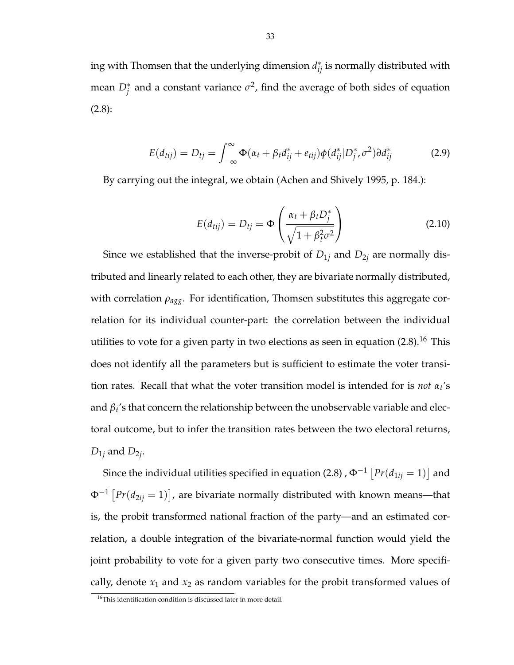ing with Thomsen that the underlying dimension  $d_{ij}^*$  is normally distributed with mean  $D_j^*$  and a constant variance  $\sigma^2$ , find the average of both sides of equation (2.8):

$$
E(d_{tij}) = D_{tj} = \int_{-\infty}^{\infty} \Phi(\alpha_t + \beta_t d_{ij}^* + e_{tij}) \phi(d_{ij}^* | D_j^*, \sigma^2) d_{ij}^*
$$
(2.9)

By carrying out the integral, we obtain (Achen and Shively 1995, p. 184.):

$$
E(d_{tij}) = D_{tj} = \Phi\left(\frac{\alpha_t + \beta_t D_j^*}{\sqrt{1 + \beta_t^2 \sigma^2}}\right)
$$
\n(2.10)

Since we established that the inverse-probit of  $D_{1j}$  and  $D_{2j}$  are normally distributed and linearly related to each other, they are bivariate normally distributed, with correlation *ρagg*. For identification, Thomsen substitutes this aggregate correlation for its individual counter-part: the correlation between the individual utilities to vote for a given party in two elections as seen in equation  $(2.8)$ .<sup>16</sup> This does not identify all the parameters but is sufficient to estimate the voter transition rates. Recall that what the voter transition model is intended for is *not α<sup>t</sup>* 's and *β<sup>t</sup>* 's that concern the relationship between the unobservable variable and electoral outcome, but to infer the transition rates between the two electoral returns,  $D_{1j}$  and  $D_{2j}$ .

Since the individual utilities specified in equation (2.8) ,  $\Phi^{-1}$  [  $Pr(d_{1ij} = 1)$ l<br>E and  $\Phi^{-1}$  |  $Pr(d_{2ij} = 1)$ l<br>E , are bivariate normally distributed with known means—that is, the probit transformed national fraction of the party—and an estimated correlation, a double integration of the bivariate-normal function would yield the joint probability to vote for a given party two consecutive times. More specifically, denote  $x_1$  and  $x_2$  as random variables for the probit transformed values of

 $^{16}\mathrm{This}$  identification condition is discussed later in more detail.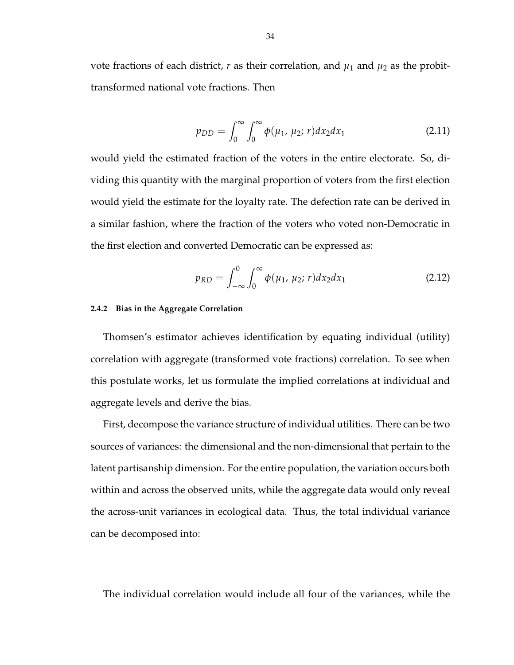vote fractions of each district,  $r$  as their correlation, and  $\mu_1$  and  $\mu_2$  as the probittransformed national vote fractions. Then

$$
p_{DD} = \int_0^\infty \int_0^\infty \phi(\mu_1, \mu_2; r) dx_2 dx_1 \tag{2.11}
$$

would yield the estimated fraction of the voters in the entire electorate. So, dividing this quantity with the marginal proportion of voters from the first election would yield the estimate for the loyalty rate. The defection rate can be derived in a similar fashion, where the fraction of the voters who voted non-Democratic in the first election and converted Democratic can be expressed as:

$$
p_{RD} = \int_{-\infty}^{0} \int_{0}^{\infty} \phi(\mu_1, \mu_2; r) dx_2 dx_1
$$
 (2.12)

## **2.4.2 Bias in the Aggregate Correlation**

Thomsen's estimator achieves identification by equating individual (utility) correlation with aggregate (transformed vote fractions) correlation. To see when this postulate works, let us formulate the implied correlations at individual and aggregate levels and derive the bias.

First, decompose the variance structure of individual utilities. There can be two sources of variances: the dimensional and the non-dimensional that pertain to the latent partisanship dimension. For the entire population, the variation occurs both within and across the observed units, while the aggregate data would only reveal the across-unit variances in ecological data. Thus, the total individual variance can be decomposed into:

The individual correlation would include all four of the variances, while the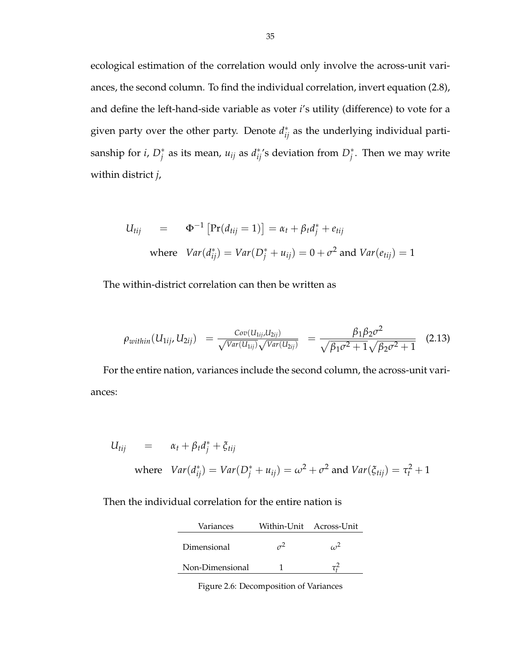ecological estimation of the correlation would only involve the across-unit variances, the second column. To find the individual correlation, invert equation (2.8), and define the left-hand-side variable as voter *i*'s utility (difference) to vote for a given party over the other party. Denote  $d_{ij}^*$  as the underlying individual partisanship for *i*,  $D_j^*$  as its mean,  $u_{ij}$  as  $d_{ij}^*$ 's deviation from  $D_j^*$ . Then we may write within district *j*,

$$
U_{tij} = \Phi^{-1} [\Pr(d_{tij} = 1)] = \alpha_t + \beta_t d_j^* + e_{tij}
$$
  
where  $Var(d_{ij}^*) = Var(D_j^* + u_{ij}) = 0 + \sigma^2$  and  $Var(e_{tij}) = 1$ 

The within-district correlation can then be written as

$$
\rho_{within}(U_{1ij}, U_{2ij}) = \frac{Cov(U_{1ij}, U_{2ij})}{\sqrt{Var(U_{1ij})}\sqrt{Var(U_{2ij})}} = \frac{\beta_1 \beta_2 \sigma^2}{\sqrt{\beta_1 \sigma^2 + 1} \sqrt{\beta_2 \sigma^2 + 1}} \quad (2.13)
$$

For the entire nation, variances include the second column, the across-unit variances:

$$
U_{tij} = \alpha_t + \beta_t d_j^* + \xi_{tij}
$$
  
where  $Var(d_{ij}^*) = Var(D_j^* + u_{ij}) = \omega^2 + \sigma^2$  and  $Var(\xi_{tij}) = \tau_t^2 + 1$ 

Then the individual correlation for the entire nation is

| Variances       | Within-Unit Across-Unit |
|-----------------|-------------------------|
| Dimensional     |                         |
| Non-Dimensional |                         |

Figure 2.6: Decomposition of Variances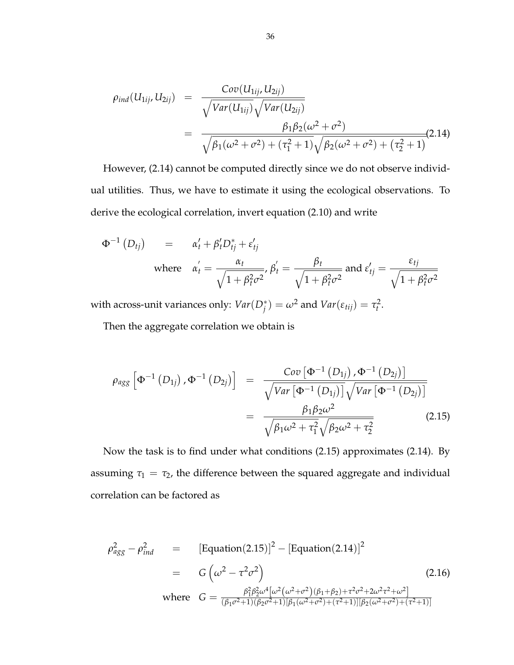$$
\rho_{ind}(U_{1ij}, U_{2ij}) = \frac{Cov(U_{1ij}, U_{2ij})}{\sqrt{Var(U_{1ij})}\sqrt{Var(U_{2ij})}}
$$
  
= 
$$
\frac{\beta_1 \beta_2(\omega^2 + \sigma^2)}{\sqrt{\beta_1(\omega^2 + \sigma^2) + (\tau_1^2 + 1)}\sqrt{\beta_2(\omega^2 + \sigma^2) + (\tau_2^2 + 1)}}
$$
(2.14)

However, (2.14) cannot be computed directly since we do not observe individual utilities. Thus, we have to estimate it using the ecological observations. To derive the ecological correlation, invert equation (2.10) and write

$$
\Phi^{-1}(D_{tj}) = \alpha'_{t} + \beta'_{t}D_{tj}^{*} + \varepsilon'_{tj}
$$
\nwhere  $\alpha'_{t} = \frac{\alpha_{t}}{\sqrt{1 + \beta_{t}^{2}\sigma^{2}}}, \beta'_{t} = \frac{\beta_{t}}{\sqrt{1 + \beta_{t}^{2}\sigma^{2}}}$  and  $\varepsilon'_{tj} = \frac{\varepsilon_{tj}}{\sqrt{1 + \beta_{t}^{2}\sigma^{2}}}$ 

with across-unit variances only:  $Var(D_j^*) = \omega^2$  and  $Var(\varepsilon_{tij}) = \tau_t^2$ .

Then the aggregate correlation we obtain is

$$
\rho_{agg} \left[ \Phi^{-1} \left( D_{1j} \right), \Phi^{-1} \left( D_{2j} \right) \right] = \frac{Cov \left[ \Phi^{-1} \left( D_{1j} \right), \Phi^{-1} \left( D_{2j} \right) \right]}{\sqrt{Var \left[ \Phi^{-1} \left( D_{1j} \right) \right] \sqrt{Var \left[ \Phi^{-1} \left( D_{2j} \right) \right]}}}
$$
\n
$$
= \frac{\beta_1 \beta_2 \omega^2}{\sqrt{\beta_1 \omega^2 + \tau_1^2} \sqrt{\beta_2 \omega^2 + \tau_2^2}} \tag{2.15}
$$

Now the task is to find under what conditions (2.15) approximates (2.14). By assuming  $\tau_1 = \tau_2$ , the difference between the squared aggregate and individual correlation can be factored as

$$
\rho_{agg}^2 - \rho_{ind}^2 = \left[ \text{Equation}(2.15) \right]^2 - \left[ \text{Equation}(2.14) \right]^2
$$
\n
$$
= G \left( \omega^2 - \tau^2 \sigma^2 \right) \tag{2.16}
$$
\n
$$
\text{where } G = \frac{\beta_1^2 \beta_2^2 \omega^4 [\omega^2 (\omega^2 + \sigma^2)(\beta_1 + \beta_2) + \tau^2 \sigma^2 + 2\omega^2 \tau^2 + \omega^2]}{(\beta_1 \sigma^2 + 1)(\beta_2 \sigma^2 + 1)[\beta_1 (\omega^2 + \sigma^2) + (\tau^2 + 1)][\beta_2 (\omega^2 + \sigma^2) + (\tau^2 + 1)]}
$$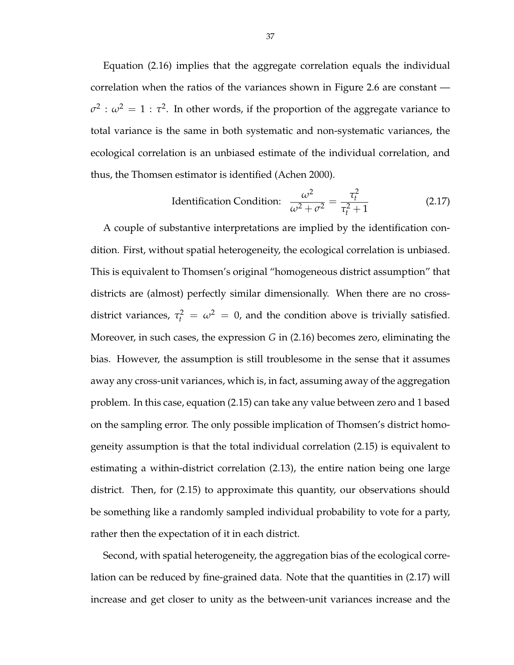Equation (2.16) implies that the aggregate correlation equals the individual correlation when the ratios of the variances shown in Figure 2.6 are constant —  $\sigma^2$ :  $\omega^2 = 1$ :  $\tau^2$ . In other words, if the proportion of the aggregate variance to total variance is the same in both systematic and non-systematic variances, the ecological correlation is an unbiased estimate of the individual correlation, and thus, the Thomsen estimator is identified (Achen 2000).

$$
\text{Identification Condition:} \quad \frac{\omega^2}{\omega^2 + \sigma^2} = \frac{\tau_t^2}{\tau_t^2 + 1} \tag{2.17}
$$

A couple of substantive interpretations are implied by the identification condition. First, without spatial heterogeneity, the ecological correlation is unbiased. This is equivalent to Thomsen's original "homogeneous district assumption" that districts are (almost) perfectly similar dimensionally. When there are no crossdistrict variances,  $\tau_t^2 = \omega^2 = 0$ , and the condition above is trivially satisfied. Moreover, in such cases, the expression *G* in (2.16) becomes zero, eliminating the bias. However, the assumption is still troublesome in the sense that it assumes away any cross-unit variances, which is, in fact, assuming away of the aggregation problem. In this case, equation (2.15) can take any value between zero and 1 based on the sampling error. The only possible implication of Thomsen's district homogeneity assumption is that the total individual correlation (2.15) is equivalent to estimating a within-district correlation (2.13), the entire nation being one large district. Then, for (2.15) to approximate this quantity, our observations should be something like a randomly sampled individual probability to vote for a party, rather then the expectation of it in each district.

Second, with spatial heterogeneity, the aggregation bias of the ecological correlation can be reduced by fine-grained data. Note that the quantities in (2.17) will increase and get closer to unity as the between-unit variances increase and the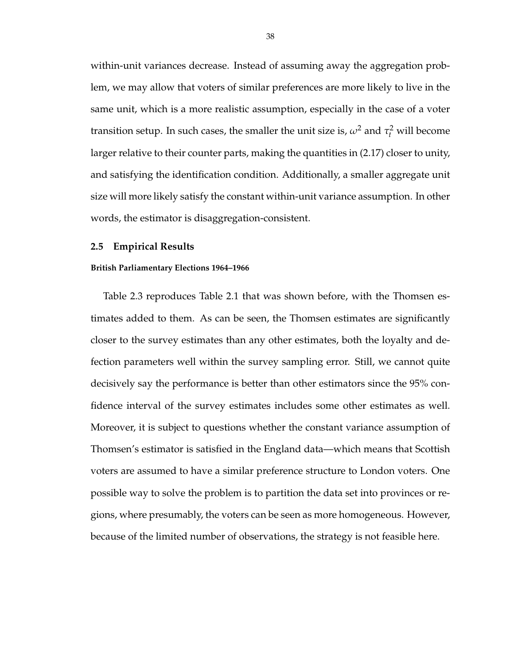within-unit variances decrease. Instead of assuming away the aggregation problem, we may allow that voters of similar preferences are more likely to live in the same unit, which is a more realistic assumption, especially in the case of a voter transition setup. In such cases, the smaller the unit size is,  $\omega^2$  and  $\tau_t^2$  will become larger relative to their counter parts, making the quantities in (2.17) closer to unity, and satisfying the identification condition. Additionally, a smaller aggregate unit size will more likely satisfy the constant within-unit variance assumption. In other words, the estimator is disaggregation-consistent.

#### **2.5 Empirical Results**

#### **British Parliamentary Elections 1964–1966**

Table 2.3 reproduces Table 2.1 that was shown before, with the Thomsen estimates added to them. As can be seen, the Thomsen estimates are significantly closer to the survey estimates than any other estimates, both the loyalty and defection parameters well within the survey sampling error. Still, we cannot quite decisively say the performance is better than other estimators since the 95% confidence interval of the survey estimates includes some other estimates as well. Moreover, it is subject to questions whether the constant variance assumption of Thomsen's estimator is satisfied in the England data—which means that Scottish voters are assumed to have a similar preference structure to London voters. One possible way to solve the problem is to partition the data set into provinces or regions, where presumably, the voters can be seen as more homogeneous. However, because of the limited number of observations, the strategy is not feasible here.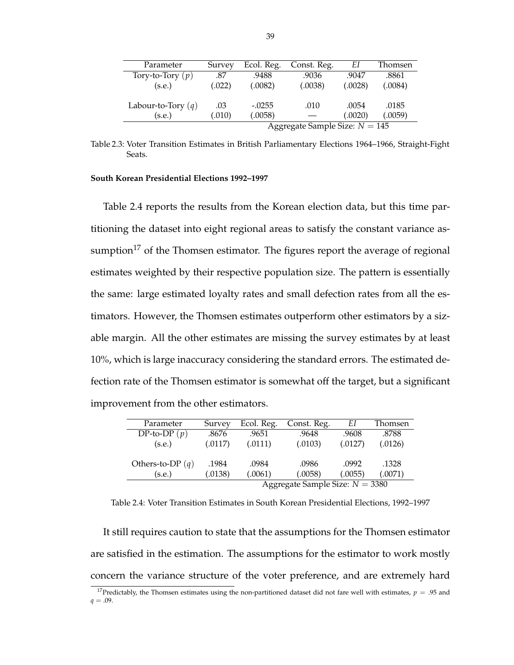| Parameter            | Survey                           | Ecol. Reg. | Const. Reg. | EΙ      | Thomsen |  |  |  |
|----------------------|----------------------------------|------------|-------------|---------|---------|--|--|--|
| Tory-to-Tory $(p)$   | .87                              | .9488      | .9036       | .9047   | .8861   |  |  |  |
| (s.e.)               | (.022)                           | (.0082)    | (.0038)     | (.0028) | (.0084) |  |  |  |
|                      |                                  |            |             |         |         |  |  |  |
| Labour-to-Tory $(q)$ | .03                              | $-.0255$   | .010        | .0054   | .0185   |  |  |  |
| (s.e.)               | (.010)                           | (.0058)    |             | (.0020) | (.0059) |  |  |  |
|                      | Aggregate Sample Size: $N = 145$ |            |             |         |         |  |  |  |

Table 2.3: Voter Transition Estimates in British Parliamentary Elections 1964–1966, Straight-Fight Seats.

#### **South Korean Presidential Elections 1992–1997**

Table 2.4 reports the results from the Korean election data, but this time partitioning the dataset into eight regional areas to satisfy the constant variance assumption<sup>17</sup> of the Thomsen estimator. The figures report the average of regional estimates weighted by their respective population size. The pattern is essentially the same: large estimated loyalty rates and small defection rates from all the estimators. However, the Thomsen estimates outperform other estimators by a sizable margin. All the other estimates are missing the survey estimates by at least 10%, which is large inaccuracy considering the standard errors. The estimated defection rate of the Thomsen estimator is somewhat off the target, but a significant improvement from the other estimators.

| Parameter          | Survey                            | Ecol. Reg. | Const. Reg. | EΙ      | Thomsen |  |  |  |
|--------------------|-----------------------------------|------------|-------------|---------|---------|--|--|--|
| DP-to-DP $(p)$     | .8676                             | .9651      | .9648       | .9608   | .8788   |  |  |  |
| (s.e.)             | (.0117)                           | (.0111)    | (.0103)     | (.0127) | (.0126) |  |  |  |
|                    |                                   |            |             |         |         |  |  |  |
| Others-to-DP $(q)$ | .1984                             | .0984      | .0986       | .0992   | .1328   |  |  |  |
| (s.e.)             | (.0138)                           | (.0061)    | (.0058)     | (.0055) | (.0071) |  |  |  |
|                    | Aggregate Sample Size: $N = 3380$ |            |             |         |         |  |  |  |

Table 2.4: Voter Transition Estimates in South Korean Presidential Elections, 1992–1997

It still requires caution to state that the assumptions for the Thomsen estimator are satisfied in the estimation. The assumptions for the estimator to work mostly concern the variance structure of the voter preference, and are extremely hard

<sup>&</sup>lt;sup>17</sup>Predictably, the Thomsen estimates using the non-partitioned dataset did not fare well with estimates,  $p = .95$  and  $q = .09$ .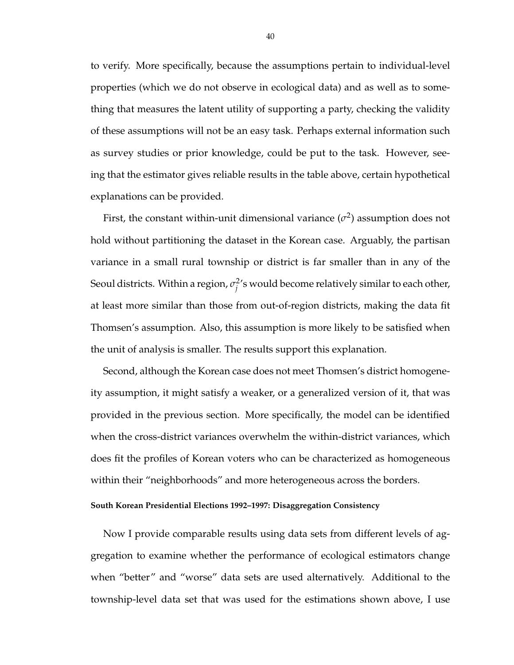to verify. More specifically, because the assumptions pertain to individual-level properties (which we do not observe in ecological data) and as well as to something that measures the latent utility of supporting a party, checking the validity of these assumptions will not be an easy task. Perhaps external information such as survey studies or prior knowledge, could be put to the task. However, seeing that the estimator gives reliable results in the table above, certain hypothetical explanations can be provided.

First, the constant within-unit dimensional variance  $(\sigma^2)$  assumption does not hold without partitioning the dataset in the Korean case. Arguably, the partisan variance in a small rural township or district is far smaller than in any of the Seoul districts. Within a region, σ<sup>2</sup>  $j^2$ 's would become relatively similar to each other, at least more similar than those from out-of-region districts, making the data fit Thomsen's assumption. Also, this assumption is more likely to be satisfied when the unit of analysis is smaller. The results support this explanation.

Second, although the Korean case does not meet Thomsen's district homogeneity assumption, it might satisfy a weaker, or a generalized version of it, that was provided in the previous section. More specifically, the model can be identified when the cross-district variances overwhelm the within-district variances, which does fit the profiles of Korean voters who can be characterized as homogeneous within their "neighborhoods" and more heterogeneous across the borders.

#### **South Korean Presidential Elections 1992–1997: Disaggregation Consistency**

Now I provide comparable results using data sets from different levels of aggregation to examine whether the performance of ecological estimators change when "better" and "worse" data sets are used alternatively. Additional to the township-level data set that was used for the estimations shown above, I use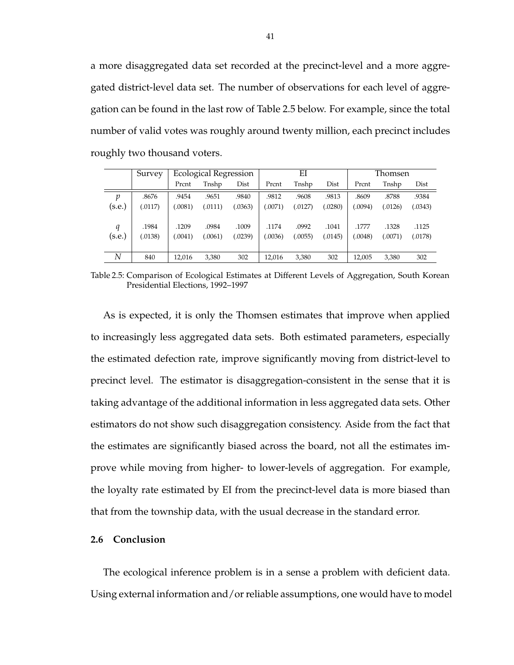a more disaggregated data set recorded at the precinct-level and a more aggregated district-level data set. The number of observations for each level of aggregation can be found in the last row of Table 2.5 below. For example, since the total number of valid votes was roughly around twenty million, each precinct includes roughly two thousand voters.

|                            | Survey  |         | EI<br><b>Ecological Regression</b><br>Thomsen |         |        |         |         |        |         |         |
|----------------------------|---------|---------|-----------------------------------------------|---------|--------|---------|---------|--------|---------|---------|
|                            |         | Prcnt   | Tnshp                                         | Dist    | Prcnt  | Tnshp   | Dist    | Prcnt  | Tnshp   | Dist    |
| $\boldsymbol{\mathcal{D}}$ | .8676   | .9454   | .9651                                         | .9840   | .9812  | .9608   | .9813   | .8609  | .8788   | .9384   |
| (s.e.)                     | (.0117) | .0081)  | (.0111)                                       | (.0363) | .0071) | (.0127) | 0280    | .0094) | (.0126) | (.0343) |
|                            |         |         |                                               |         |        |         |         |        |         |         |
| $\boldsymbol{q}$           | .1984   | .1209   | .0984                                         | .1009   | .1174  | .0992   | .1041   | .1777  | .1328   | .1125   |
| (s.e.)                     | (0138)  | 0.0041) | .0061)                                        | (.0239) | 0036   | (.0055) | (.0145) | .0048) | (.0071) | (.0178) |
|                            |         |         |                                               |         |        |         |         |        |         |         |
| N                          | 840     | 12,016  | 3,380                                         | 302     | 12,016 | 3,380   | 302     | 12,005 | 3,380   | 302     |

Table 2.5: Comparison of Ecological Estimates at Different Levels of Aggregation, South Korean Presidential Elections, 1992–1997

As is expected, it is only the Thomsen estimates that improve when applied to increasingly less aggregated data sets. Both estimated parameters, especially the estimated defection rate, improve significantly moving from district-level to precinct level. The estimator is disaggregation-consistent in the sense that it is taking advantage of the additional information in less aggregated data sets. Other estimators do not show such disaggregation consistency. Aside from the fact that the estimates are significantly biased across the board, not all the estimates improve while moving from higher- to lower-levels of aggregation. For example, the loyalty rate estimated by EI from the precinct-level data is more biased than that from the township data, with the usual decrease in the standard error.

## **2.6 Conclusion**

The ecological inference problem is in a sense a problem with deficient data. Using external information and/or reliable assumptions, one would have to model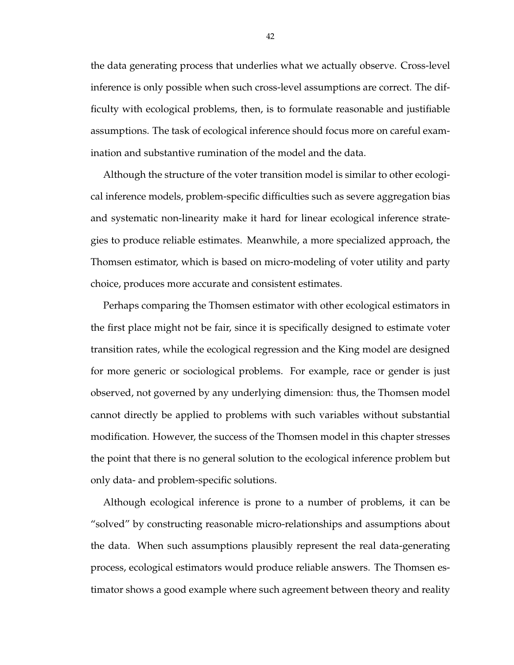the data generating process that underlies what we actually observe. Cross-level inference is only possible when such cross-level assumptions are correct. The difficulty with ecological problems, then, is to formulate reasonable and justifiable assumptions. The task of ecological inference should focus more on careful examination and substantive rumination of the model and the data.

Although the structure of the voter transition model is similar to other ecological inference models, problem-specific difficulties such as severe aggregation bias and systematic non-linearity make it hard for linear ecological inference strategies to produce reliable estimates. Meanwhile, a more specialized approach, the Thomsen estimator, which is based on micro-modeling of voter utility and party choice, produces more accurate and consistent estimates.

Perhaps comparing the Thomsen estimator with other ecological estimators in the first place might not be fair, since it is specifically designed to estimate voter transition rates, while the ecological regression and the King model are designed for more generic or sociological problems. For example, race or gender is just observed, not governed by any underlying dimension: thus, the Thomsen model cannot directly be applied to problems with such variables without substantial modification. However, the success of the Thomsen model in this chapter stresses the point that there is no general solution to the ecological inference problem but only data- and problem-specific solutions.

Although ecological inference is prone to a number of problems, it can be "solved" by constructing reasonable micro-relationships and assumptions about the data. When such assumptions plausibly represent the real data-generating process, ecological estimators would produce reliable answers. The Thomsen estimator shows a good example where such agreement between theory and reality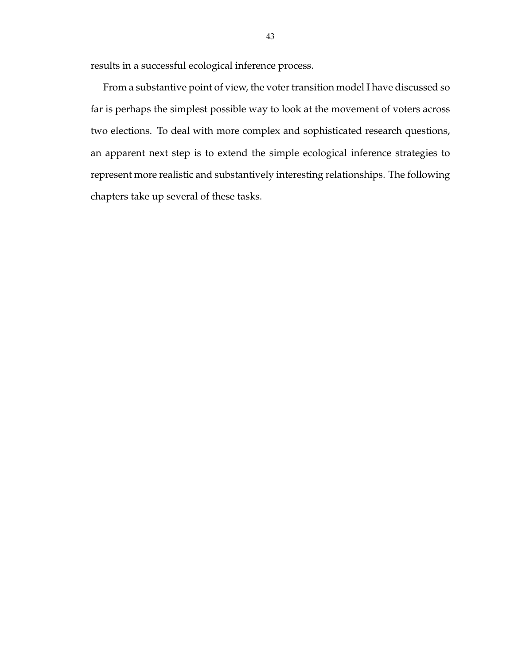results in a successful ecological inference process.

From a substantive point of view, the voter transition model I have discussed so far is perhaps the simplest possible way to look at the movement of voters across two elections. To deal with more complex and sophisticated research questions, an apparent next step is to extend the simple ecological inference strategies to represent more realistic and substantively interesting relationships. The following chapters take up several of these tasks.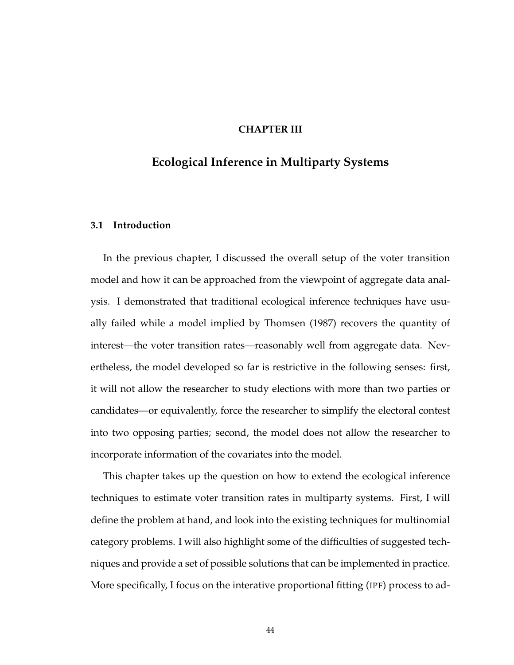# **CHAPTER III**

# **Ecological Inference in Multiparty Systems**

#### **3.1 Introduction**

In the previous chapter, I discussed the overall setup of the voter transition model and how it can be approached from the viewpoint of aggregate data analysis. I demonstrated that traditional ecological inference techniques have usually failed while a model implied by Thomsen (1987) recovers the quantity of interest—the voter transition rates—reasonably well from aggregate data. Nevertheless, the model developed so far is restrictive in the following senses: first, it will not allow the researcher to study elections with more than two parties or candidates—or equivalently, force the researcher to simplify the electoral contest into two opposing parties; second, the model does not allow the researcher to incorporate information of the covariates into the model.

This chapter takes up the question on how to extend the ecological inference techniques to estimate voter transition rates in multiparty systems. First, I will define the problem at hand, and look into the existing techniques for multinomial category problems. I will also highlight some of the difficulties of suggested techniques and provide a set of possible solutions that can be implemented in practice. More specifically, I focus on the interative proportional fitting (IPF) process to ad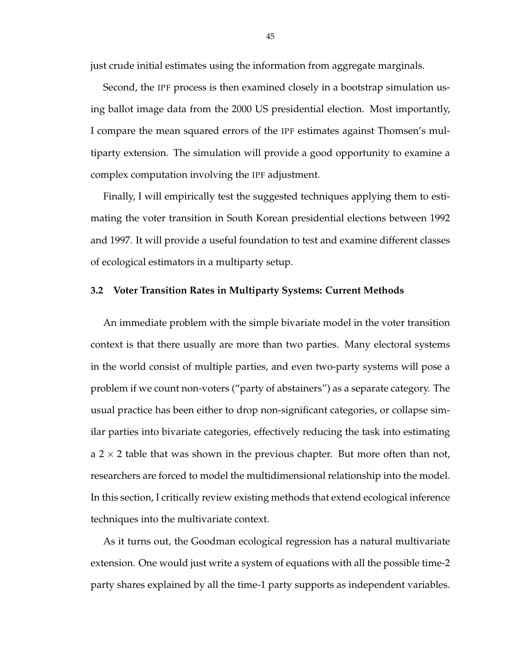just crude initial estimates using the information from aggregate marginals.

Second, the IPF process is then examined closely in a bootstrap simulation using ballot image data from the 2000 US presidential election. Most importantly, I compare the mean squared errors of the IPF estimates against Thomsen's multiparty extension. The simulation will provide a good opportunity to examine a complex computation involving the IPF adjustment.

Finally, I will empirically test the suggested techniques applying them to estimating the voter transition in South Korean presidential elections between 1992 and 1997. It will provide a useful foundation to test and examine different classes of ecological estimators in a multiparty setup.

## **3.2 Voter Transition Rates in Multiparty Systems: Current Methods**

An immediate problem with the simple bivariate model in the voter transition context is that there usually are more than two parties. Many electoral systems in the world consist of multiple parties, and even two-party systems will pose a problem if we count non-voters ("party of abstainers") as a separate category. The usual practice has been either to drop non-significant categories, or collapse similar parties into bivariate categories, effectively reducing the task into estimating a 2  $\times$  2 table that was shown in the previous chapter. But more often than not, researchers are forced to model the multidimensional relationship into the model. In this section, I critically review existing methods that extend ecological inference techniques into the multivariate context.

As it turns out, the Goodman ecological regression has a natural multivariate extension. One would just write a system of equations with all the possible time-2 party shares explained by all the time-1 party supports as independent variables.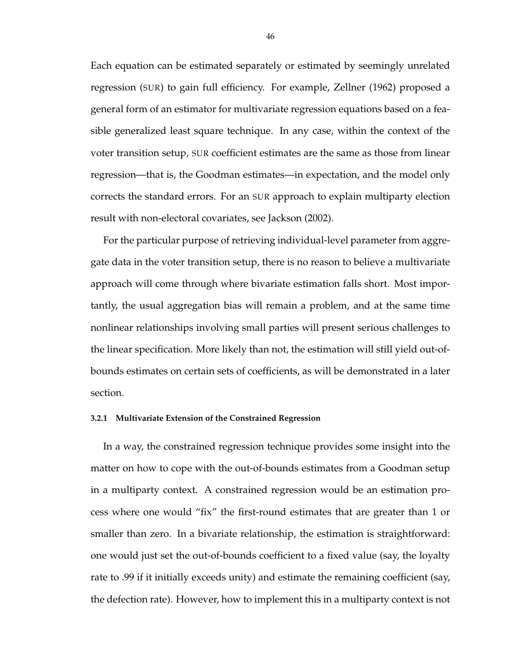Each equation can be estimated separately or estimated by seemingly unrelated regression (SUR) to gain full efficiency. For example, Zellner (1962) proposed a general form of an estimator for multivariate regression equations based on a feasible generalized least square technique. In any case, within the context of the voter transition setup, SUR coefficient estimates are the same as those from linear regression—that is, the Goodman estimates—in expectation, and the model only corrects the standard errors. For an SUR approach to explain multiparty election result with non-electoral covariates, see Jackson (2002).

For the particular purpose of retrieving individual-level parameter from aggregate data in the voter transition setup, there is no reason to believe a multivariate approach will come through where bivariate estimation falls short. Most importantly, the usual aggregation bias will remain a problem, and at the same time nonlinear relationships involving small parties will present serious challenges to the linear specification. More likely than not, the estimation will still yield out-ofbounds estimates on certain sets of coefficients, as will be demonstrated in a later section.

#### **3.2.1 Multivariate Extension of the Constrained Regression**

In a way, the constrained regression technique provides some insight into the matter on how to cope with the out-of-bounds estimates from a Goodman setup in a multiparty context. A constrained regression would be an estimation process where one would "fix" the first-round estimates that are greater than 1 or smaller than zero. In a bivariate relationship, the estimation is straightforward: one would just set the out-of-bounds coefficient to a fixed value (say, the loyalty rate to .99 if it initially exceeds unity) and estimate the remaining coefficient (say, the defection rate). However, how to implement this in a multiparty context is not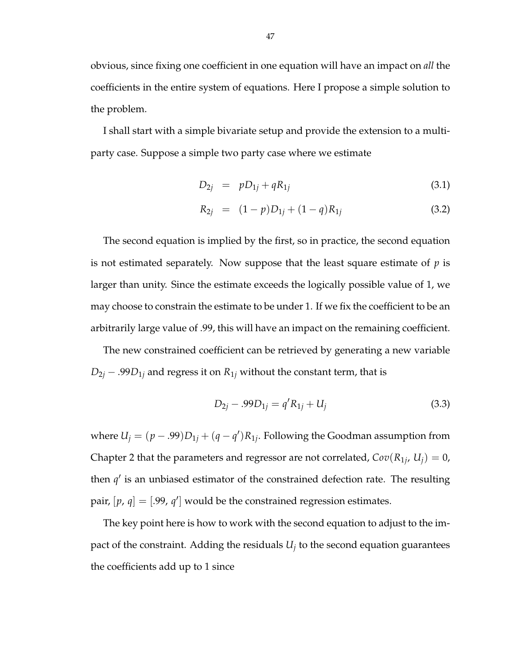obvious, since fixing one coefficient in one equation will have an impact on *all* the coefficients in the entire system of equations. Here I propose a simple solution to the problem.

I shall start with a simple bivariate setup and provide the extension to a multiparty case. Suppose a simple two party case where we estimate

$$
D_{2j} = p D_{1j} + q R_{1j} \tag{3.1}
$$

$$
R_{2j} = (1-p)D_{1j} + (1-q)R_{1j}
$$
 (3.2)

The second equation is implied by the first, so in practice, the second equation is not estimated separately. Now suppose that the least square estimate of *p* is larger than unity. Since the estimate exceeds the logically possible value of 1, we may choose to constrain the estimate to be under 1. If we fix the coefficient to be an arbitrarily large value of .99, this will have an impact on the remaining coefficient.

The new constrained coefficient can be retrieved by generating a new variable  $D_{2j}$  – .99 $D_{1j}$  and regress it on  $R_{1j}$  without the constant term, that is

$$
D_{2j} - .99D_{1j} = q'R_{1j} + U_j \tag{3.3}
$$

where  $U_j = (p - .99)D_{1j} + (q - q')R_{1j}$ . Following the Goodman assumption from Chapter 2 that the parameters and regressor are not correlated,  $Cov(R_{1j}, U_j) = 0$ , then  $q'$  is an unbiased estimator of the constrained defection rate. The resulting pair,  $[p, q] = [.99, q']$  would be the constrained regression estimates.

The key point here is how to work with the second equation to adjust to the impact of the constraint. Adding the residuals *U<sup>j</sup>* to the second equation guarantees the coefficients add up to 1 since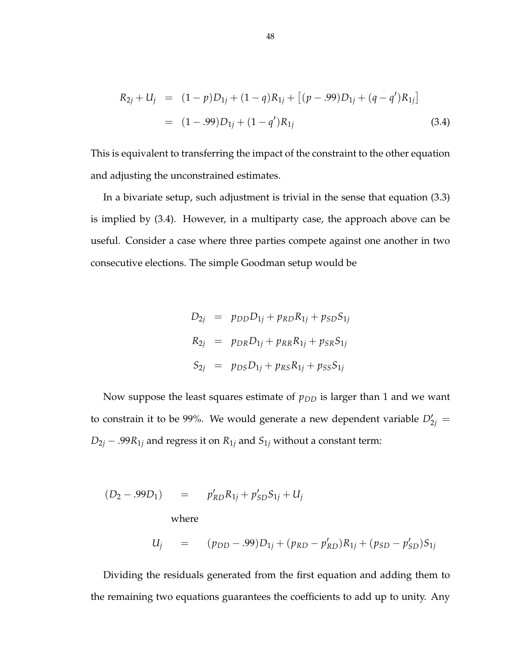$$
R_{2j} + U_j = (1 - p)D_{1j} + (1 - q)R_{1j} + [(p - .99)D_{1j} + (q - q')R_{1j}]
$$
  
= (1 - .99)D\_{1j} + (1 - q')R\_{1j} (3.4)

This is equivalent to transferring the impact of the constraint to the other equation and adjusting the unconstrained estimates.

In a bivariate setup, such adjustment is trivial in the sense that equation (3.3) is implied by (3.4). However, in a multiparty case, the approach above can be useful. Consider a case where three parties compete against one another in two consecutive elections. The simple Goodman setup would be

$$
D_{2j} = p_{DD}D_{1j} + p_{RD}R_{1j} + p_{SD}S_{1j}
$$
  
\n
$$
R_{2j} = p_{DR}D_{1j} + p_{RR}R_{1j} + p_{SR}S_{1j}
$$
  
\n
$$
S_{2j} = p_{DS}D_{1j} + p_{RS}R_{1j} + p_{SS}S_{1j}
$$

Now suppose the least squares estimate of  $p_{DD}$  is larger than 1 and we want to constrain it to be 99%. We would generate a new dependent variable  $D'_{2j} =$  $D_{2j}$  – .99 $R_{1j}$  and regress it on  $R_{1j}$  and  $S_{1j}$  without a constant term:

$$
(D_2 - .99D_1) = p'_{RD}R_{1j} + p'_{SD}S_{1j} + U_j
$$
  
where  

$$
U_j = (p_{DD} - .99)D_{1j} + (p_{RD} - p'_{RD})R_{1j} + (p_{SD} - p'_{SD})S_{1j}
$$

Dividing the residuals generated from the first equation and adding them to the remaining two equations guarantees the coefficients to add up to unity. Any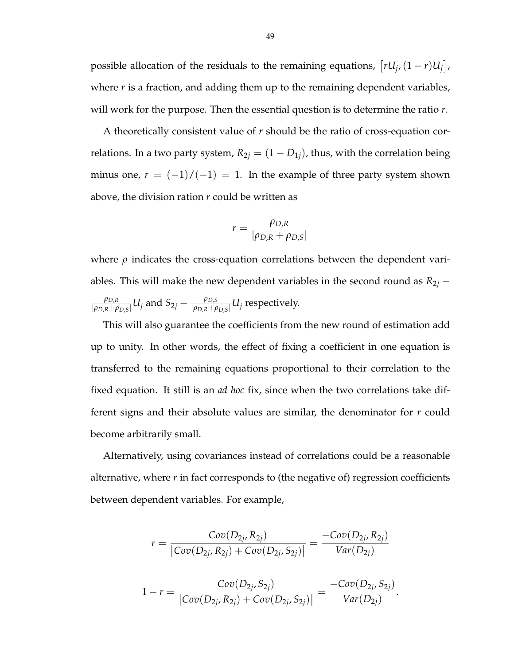possible allocation of the residuals to the remaining equations,  $[rU_j, (1 - r)U_j]$ l<br>E , where *r* is a fraction, and adding them up to the remaining dependent variables, will work for the purpose. Then the essential question is to determine the ratio *r*.

A theoretically consistent value of *r* should be the ratio of cross-equation correlations. In a two party system,  $R_{2j} = (1 - D_{1j})$ , thus, with the correlation being minus one,  $r = (-1)/(-1) = 1$ . In the example of three party system shown above, the division ration *r* could be written as

$$
r = \frac{\rho_{D,R}}{|\rho_{D,R} + \rho_{D,S}|}
$$

where  $\rho$  indicates the cross-equation correlations between the dependent variables. This will make the new dependent variables in the second round as  $R_{2j}$  − *ρD*,*<sup>R</sup>*  $\frac{\rho_{D,R}}{|\rho_{D,R}+\rho_{D,S}|} U_j$  and  $S_{2j} - \frac{\rho_{D,S}}{|\rho_{D,R}+\rho_{D,S}|}$  $\frac{\rho_{D,S}}{|\rho_{D,R}+\rho_{D,S}|}U_j$  respectively.

This will also guarantee the coefficients from the new round of estimation add up to unity. In other words, the effect of fixing a coefficient in one equation is transferred to the remaining equations proportional to their correlation to the fixed equation. It still is an *ad hoc* fix, since when the two correlations take different signs and their absolute values are similar, the denominator for *r* could become arbitrarily small.

Alternatively, using covariances instead of correlations could be a reasonable alternative, where *r* in fact corresponds to (the negative of) regression coefficients between dependent variables. For example,

$$
r = \frac{Cov(D_{2j}, R_{2j})}{|Cov(D_{2j}, R_{2j}) + Cov(D_{2j}, S_{2j})|} = \frac{-Cov(D_{2j}, R_{2j})}{Var(D_{2j})}
$$

$$
1 - r = \frac{Cov(D_{2j}, S_{2j})}{|Cov(D_{2j}, R_{2j}) + Cov(D_{2j}, S_{2j})|} = \frac{-Cov(D_{2j}, S_{2j})}{Var(D_{2j})}
$$

.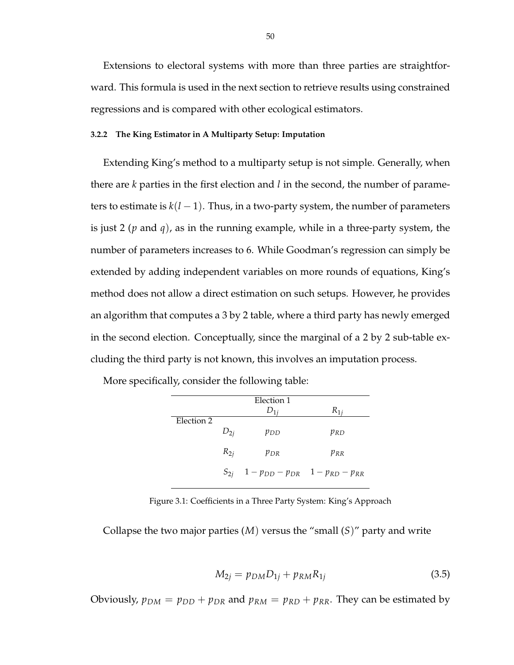Extensions to electoral systems with more than three parties are straightforward. This formula is used in the next section to retrieve results using constrained regressions and is compared with other ecological estimators.

## **3.2.2 The King Estimator in A Multiparty Setup: Imputation**

Extending King's method to a multiparty setup is not simple. Generally, when there are *k* parties in the first election and *l* in the second, the number of parameters to estimate is  $k(l-1)$ . Thus, in a two-party system, the number of parameters is just 2 (*p* and *q*), as in the running example, while in a three-party system, the number of parameters increases to 6. While Goodman's regression can simply be extended by adding independent variables on more rounds of equations, King's method does not allow a direct estimation on such setups. However, he provides an algorithm that computes a 3 by 2 table, where a third party has newly emerged in the second election. Conceptually, since the marginal of a 2 by 2 sub-table excluding the third party is not known, this involves an imputation process.

More specifically, consider the following table:

|            |          | Election 1                                               |          |
|------------|----------|----------------------------------------------------------|----------|
|            |          |                                                          | $R_{1i}$ |
| Election 2 |          |                                                          |          |
|            | $D_{2i}$ | $p_{DD}$                                                 | $p_{RD}$ |
|            | $R_{2i}$ | $p_{DR}$                                                 | $p_{RR}$ |
|            |          | $S_{2j}$ 1 - $p_{DD}$ - $p_{DR}$ 1 - $p_{RD}$ - $p_{RR}$ |          |

Figure 3.1: Coefficients in a Three Party System: King's Approach

Collapse the two major parties (*M*) versus the "small (*S*)" party and write

$$
M_{2j} = p_{DM} D_{1j} + p_{RM} R_{1j}
$$
 (3.5)

Obviously,  $p_{DM} = p_{DD} + p_{DR}$  and  $p_{RM} = p_{RD} + p_{RR}$ . They can be estimated by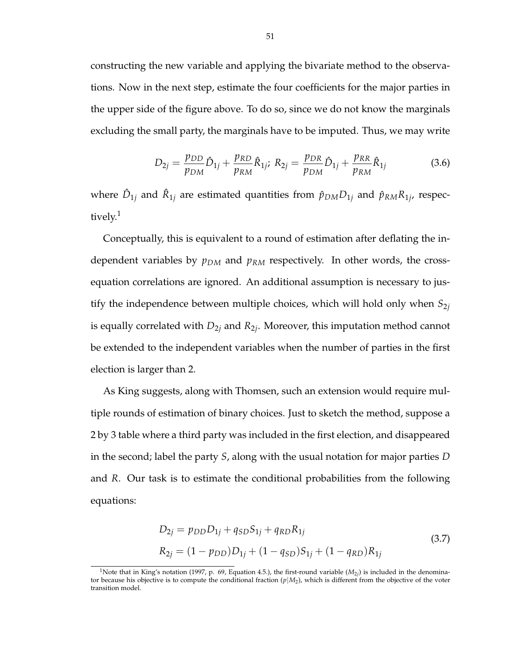constructing the new variable and applying the bivariate method to the observations. Now in the next step, estimate the four coefficients for the major parties in the upper side of the figure above. To do so, since we do not know the marginals excluding the small party, the marginals have to be imputed. Thus, we may write

$$
D_{2j} = \frac{p_{DD}}{p_{DM}} \hat{D}_{1j} + \frac{p_{RD}}{p_{RM}} \hat{R}_{1j}; \ R_{2j} = \frac{p_{DR}}{p_{DM}} \hat{D}_{1j} + \frac{p_{RR}}{p_{RM}} \hat{R}_{1j}
$$
(3.6)

where  $\hat{D}_{1j}$  and  $\hat{R}_{1j}$  are estimated quantities from  $\hat{p}_{DM}D_{1j}$  and  $\hat{p}_{RM}R_{1j}$ , respectively.<sup>1</sup>

Conceptually, this is equivalent to a round of estimation after deflating the independent variables by *pDM* and *pRM* respectively. In other words, the crossequation correlations are ignored. An additional assumption is necessary to justify the independence between multiple choices, which will hold only when  $S_{2j}$ is equally correlated with *D*2*<sup>j</sup>* and *R*2*<sup>j</sup>* . Moreover, this imputation method cannot be extended to the independent variables when the number of parties in the first election is larger than 2.

As King suggests, along with Thomsen, such an extension would require multiple rounds of estimation of binary choices. Just to sketch the method, suppose a 2 by 3 table where a third party was included in the first election, and disappeared in the second; label the party *S*, along with the usual notation for major parties *D* and *R*. Our task is to estimate the conditional probabilities from the following equations:

$$
D_{2j} = p_{DD}D_{1j} + q_{SD}S_{1j} + q_{RD}R_{1j}
$$
  
\n
$$
R_{2j} = (1 - p_{DD})D_{1j} + (1 - q_{SD})S_{1j} + (1 - q_{RD})R_{1j}
$$
\n(3.7)

<sup>&</sup>lt;sup>1</sup>Note that in King's notation (1997, p. 69, Equation 4.5.), the first-round variable  $(M_{2*j*})$  is included in the denominator because his objective is to compute the conditional fraction  $(p|M_2)$ , which is different from the objective of the voter transition model.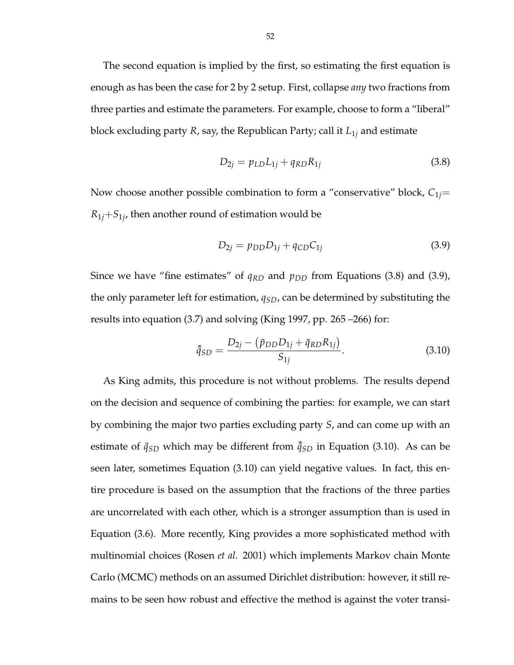The second equation is implied by the first, so estimating the first equation is enough as has been the case for 2 by 2 setup. First, collapse *any* two fractions from three parties and estimate the parameters. For example, choose to form a "liberal" block excluding party *R*, say, the Republican Party; call it *L*1*<sup>j</sup>* and estimate

$$
D_{2j} = p_{LD}L_{1j} + q_{RD}R_{1j}
$$
 (3.8)

Now choose another possible combination to form a "conservative" block,  $C_{1j}$ =  $R_{1j}$ + $S_{1j}$ , then another round of estimation would be

$$
D_{2j} = p_{DD}D_{1j} + q_{CD}C_{1j}
$$
 (3.9)

Since we have "fine estimates" of  $q_{RD}$  and  $p_{DD}$  from Equations (3.8) and (3.9), the only parameter left for estimation, *qSD*, can be determined by substituting the results into equation (3.7) and solving (King 1997, pp. 265 –266) for:

$$
\tilde{\tilde{q}}_{SD} = \frac{D_{2j} - (\tilde{p}_{DD}D_{1j} + \tilde{q}_{RD}R_{1j})}{S_{1j}}.
$$
\n(3.10)

As King admits, this procedure is not without problems. The results depend on the decision and sequence of combining the parties: for example, we can start by combining the major two parties excluding party *S*, and can come up with an estimate of  $\tilde{q}_{SD}$  which may be different from  $\tilde{q}_{SD}$  in Equation (3.10). As can be seen later, sometimes Equation (3.10) can yield negative values. In fact, this entire procedure is based on the assumption that the fractions of the three parties are uncorrelated with each other, which is a stronger assumption than is used in Equation (3.6). More recently, King provides a more sophisticated method with multinomial choices (Rosen *et al*. 2001) which implements Markov chain Monte Carlo (MCMC) methods on an assumed Dirichlet distribution: however, it still remains to be seen how robust and effective the method is against the voter transi-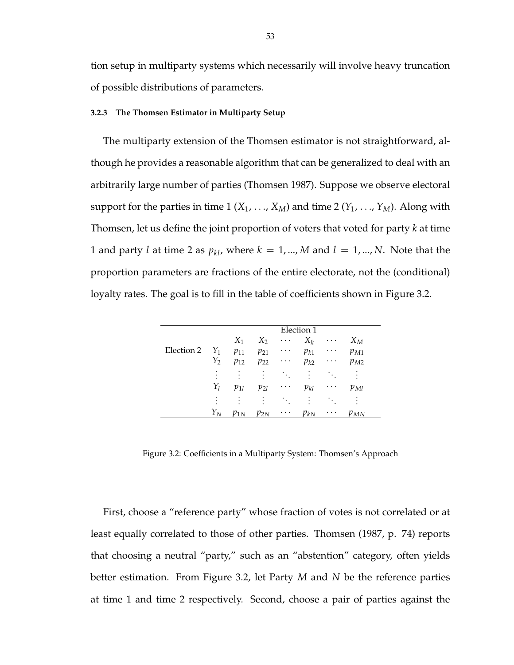tion setup in multiparty systems which necessarily will involve heavy truncation of possible distributions of parameters.

#### **3.2.3 The Thomsen Estimator in Multiparty Setup**

The multiparty extension of the Thomsen estimator is not straightforward, although he provides a reasonable algorithm that can be generalized to deal with an arbitrarily large number of parties (Thomsen 1987). Suppose we observe electoral support for the parties in time 1 ( $X_1$ , ...,  $X_M$ ) and time 2 ( $Y_1$ , ...,  $Y_M$ ). Along with Thomsen, let us define the joint proportion of voters that voted for party *k* at time 1 and party *l* at time 2 as  $p_{kl}$ , where  $k = 1, ..., M$  and  $l = 1, ..., N$ . Note that the proportion parameters are fractions of the entire electorate, not the (conditional) loyalty rates. The goal is to fill in the table of coefficients shown in Figure 3.2.

|            |                |          |           |           | Election 1 |          |          |  |
|------------|----------------|----------|-----------|-----------|------------|----------|----------|--|
|            |                | $X_1$    | $X_2$     | $\cdots$  | $X_k$      | $\cdots$ | $X_M$    |  |
| Election 2 | $Y_1$          | $p_{11}$ | $p_{21}$  | $\cdots$  | $p_{k1}$   | $\cdots$ | $p_{M1}$ |  |
|            | $Y_2$          | $p_{12}$ | $p_{22}$  | $\cdot$ . | $p_{k2}$   | $\cdots$ | $p_{M2}$ |  |
|            | ٠<br>$\bullet$ | ٠        | $\bullet$ | ÷.,       | $\bullet$  |          | ٠        |  |
|            | $Y_l$          | $p_{1l}$ | $p_{2l}$  | $\cdots$  | $p_{kl}$   | $\cdots$ | $p_{Ml}$ |  |
|            | ٠<br>٠         | ٠        | $\bullet$ | <b>A</b>  | $\bullet$  |          |          |  |
|            | $Y_N$          | $p_{1N}$ | $p_{2N}$  | $\cdots$  | $p_{kN}$   | $\cdots$ | $p_{MN}$ |  |

Figure 3.2: Coefficients in a Multiparty System: Thomsen's Approach

First, choose a "reference party" whose fraction of votes is not correlated or at least equally correlated to those of other parties. Thomsen (1987, p. 74) reports that choosing a neutral "party," such as an "abstention" category, often yields better estimation. From Figure 3.2, let Party *M* and *N* be the reference parties at time 1 and time 2 respectively. Second, choose a pair of parties against the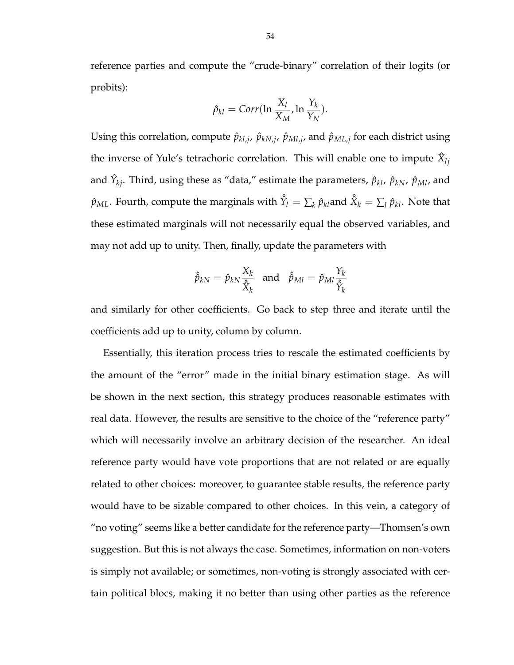reference parties and compute the "crude-binary" correlation of their logits (or probits):

$$
\hat{\rho}_{kl} = Corr(\ln \frac{X_l}{X_M}, \ln \frac{Y_k}{Y_N}).
$$

Using this correlation, compute  $\hat{p}_{kl,j}$ ,  $\hat{p}_{kN,j}$ ,  $\hat{p}_{Ml,j}$ , and  $\hat{p}_{ML,j}$  for each district using the inverse of Yule's tetrachoric correlation. This will enable one to impute  $\hat{X}_{lj}$ and  $\hat{Y}_{kj}$ . Third, using these as "data," estimate the parameters,  $\hat{p}_{kl}$ ,  $\hat{p}_{kN}$ ,  $\hat{p}_{MI}$ , and  $\hat{p}_{ML}$ . Fourth, compute the marginals with  $\hat{\hat{Y}}_l = \sum_k \hat{p}_{kl}$ and  $\hat{\hat{X}}_k = \sum_l \hat{p}_{kl}$ . Note that these estimated marginals will not necessarily equal the observed variables, and may not add up to unity. Then, finally, update the parameters with

$$
\hat{\hat{p}}_{kN} = \hat{p}_{kN} \frac{X_k}{\hat{X}_k} \text{ and } \hat{\hat{p}}_{Ml} = \hat{p}_{Ml} \frac{Y_k}{\hat{Y}_k}
$$

and similarly for other coefficients. Go back to step three and iterate until the coefficients add up to unity, column by column.

Essentially, this iteration process tries to rescale the estimated coefficients by the amount of the "error" made in the initial binary estimation stage. As will be shown in the next section, this strategy produces reasonable estimates with real data. However, the results are sensitive to the choice of the "reference party" which will necessarily involve an arbitrary decision of the researcher. An ideal reference party would have vote proportions that are not related or are equally related to other choices: moreover, to guarantee stable results, the reference party would have to be sizable compared to other choices. In this vein, a category of "no voting" seems like a better candidate for the reference party—Thomsen's own suggestion. But this is not always the case. Sometimes, information on non-voters is simply not available; or sometimes, non-voting is strongly associated with certain political blocs, making it no better than using other parties as the reference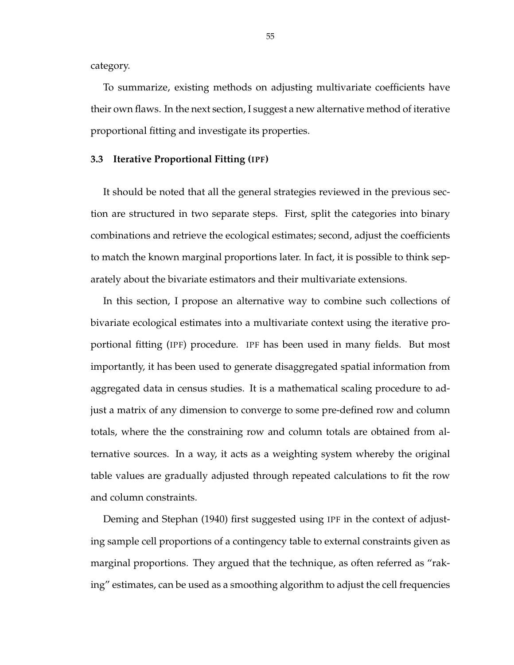category.

To summarize, existing methods on adjusting multivariate coefficients have their own flaws. In the next section, I suggest a new alternative method of iterative proportional fitting and investigate its properties.

#### **3.3 Iterative Proportional Fitting (IPF)**

It should be noted that all the general strategies reviewed in the previous section are structured in two separate steps. First, split the categories into binary combinations and retrieve the ecological estimates; second, adjust the coefficients to match the known marginal proportions later. In fact, it is possible to think separately about the bivariate estimators and their multivariate extensions.

In this section, I propose an alternative way to combine such collections of bivariate ecological estimates into a multivariate context using the iterative proportional fitting (IPF) procedure. IPF has been used in many fields. But most importantly, it has been used to generate disaggregated spatial information from aggregated data in census studies. It is a mathematical scaling procedure to adjust a matrix of any dimension to converge to some pre-defined row and column totals, where the the constraining row and column totals are obtained from alternative sources. In a way, it acts as a weighting system whereby the original table values are gradually adjusted through repeated calculations to fit the row and column constraints.

Deming and Stephan (1940) first suggested using IPF in the context of adjusting sample cell proportions of a contingency table to external constraints given as marginal proportions. They argued that the technique, as often referred as "raking" estimates, can be used as a smoothing algorithm to adjust the cell frequencies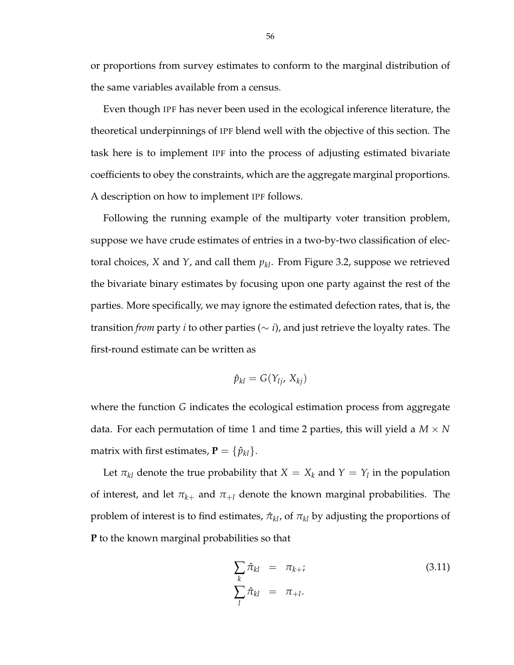or proportions from survey estimates to conform to the marginal distribution of the same variables available from a census.

Even though IPF has never been used in the ecological inference literature, the theoretical underpinnings of IPF blend well with the objective of this section. The task here is to implement IPF into the process of adjusting estimated bivariate coefficients to obey the constraints, which are the aggregate marginal proportions. A description on how to implement IPF follows.

Following the running example of the multiparty voter transition problem, suppose we have crude estimates of entries in a two-by-two classification of electoral choices, *X* and *Y*, and call them *pkl*. From Figure 3.2, suppose we retrieved the bivariate binary estimates by focusing upon one party against the rest of the parties. More specifically, we may ignore the estimated defection rates, that is, the transition *from* party *i* to other parties ( $\sim$  *i*), and just retrieve the loyalty rates. The first-round estimate can be written as

$$
\hat{p}_{kl}=G(Y_{lj},\,X_{kj})
$$

where the function *G* indicates the ecological estimation process from aggregate data. For each permutation of time 1 and time 2 parties, this will yield a  $M \times N$ matrix with first estimates,  $P = \{\hat{p}_{kl}\}.$ 

Let  $\pi_{kl}$  denote the true probability that  $X = X_k$  and  $Y = Y_l$  in the population of interest, and let  $\pi_{k+}$  and  $\pi_{+l}$  denote the known marginal probabilities. The problem of interest is to find estimates,  $\hat{\pi}_{kl}$ , of  $\pi_{kl}$  by adjusting the proportions of **P** to the known marginal probabilities so that

$$
\sum_{k} \hat{\pi}_{kl} = \pi_{k+i} \tag{3.11}
$$
\n
$$
\sum_{l} \hat{\pi}_{kl} = \pi_{+l}.
$$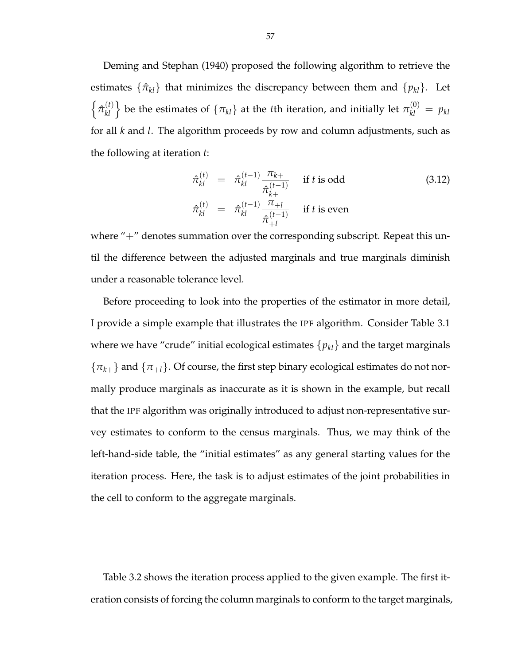Deming and Stephan (1940) proposed the following algorithm to retrieve the estimates  $\{\hat{\pi}_{kl}\}\$  that minimizes the discrepancy between them and  $\{p_{kl}\}\$ . Let n  $\hat{\pi}_{\scriptscriptstyle kl}^{(t)}$  $\begin{bmatrix} h^{(t)} \\ h^{(t)} \end{bmatrix}$  be the estimates of  $\{\pi_{kl}\}$  at the *t*th iteration, and initially let  $\pi_{kl}^{(0)} = p_{kl}$ for all *k* and *l*. The algorithm proceeds by row and column adjustments, such as the following at iteration *t*:

$$
\hat{\pi}_{kl}^{(t)} = \hat{\pi}_{kl}^{(t-1)} \frac{\pi_{k+}}{\hat{\pi}_{k+}^{(t-1)}} \quad \text{if } t \text{ is odd} \tag{3.12}
$$
\n
$$
\hat{\pi}_{kl}^{(t)} = \hat{\pi}_{kl}^{(t-1)} \frac{\pi_{+l}}{\hat{\pi}_{+l}^{(t-1)}} \quad \text{if } t \text{ is even}
$$

where  $4 -$  denotes summation over the corresponding subscript. Repeat this until the difference between the adjusted marginals and true marginals diminish under a reasonable tolerance level.

Before proceeding to look into the properties of the estimator in more detail, I provide a simple example that illustrates the IPF algorithm. Consider Table 3.1 where we have "crude" initial ecological estimates  $\{p_{kl}\}$  and the target marginals  ${\lbrace \pi_{k+} \rbrace}$  and  ${\lbrace \pi_{+l} \rbrace}$ . Of course, the first step binary ecological estimates do not normally produce marginals as inaccurate as it is shown in the example, but recall that the IPF algorithm was originally introduced to adjust non-representative survey estimates to conform to the census marginals. Thus, we may think of the left-hand-side table, the "initial estimates" as any general starting values for the iteration process. Here, the task is to adjust estimates of the joint probabilities in the cell to conform to the aggregate marginals.

Table 3.2 shows the iteration process applied to the given example. The first iteration consists of forcing the column marginals to conform to the target marginals,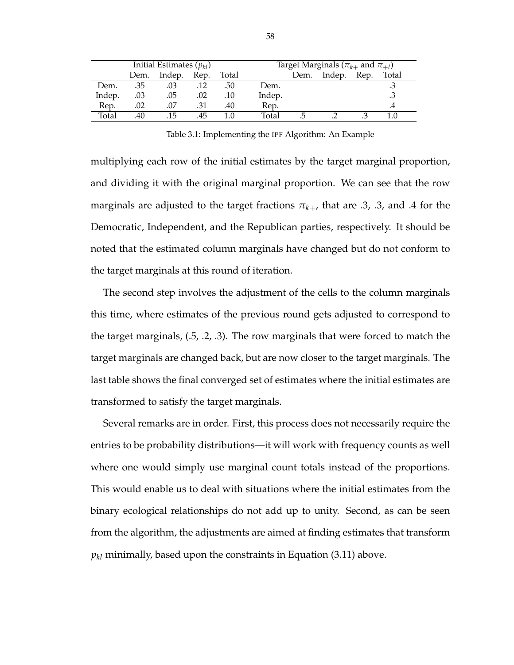| Initial Estimates $(p_{kl})$ |      |        |      |       | Target Marginals ( $\pi_{k+}$ and $\pi_{+l}$ ) |      |        |      |       |  |
|------------------------------|------|--------|------|-------|------------------------------------------------|------|--------|------|-------|--|
|                              | Dem. | Indep. | Rep. | Total |                                                | Dem. | Indep. | Rep. | Total |  |
| Dem.                         | .35  | .03    |      | .50   | Dem.                                           |      |        |      |       |  |
| Indep.                       | .03  | .05    | .02  | .10   | Indep.                                         |      |        |      |       |  |
| Rep.                         | .02  | .07    | .31  | .40   | Rep.                                           |      |        |      |       |  |
| Total                        | .40  | 15     | .45  |       | Total                                          | ∴.   |        |      |       |  |

Table 3.1: Implementing the IPF Algorithm: An Example

multiplying each row of the initial estimates by the target marginal proportion, and dividing it with the original marginal proportion. We can see that the row marginals are adjusted to the target fractions  $\pi_{k+}$ , that are .3, .3, and .4 for the Democratic, Independent, and the Republican parties, respectively. It should be noted that the estimated column marginals have changed but do not conform to the target marginals at this round of iteration.

The second step involves the adjustment of the cells to the column marginals this time, where estimates of the previous round gets adjusted to correspond to the target marginals, (.5, .2, .3). The row marginals that were forced to match the target marginals are changed back, but are now closer to the target marginals. The last table shows the final converged set of estimates where the initial estimates are transformed to satisfy the target marginals.

Several remarks are in order. First, this process does not necessarily require the entries to be probability distributions—it will work with frequency counts as well where one would simply use marginal count totals instead of the proportions. This would enable us to deal with situations where the initial estimates from the binary ecological relationships do not add up to unity. Second, as can be seen from the algorithm, the adjustments are aimed at finding estimates that transform  $p_{kl}$  minimally, based upon the constraints in Equation (3.11) above.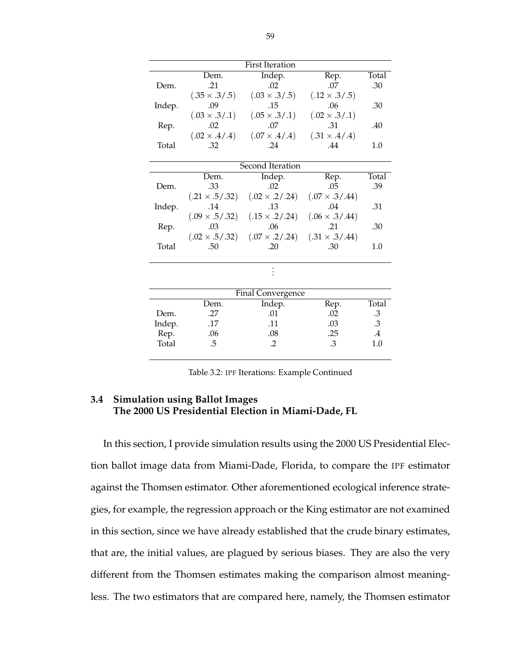|        |                       | <b>First Iteration</b>  |                         |        |
|--------|-----------------------|-------------------------|-------------------------|--------|
|        | Dem.                  | Indep.                  | Rep.                    | Total  |
| Dem.   | .21                   | .02                     | .07                     | .30    |
|        | $(.35 \times .3/.5)$  | $(.03 \times .3/.5)$    | $(.12 \times .3/.5)$    |        |
| Indep. | .09                   | .15                     | .06                     | .30    |
|        | $(.03 \times .3/.1)$  | $(.05 \times .3/.1)$    | $(.02 \times .3/.1)$    |        |
| Rep.   | .02                   | .07                     | .31                     | .40    |
|        | $(.02 \times .4/.4)$  | $(.07 \times .4/.4)$    | $(.31 \times .4/.4)$    |        |
| Total  | .32                   | .24                     | .44                     | 1.0    |
|        |                       |                         |                         |        |
|        |                       | <b>Second Iteration</b> |                         |        |
|        | Dem.                  | Indep.                  | Rep.                    | Total  |
| Dem.   | .33                   | .02                     | .05                     | .39    |
|        | $(.21 \times .5/.32)$ | $(.02 \times .2 / .24)$ | $(.07 \times .3 / .44)$ |        |
| Indep. | .14                   | .13                     | .04                     | .31    |
|        | $(.09 \times .5/.32)$ | $(.15 \times .2/.24)$   | $(.06 \times .3 / .44)$ |        |
| Rep.   | .03                   | .06                     | .21                     | .30    |
|        | $(.02 \times .5/.32)$ | $(.07 \times .2/.24)$   | $(.31 \times .3 / .44)$ |        |
| Total  | .50                   | .20                     | .30                     | 1.0    |
|        |                       |                         |                         |        |
|        |                       |                         |                         |        |
|        |                       |                         |                         |        |
|        |                       | Final Convergence       |                         |        |
|        | Dem.                  | Indep.                  | Rep.                    | Total  |
| Dem.   | .27                   | .01                     | .02                     | .3     |
| Indep. | .17                   | .11                     | .03                     | $.3\,$ |
| Rep.   | .06                   | .08                     | .25                     | $.4\,$ |
| Total  | .5                    | $\cdot$ .2              | .3                      | 1.0    |
|        |                       |                         |                         |        |

Table 3.2: IPF Iterations: Example Continued

## **3.4 Simulation using Ballot Images The 2000 US Presidential Election in Miami-Dade, FL**

In this section, I provide simulation results using the 2000 US Presidential Election ballot image data from Miami-Dade, Florida, to compare the IPF estimator against the Thomsen estimator. Other aforementioned ecological inference strategies, for example, the regression approach or the King estimator are not examined in this section, since we have already established that the crude binary estimates, that are, the initial values, are plagued by serious biases. They are also the very different from the Thomsen estimates making the comparison almost meaningless. The two estimators that are compared here, namely, the Thomsen estimator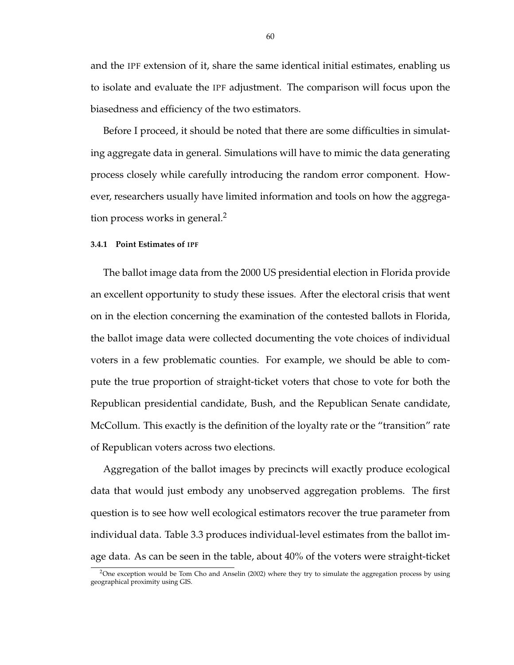and the IPF extension of it, share the same identical initial estimates, enabling us to isolate and evaluate the IPF adjustment. The comparison will focus upon the biasedness and efficiency of the two estimators.

Before I proceed, it should be noted that there are some difficulties in simulating aggregate data in general. Simulations will have to mimic the data generating process closely while carefully introducing the random error component. However, researchers usually have limited information and tools on how the aggregation process works in general. $<sup>2</sup>$ </sup>

#### **3.4.1 Point Estimates of IPF**

The ballot image data from the 2000 US presidential election in Florida provide an excellent opportunity to study these issues. After the electoral crisis that went on in the election concerning the examination of the contested ballots in Florida, the ballot image data were collected documenting the vote choices of individual voters in a few problematic counties. For example, we should be able to compute the true proportion of straight-ticket voters that chose to vote for both the Republican presidential candidate, Bush, and the Republican Senate candidate, McCollum. This exactly is the definition of the loyalty rate or the "transition" rate of Republican voters across two elections.

Aggregation of the ballot images by precincts will exactly produce ecological data that would just embody any unobserved aggregation problems. The first question is to see how well ecological estimators recover the true parameter from individual data. Table 3.3 produces individual-level estimates from the ballot image data. As can be seen in the table, about 40% of the voters were straight-ticket

<sup>&</sup>lt;sup>2</sup>One exception would be Tom Cho and Anselin (2002) where they try to simulate the aggregation process by using geographical proximity using GIS.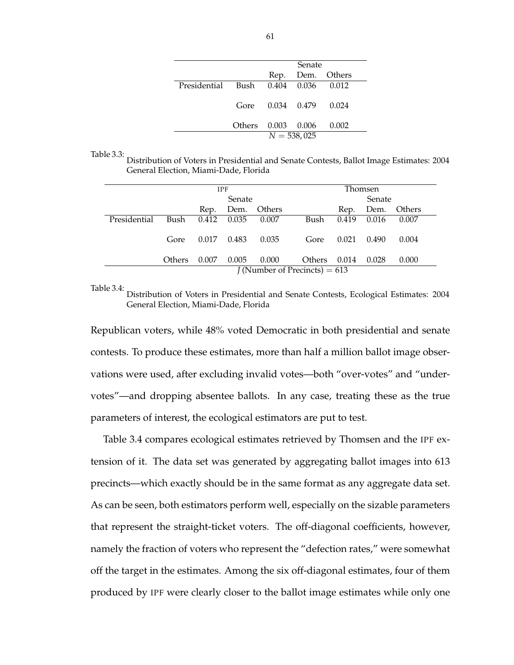|                                     |                    | <b>Senate</b>          |                  |
|-------------------------------------|--------------------|------------------------|------------------|
|                                     |                    |                        | Rep. Dem. Others |
| Presidential Bush 0.404 0.036 0.012 |                    |                        |                  |
|                                     |                    | Gore 0.034 0.479 0.024 |                  |
|                                     | Others 0.003 0.006 |                        | 0.002            |
|                                     |                    | $N = 538,025$          |                  |

Table 3.3:

Distribution of Voters in Presidential and Senate Contests, Ballot Image Estimates: 2004 General Election, Miami-Dade, Florida

|              |        |       | <b>IPF</b> |        |                                        |       | Thomsen |        |
|--------------|--------|-------|------------|--------|----------------------------------------|-------|---------|--------|
|              |        |       | Senate     |        |                                        |       | Senate  |        |
|              |        | Rep.  | Dem.       | Others |                                        | Rep.  | Dem.    | Others |
| Presidential | Bush   | 0.412 | 0.035      | 0.007  | Bush                                   | 0.419 | 0.016   | 0.007  |
|              | Gore   | 0.017 | 0.483      | 0.035  | Gore                                   | 0.021 | 0.490   | 0.004  |
|              | Others | 0.007 | 0.005      | 0.000  | Others                                 | 0.014 | 0.028   | 0.000  |
|              |        |       |            |        | <i>J</i> (Number of Precincts) = $613$ |       |         |        |

Table 3.4: Distribution of Voters in Presidential and Senate Contests, Ecological Estimates: 2004 General Election, Miami-Dade, Florida

Republican voters, while 48% voted Democratic in both presidential and senate contests. To produce these estimates, more than half a million ballot image observations were used, after excluding invalid votes—both "over-votes" and "undervotes"—and dropping absentee ballots. In any case, treating these as the true parameters of interest, the ecological estimators are put to test.

Table 3.4 compares ecological estimates retrieved by Thomsen and the IPF extension of it. The data set was generated by aggregating ballot images into 613 precincts—which exactly should be in the same format as any aggregate data set. As can be seen, both estimators perform well, especially on the sizable parameters that represent the straight-ticket voters. The off-diagonal coefficients, however, namely the fraction of voters who represent the "defection rates," were somewhat off the target in the estimates. Among the six off-diagonal estimates, four of them produced by IPF were clearly closer to the ballot image estimates while only one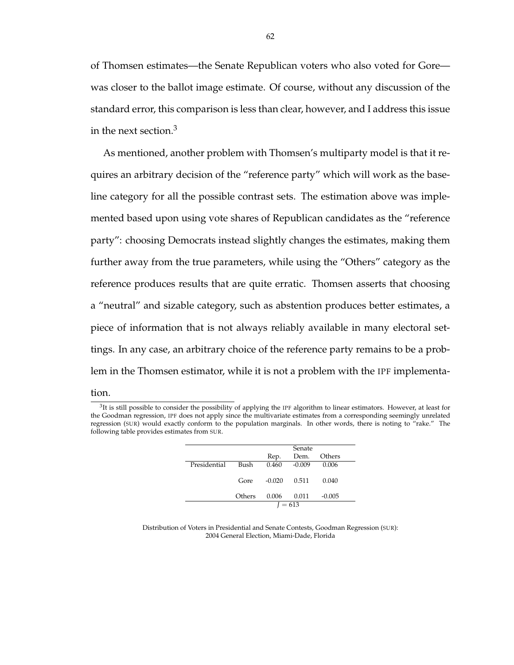of Thomsen estimates—the Senate Republican voters who also voted for Gore was closer to the ballot image estimate. Of course, without any discussion of the standard error, this comparison is less than clear, however, and I address this issue in the next section. $3$ 

As mentioned, another problem with Thomsen's multiparty model is that it requires an arbitrary decision of the "reference party" which will work as the baseline category for all the possible contrast sets. The estimation above was implemented based upon using vote shares of Republican candidates as the "reference party": choosing Democrats instead slightly changes the estimates, making them further away from the true parameters, while using the "Others" category as the reference produces results that are quite erratic. Thomsen asserts that choosing a "neutral" and sizable category, such as abstention produces better estimates, a piece of information that is not always reliably available in many electoral settings. In any case, an arbitrary choice of the reference party remains to be a problem in the Thomsen estimator, while it is not a problem with the IPF implementa-

## tion.

 ${}^{3}$ It is still possible to consider the possibility of applying the IPF algorithm to linear estimators. However, at least for the Goodman regression, IPF does not apply since the multivariate estimates from a corresponding seemingly unrelated regression (SUR) would exactly conform to the population marginals. In other words, there is noting to "rake." The following table provides estimates from SUR.

|              |        |          | Senate    |          |
|--------------|--------|----------|-----------|----------|
|              |        | Rep.     | Dem.      | Others   |
| Presidential | Bush   | 0.460    | $-0.009$  | 0.006    |
|              | Gore   | $-0.020$ | 0.511     | 0.040    |
|              | Others | 0.006    | 0.011     | $-0.005$ |
|              |        |          | $I = 613$ |          |

Distribution of Voters in Presidential and Senate Contests, Goodman Regression (SUR): 2004 General Election, Miami-Dade, Florida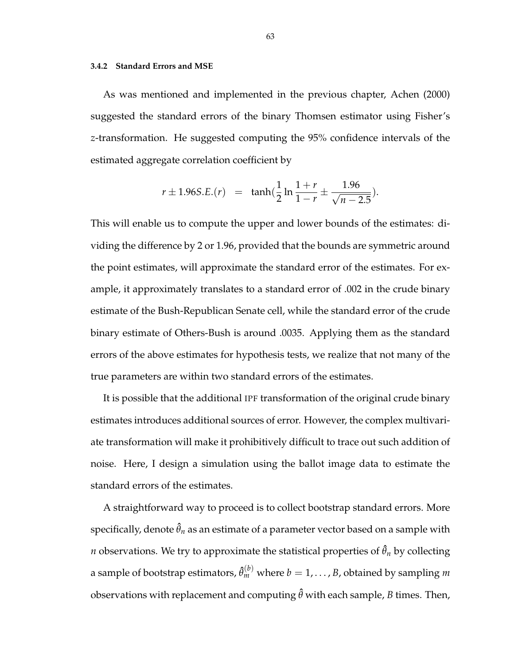#### **3.4.2 Standard Errors and MSE**

As was mentioned and implemented in the previous chapter, Achen (2000) suggested the standard errors of the binary Thomsen estimator using Fisher's *z*-transformation. He suggested computing the 95% confidence intervals of the estimated aggregate correlation coefficient by

$$
r \pm 1.96S.E.(r) = \tanh(\frac{1}{2}\ln\frac{1+r}{1-r} \pm \frac{1.96}{\sqrt{n-2.5}}).
$$

This will enable us to compute the upper and lower bounds of the estimates: dividing the difference by 2 or 1.96, provided that the bounds are symmetric around the point estimates, will approximate the standard error of the estimates. For example, it approximately translates to a standard error of .002 in the crude binary estimate of the Bush-Republican Senate cell, while the standard error of the crude binary estimate of Others-Bush is around .0035. Applying them as the standard errors of the above estimates for hypothesis tests, we realize that not many of the true parameters are within two standard errors of the estimates.

It is possible that the additional IPF transformation of the original crude binary estimates introduces additional sources of error. However, the complex multivariate transformation will make it prohibitively difficult to trace out such addition of noise. Here, I design a simulation using the ballot image data to estimate the standard errors of the estimates.

A straightforward way to proceed is to collect bootstrap standard errors. More specifically, denote  $\hat{\theta}_n$  as an estimate of a parameter vector based on a sample with *n* observations. We try to approximate the statistical properties of  $\hat{\theta}_n$  by collecting a sample of bootstrap estimators,  $\hat{\theta}_m^{(b)}$  where  $b=1,\ldots,B$ , obtained by sampling  $m$ observations with replacement and computing  $\hat{\theta}$  with each sample, *B* times. Then,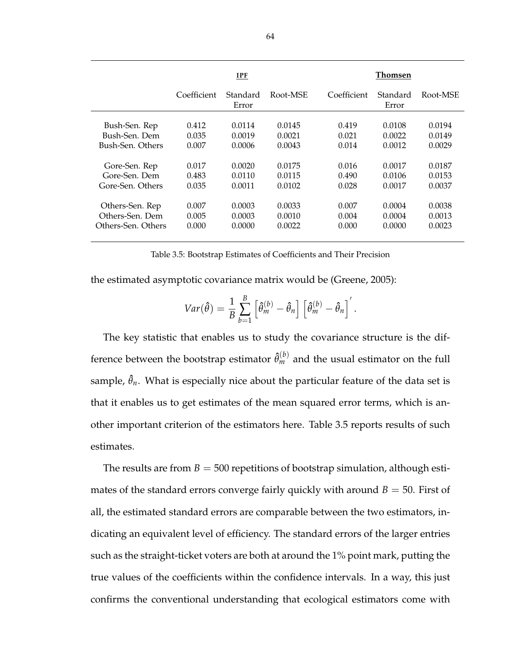|                    | IPF         |                   |          | Thomsen     |                   |          |  |
|--------------------|-------------|-------------------|----------|-------------|-------------------|----------|--|
|                    | Coefficient | Standard<br>Error | Root-MSE | Coefficient | Standard<br>Error | Root-MSE |  |
|                    |             |                   |          |             |                   |          |  |
| Bush-Sen. Rep      | 0.412       | 0.0114            | 0.0145   | 0.419       | 0.0108            | 0.0194   |  |
| Bush-Sen. Dem      | 0.035       | 0.0019            | 0.0021   | 0.021       | 0.0022            | 0.0149   |  |
| Bush-Sen. Others   | 0.007       | 0.0006            | 0.0043   | 0.014       | 0.0012            | 0.0029   |  |
| Gore-Sen. Rep      | 0.017       | 0.0020            | 0.0175   | 0.016       | 0.0017            | 0.0187   |  |
| Gore-Sen. Dem      | 0.483       | 0.0110            | 0.0115   | 0.490       | 0.0106            | 0.0153   |  |
| Gore-Sen. Others   | 0.035       | 0.0011            | 0.0102   | 0.028       | 0.0017            | 0.0037   |  |
| Others-Sen. Rep    | 0.007       | 0.0003            | 0.0033   | 0.007       | 0.0004            | 0.0038   |  |
| Others-Sen. Dem    | 0.005       | 0.0003            | 0.0010   | 0.004       | 0.0004            | 0.0013   |  |
| Others-Sen. Others | 0.000       | 0.0000            | 0.0022   | 0.000       | 0.0000            | 0.0023   |  |

Table 3.5: Bootstrap Estimates of Coefficients and Their Precision

the estimated asymptotic covariance matrix would be (Greene, 2005):

$$
Var(\hat{\theta}) = \frac{1}{B} \sum_{b=1}^{B} \left[ \hat{\theta}_m^{(b)} - \hat{\theta}_n \right] \left[ \hat{\theta}_m^{(b)} - \hat{\theta}_n \right]'
$$

The key statistic that enables us to study the covariance structure is the difference between the bootstrap estimator  $\hat{\theta}_m^{(b)}$  and the usual estimator on the full sample,  $\hat{\theta}_n$ . What is especially nice about the particular feature of the data set is that it enables us to get estimates of the mean squared error terms, which is another important criterion of the estimators here. Table 3.5 reports results of such estimates.

The results are from  $B = 500$  repetitions of bootstrap simulation, although estimates of the standard errors converge fairly quickly with around  $B = 50$ . First of all, the estimated standard errors are comparable between the two estimators, indicating an equivalent level of efficiency. The standard errors of the larger entries such as the straight-ticket voters are both at around the 1% point mark, putting the true values of the coefficients within the confidence intervals. In a way, this just confirms the conventional understanding that ecological estimators come with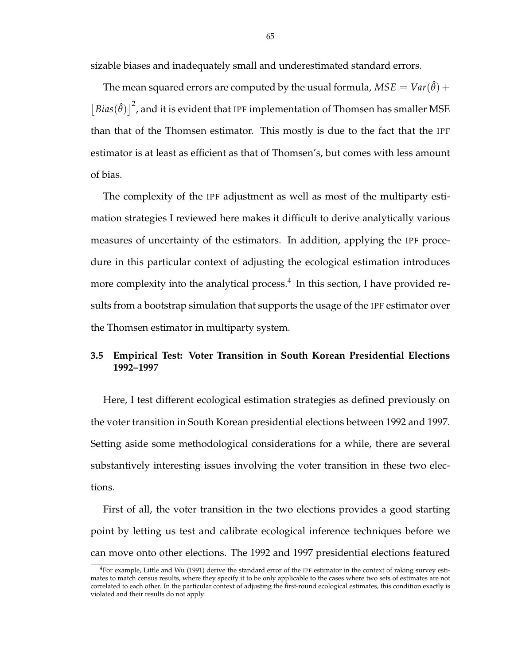sizable biases and inadequately small and underestimated standard errors.

The mean squared errors are computed by the usual formula,  $MSE = Var(\hat{\theta}) +$ £  $Bias(\hat{\theta})^2$ , and it is evident that IPF implementation of Thomsen has smaller MSE than that of the Thomsen estimator. This mostly is due to the fact that the IPF estimator is at least as efficient as that of Thomsen's, but comes with less amount of bias.

The complexity of the IPF adjustment as well as most of the multiparty estimation strategies I reviewed here makes it difficult to derive analytically various measures of uncertainty of the estimators. In addition, applying the IPF procedure in this particular context of adjusting the ecological estimation introduces more complexity into the analytical process.<sup>4</sup> In this section, I have provided results from a bootstrap simulation that supports the usage of the IPF estimator over the Thomsen estimator in multiparty system.

# **3.5 Empirical Test: Voter Transition in South Korean Presidential Elections 1992–1997**

Here, I test different ecological estimation strategies as defined previously on the voter transition in South Korean presidential elections between 1992 and 1997. Setting aside some methodological considerations for a while, there are several substantively interesting issues involving the voter transition in these two elections.

First of all, the voter transition in the two elections provides a good starting point by letting us test and calibrate ecological inference techniques before we can move onto other elections. The 1992 and 1997 presidential elections featured

 $4$ For example, Little and Wu (1991) derive the standard error of the IPF estimator in the context of raking survey estimates to match census results, where they specify it to be only applicable to the cases where two sets of estimates are not correlated to each other. In the particular context of adjusting the first-round ecological estimates, this condition exactly is violated and their results do not apply.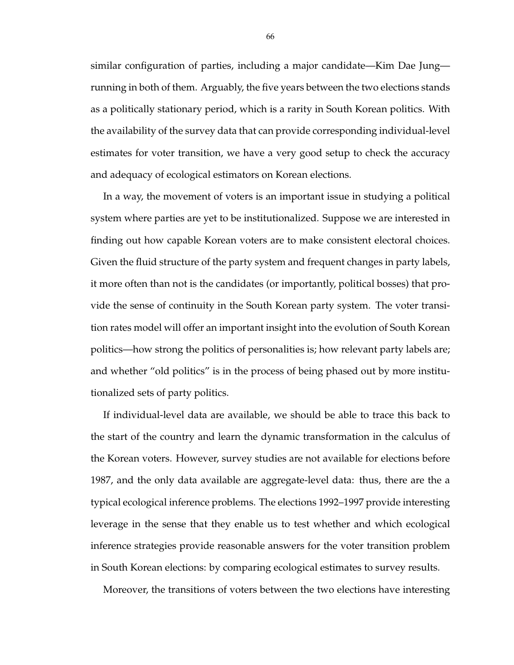similar configuration of parties, including a major candidate—Kim Dae Jung running in both of them. Arguably, the five years between the two elections stands as a politically stationary period, which is a rarity in South Korean politics. With the availability of the survey data that can provide corresponding individual-level estimates for voter transition, we have a very good setup to check the accuracy and adequacy of ecological estimators on Korean elections.

In a way, the movement of voters is an important issue in studying a political system where parties are yet to be institutionalized. Suppose we are interested in finding out how capable Korean voters are to make consistent electoral choices. Given the fluid structure of the party system and frequent changes in party labels, it more often than not is the candidates (or importantly, political bosses) that provide the sense of continuity in the South Korean party system. The voter transition rates model will offer an important insight into the evolution of South Korean politics—how strong the politics of personalities is; how relevant party labels are; and whether "old politics" is in the process of being phased out by more institutionalized sets of party politics.

If individual-level data are available, we should be able to trace this back to the start of the country and learn the dynamic transformation in the calculus of the Korean voters. However, survey studies are not available for elections before 1987, and the only data available are aggregate-level data: thus, there are the a typical ecological inference problems. The elections 1992–1997 provide interesting leverage in the sense that they enable us to test whether and which ecological inference strategies provide reasonable answers for the voter transition problem in South Korean elections: by comparing ecological estimates to survey results.

Moreover, the transitions of voters between the two elections have interesting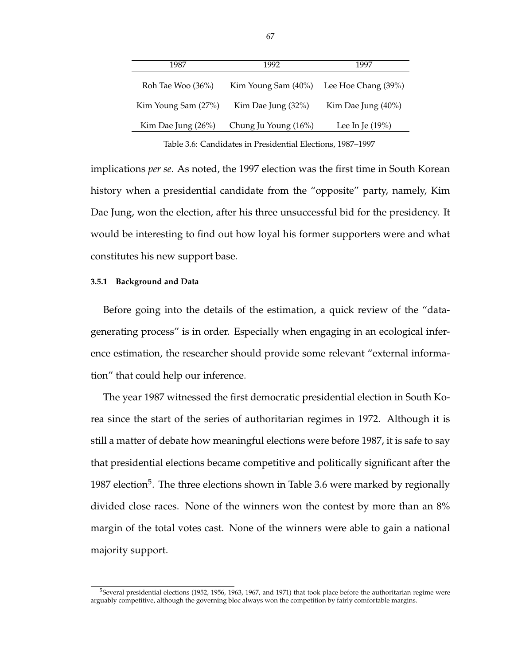| 1987                | 1992                 | 1997                |  |
|---------------------|----------------------|---------------------|--|
| Roh Tae Woo (36%)   | Kim Young Sam (40%)  | Lee Hoe Chang (39%) |  |
| Kim Young Sam (27%) | Kim Dae Jung (32%)   | Kim Dae Jung (40%)  |  |
| Kim Dae Jung (26%)  | Chung Ju Young (16%) | Lee In Je $(19\%)$  |  |
|                     |                      |                     |  |

Table 3.6: Candidates in Presidential Elections, 1987–1997

implications *per se*. As noted, the 1997 election was the first time in South Korean history when a presidential candidate from the "opposite" party, namely, Kim Dae Jung, won the election, after his three unsuccessful bid for the presidency. It would be interesting to find out how loyal his former supporters were and what constitutes his new support base.

## **3.5.1 Background and Data**

Before going into the details of the estimation, a quick review of the "datagenerating process" is in order. Especially when engaging in an ecological inference estimation, the researcher should provide some relevant "external information" that could help our inference.

The year 1987 witnessed the first democratic presidential election in South Korea since the start of the series of authoritarian regimes in 1972. Although it is still a matter of debate how meaningful elections were before 1987, it is safe to say that presidential elections became competitive and politically significant after the 1987 election<sup>5</sup>. The three elections shown in Table 3.6 were marked by regionally divided close races. None of the winners won the contest by more than an 8% margin of the total votes cast. None of the winners were able to gain a national majority support.

<sup>5</sup>Several presidential elections (1952, 1956, 1963, 1967, and 1971) that took place before the authoritarian regime were arguably competitive, although the governing bloc always won the competition by fairly comfortable margins.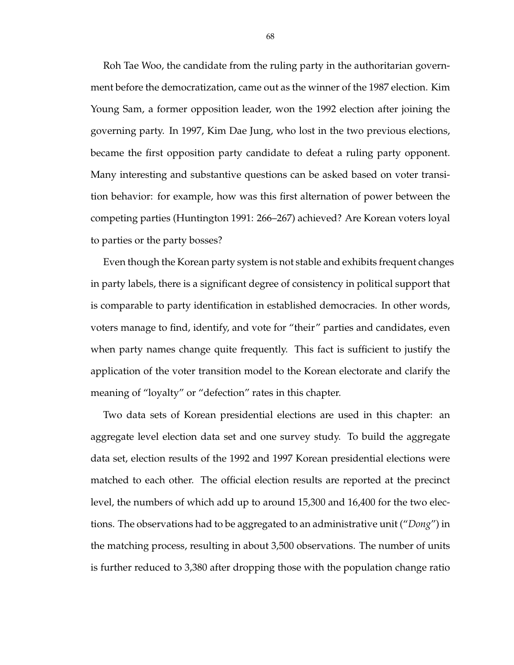Roh Tae Woo, the candidate from the ruling party in the authoritarian government before the democratization, came out as the winner of the 1987 election. Kim Young Sam, a former opposition leader, won the 1992 election after joining the governing party. In 1997, Kim Dae Jung, who lost in the two previous elections, became the first opposition party candidate to defeat a ruling party opponent. Many interesting and substantive questions can be asked based on voter transition behavior: for example, how was this first alternation of power between the competing parties (Huntington 1991: 266–267) achieved? Are Korean voters loyal to parties or the party bosses?

Even though the Korean party system is not stable and exhibits frequent changes in party labels, there is a significant degree of consistency in political support that is comparable to party identification in established democracies. In other words, voters manage to find, identify, and vote for "their" parties and candidates, even when party names change quite frequently. This fact is sufficient to justify the application of the voter transition model to the Korean electorate and clarify the meaning of "loyalty" or "defection" rates in this chapter.

Two data sets of Korean presidential elections are used in this chapter: an aggregate level election data set and one survey study. To build the aggregate data set, election results of the 1992 and 1997 Korean presidential elections were matched to each other. The official election results are reported at the precinct level, the numbers of which add up to around 15,300 and 16,400 for the two elections. The observations had to be aggregated to an administrative unit ("*Dong*") in the matching process, resulting in about 3,500 observations. The number of units is further reduced to 3,380 after dropping those with the population change ratio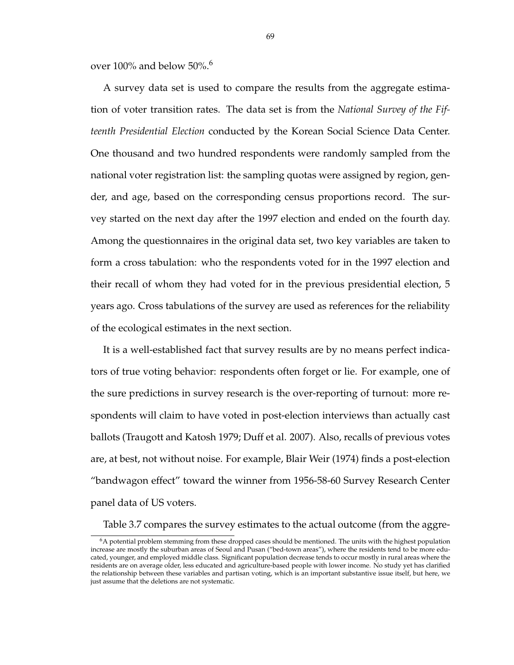over  $100\%$  and below 50%.<sup>6</sup>

A survey data set is used to compare the results from the aggregate estimation of voter transition rates. The data set is from the *National Survey of the Fifteenth Presidential Election* conducted by the Korean Social Science Data Center. One thousand and two hundred respondents were randomly sampled from the national voter registration list: the sampling quotas were assigned by region, gender, and age, based on the corresponding census proportions record. The survey started on the next day after the 1997 election and ended on the fourth day. Among the questionnaires in the original data set, two key variables are taken to form a cross tabulation: who the respondents voted for in the 1997 election and their recall of whom they had voted for in the previous presidential election, 5 years ago. Cross tabulations of the survey are used as references for the reliability of the ecological estimates in the next section.

It is a well-established fact that survey results are by no means perfect indicators of true voting behavior: respondents often forget or lie. For example, one of the sure predictions in survey research is the over-reporting of turnout: more respondents will claim to have voted in post-election interviews than actually cast ballots (Traugott and Katosh 1979; Duff et al. 2007). Also, recalls of previous votes are, at best, not without noise. For example, Blair Weir (1974) finds a post-election "bandwagon effect" toward the winner from 1956-58-60 Survey Research Center panel data of US voters.

Table 3.7 compares the survey estimates to the actual outcome (from the aggre-

 $6A$  potential problem stemming from these dropped cases should be mentioned. The units with the highest population increase are mostly the suburban areas of Seoul and Pusan ("bed-town areas"), where the residents tend to be more educated, younger, and employed middle class. Significant population decrease tends to occur mostly in rural areas where the residents are on average older, less educated and agriculture-based people with lower income. No study yet has clarified the relationship between these variables and partisan voting, which is an important substantive issue itself, but here, we just assume that the deletions are not systematic.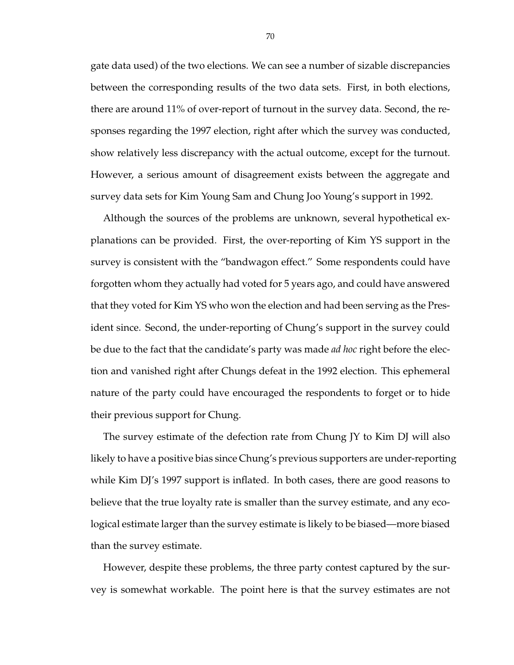gate data used) of the two elections. We can see a number of sizable discrepancies between the corresponding results of the two data sets. First, in both elections, there are around 11% of over-report of turnout in the survey data. Second, the responses regarding the 1997 election, right after which the survey was conducted, show relatively less discrepancy with the actual outcome, except for the turnout. However, a serious amount of disagreement exists between the aggregate and survey data sets for Kim Young Sam and Chung Joo Young's support in 1992.

Although the sources of the problems are unknown, several hypothetical explanations can be provided. First, the over-reporting of Kim YS support in the survey is consistent with the "bandwagon effect." Some respondents could have forgotten whom they actually had voted for 5 years ago, and could have answered that they voted for Kim YS who won the election and had been serving as the President since. Second, the under-reporting of Chung's support in the survey could be due to the fact that the candidate's party was made *ad hoc* right before the election and vanished right after Chungs defeat in the 1992 election. This ephemeral nature of the party could have encouraged the respondents to forget or to hide their previous support for Chung.

The survey estimate of the defection rate from Chung JY to Kim DJ will also likely to have a positive bias since Chung's previous supporters are under-reporting while Kim DJ's 1997 support is inflated. In both cases, there are good reasons to believe that the true loyalty rate is smaller than the survey estimate, and any ecological estimate larger than the survey estimate is likely to be biased—more biased than the survey estimate.

However, despite these problems, the three party contest captured by the survey is somewhat workable. The point here is that the survey estimates are not

70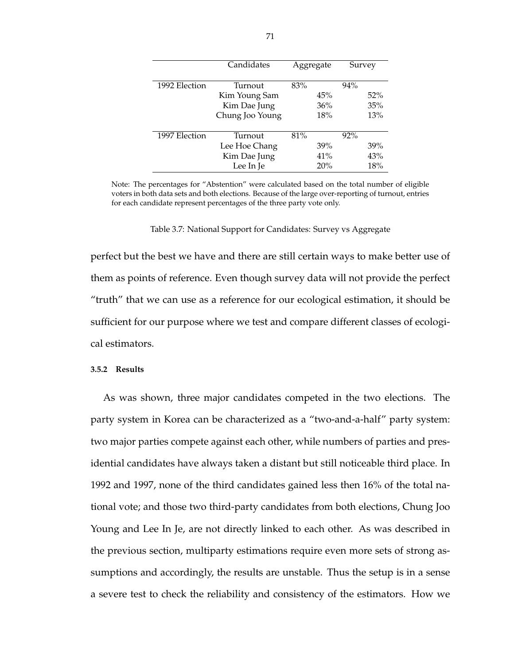|               | Candidates      |     | Aggregate |        | Survey |
|---------------|-----------------|-----|-----------|--------|--------|
| 1992 Election | Turnout         | 83% |           | $94\%$ |        |
|               | Kim Young Sam   |     | 45%       |        | $52\%$ |
|               | Kim Dae Jung    |     | 36%       |        | 35%    |
|               | Chung Joo Young |     | 18%       |        | 13%    |
| 1997 Election | Turnout         | 81% |           | $92\%$ |        |
|               | Lee Hoe Chang   |     | 39%       |        | 39%    |
|               | Kim Dae Jung    |     | 41%       |        | 43%    |
|               | Lee In Je       |     | 20%       |        | 18%    |

Note: The percentages for "Abstention" were calculated based on the total number of eligible voters in both data sets and both elections. Because of the large over-reporting of turnout, entries for each candidate represent percentages of the three party vote only.

Table 3.7: National Support for Candidates: Survey vs Aggregate

perfect but the best we have and there are still certain ways to make better use of them as points of reference. Even though survey data will not provide the perfect "truth" that we can use as a reference for our ecological estimation, it should be sufficient for our purpose where we test and compare different classes of ecological estimators.

#### **3.5.2 Results**

As was shown, three major candidates competed in the two elections. The party system in Korea can be characterized as a "two-and-a-half" party system: two major parties compete against each other, while numbers of parties and presidential candidates have always taken a distant but still noticeable third place. In 1992 and 1997, none of the third candidates gained less then 16% of the total national vote; and those two third-party candidates from both elections, Chung Joo Young and Lee In Je, are not directly linked to each other. As was described in the previous section, multiparty estimations require even more sets of strong assumptions and accordingly, the results are unstable. Thus the setup is in a sense a severe test to check the reliability and consistency of the estimators. How we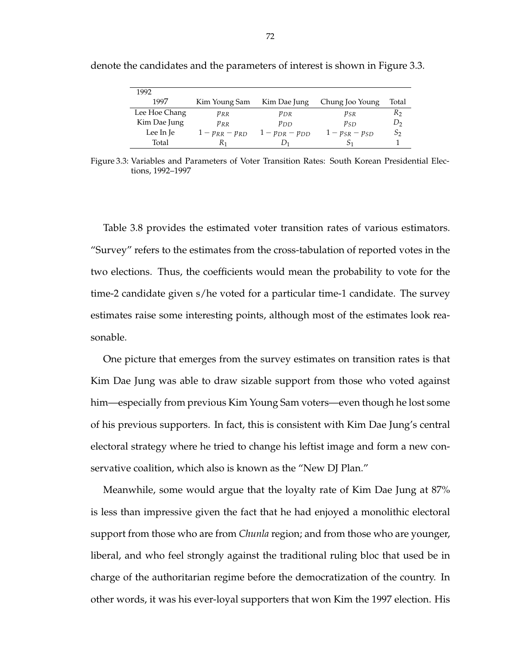| 1992          |                   |                       |                       |                |
|---------------|-------------------|-----------------------|-----------------------|----------------|
| 1997          | Kim Young Sam     | Kim Dae Jung          | Chung Joo Young       | Total          |
| Lee Hoe Chang | $p_{RR}$          | $p_{DR}$              | $p_{SR}$              | R <sub>2</sub> |
| Kim Dae Jung  | $p_{RR}$          | $p_{DD}$              | $p_{SD}$              | D <sub>2</sub> |
| Lee In Je     | $1-p_{RR}-p_{RD}$ | $1 - p_{DR} - p_{DD}$ | $1 - p_{SR} - p_{SD}$ | $S_2$          |
| Total         | R1                |                       |                       |                |

denote the candidates and the parameters of interest is shown in Figure 3.3.

Figure 3.3: Variables and Parameters of Voter Transition Rates: South Korean Presidential Elections, 1992–1997

Table 3.8 provides the estimated voter transition rates of various estimators. "Survey" refers to the estimates from the cross-tabulation of reported votes in the two elections. Thus, the coefficients would mean the probability to vote for the time-2 candidate given s/he voted for a particular time-1 candidate. The survey estimates raise some interesting points, although most of the estimates look reasonable.

One picture that emerges from the survey estimates on transition rates is that Kim Dae Jung was able to draw sizable support from those who voted against him—especially from previous Kim Young Sam voters—even though he lost some of his previous supporters. In fact, this is consistent with Kim Dae Jung's central electoral strategy where he tried to change his leftist image and form a new conservative coalition, which also is known as the "New DJ Plan."

Meanwhile, some would argue that the loyalty rate of Kim Dae Jung at 87% is less than impressive given the fact that he had enjoyed a monolithic electoral support from those who are from *Chunla* region; and from those who are younger, liberal, and who feel strongly against the traditional ruling bloc that used be in charge of the authoritarian regime before the democratization of the country. In other words, it was his ever-loyal supporters that won Kim the 1997 election. His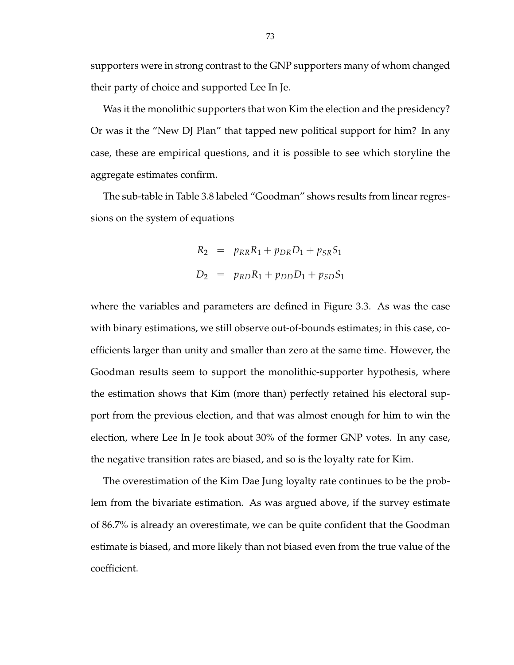supporters were in strong contrast to the GNP supporters many of whom changed their party of choice and supported Lee In Je.

Was it the monolithic supporters that won Kim the election and the presidency? Or was it the "New DJ Plan" that tapped new political support for him? In any case, these are empirical questions, and it is possible to see which storyline the aggregate estimates confirm.

The sub-table in Table 3.8 labeled "Goodman" shows results from linear regressions on the system of equations

$$
R_2 = p_{RR}R_1 + p_{DR}D_1 + p_{SR}S_1
$$
  

$$
D_2 = p_{RD}R_1 + p_{DD}D_1 + p_{SD}S_1
$$

where the variables and parameters are defined in Figure 3.3. As was the case with binary estimations, we still observe out-of-bounds estimates; in this case, coefficients larger than unity and smaller than zero at the same time. However, the Goodman results seem to support the monolithic-supporter hypothesis, where the estimation shows that Kim (more than) perfectly retained his electoral support from the previous election, and that was almost enough for him to win the election, where Lee In Je took about 30% of the former GNP votes. In any case, the negative transition rates are biased, and so is the loyalty rate for Kim.

The overestimation of the Kim Dae Jung loyalty rate continues to be the problem from the bivariate estimation. As was argued above, if the survey estimate of 86.7% is already an overestimate, we can be quite confident that the Goodman estimate is biased, and more likely than not biased even from the true value of the coefficient.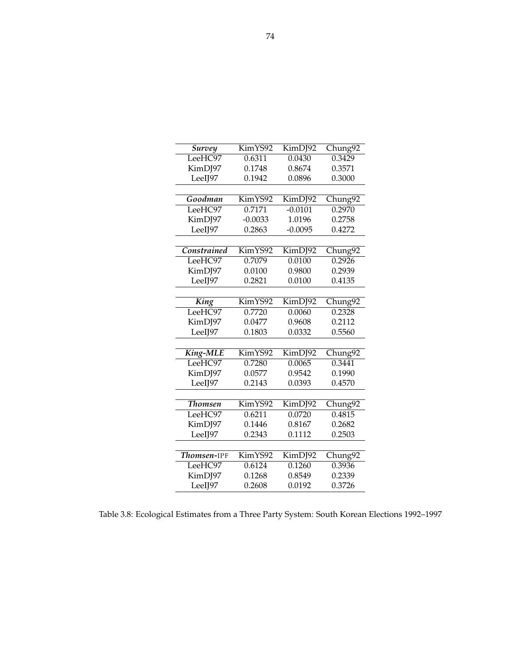| Survey         | KimYS92                      | $\overline{\text{KimDJ}}92$<br>Chung92 |         |
|----------------|------------------------------|----------------------------------------|---------|
| LeeHC97        | 0.6311                       | 0.0430                                 | 0.3429  |
| KimDJ97        | 0.1748                       | 0.8674                                 | 0.3571  |
| LeeIJ97        | 0.1942                       | 0.0896                                 | 0.3000  |
|                |                              |                                        |         |
| Goodman        | KimYS92                      | KimDJ92                                | Chung92 |
| LeeHC97        | 0.7171                       | $-0.0101$                              | 0.2970  |
| KimDJ97        | $-0.0033$                    | 1.0196                                 | 0.2758  |
| LeeIJ97        | 0.2863                       | $-0.0095$                              | 0.4272  |
|                |                              |                                        |         |
| Constrained    | KimYS92                      | KimDJ92                                | Chung92 |
| LeeHC97        | 0.7079                       | 0.0100                                 | 0.2926  |
| KimDJ97        | 0.0100                       | 0.9800                                 | 0.2939  |
| LeeIJ97        | 0.2821                       | 0.0100                                 | 0.4135  |
|                |                              |                                        |         |
| King           | KimYS92                      | KimDJ92                                | Chung92 |
| LeeHC97        | 0.7720                       | 0.0060                                 | 0.2328  |
| KimDJ97        | 0.0477                       | 0.9608                                 | 0.2112  |
| LeeIJ97        | 0.1803                       | 0.0332                                 | 0.5560  |
|                |                              |                                        |         |
| King-MLE       | KimYS92                      | KimDJ92                                | Chung92 |
| LeeHC97        | 0.7280                       | 0.0065                                 | 0.3441  |
| KimDJ97        | 0.0577                       | 0.9542                                 | 0.1990  |
| LeeIJ97        | 0.2143                       | 0.0393                                 | 0.4570  |
|                |                              |                                        |         |
| <b>Thomsen</b> | KimYS92                      | KimDJ92                                | Chung92 |
| LeeHC97        | 0.6211                       | 0.0720                                 | 0.4815  |
| KimDJ97        | 0.1446                       | 0.8167                                 | 0.2682  |
| LeeIJ97        | 0.2343                       | 0.1112                                 | 0.2503  |
|                |                              |                                        |         |
| Thomsen-IPF    | $\overline{\text{KimY}}$ S92 | KimDJ92                                | Chung92 |
| LeeHC97        | 0.6124                       | 0.1260                                 | 0.3936  |
| KimDJ97        | 0.1268                       | 0.8549                                 | 0.2339  |
| LeeIJ97        | 0.2608                       | 0.0192                                 | 0.3726  |

Table 3.8: Ecological Estimates from a Three Party System: South Korean Elections 1992–1997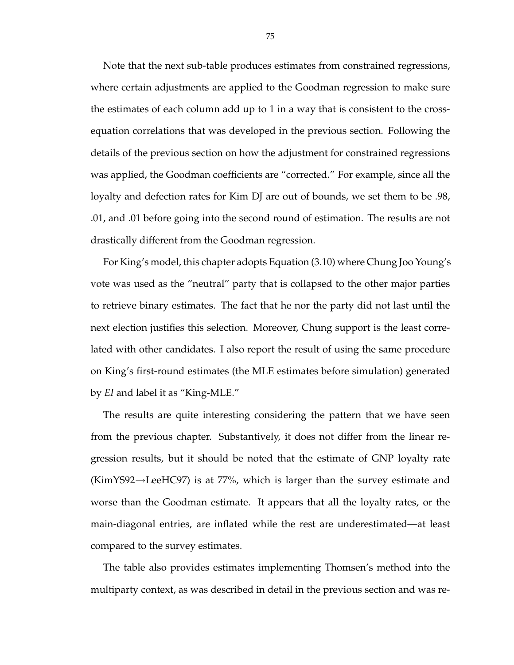Note that the next sub-table produces estimates from constrained regressions, where certain adjustments are applied to the Goodman regression to make sure the estimates of each column add up to 1 in a way that is consistent to the crossequation correlations that was developed in the previous section. Following the details of the previous section on how the adjustment for constrained regressions was applied, the Goodman coefficients are "corrected." For example, since all the loyalty and defection rates for Kim DJ are out of bounds, we set them to be .98, .01, and .01 before going into the second round of estimation. The results are not drastically different from the Goodman regression.

For King's model, this chapter adopts Equation (3.10) where Chung Joo Young's vote was used as the "neutral" party that is collapsed to the other major parties to retrieve binary estimates. The fact that he nor the party did not last until the next election justifies this selection. Moreover, Chung support is the least correlated with other candidates. I also report the result of using the same procedure on King's first-round estimates (the MLE estimates before simulation) generated by *EI* and label it as "King-MLE."

The results are quite interesting considering the pattern that we have seen from the previous chapter. Substantively, it does not differ from the linear regression results, but it should be noted that the estimate of GNP loyalty rate  $(KimYS92 \rightarrow LeeHC97)$  is at 77%, which is larger than the survey estimate and worse than the Goodman estimate. It appears that all the loyalty rates, or the main-diagonal entries, are inflated while the rest are underestimated—at least compared to the survey estimates.

The table also provides estimates implementing Thomsen's method into the multiparty context, as was described in detail in the previous section and was re-

75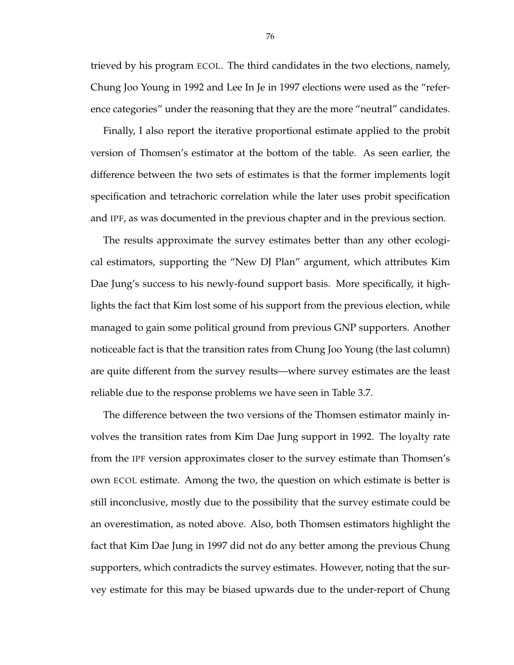trieved by his program ECOL. The third candidates in the two elections, namely, Chung Joo Young in 1992 and Lee In Je in 1997 elections were used as the "reference categories" under the reasoning that they are the more "neutral" candidates.

Finally, I also report the iterative proportional estimate applied to the probit version of Thomsen's estimator at the bottom of the table. As seen earlier, the difference between the two sets of estimates is that the former implements logit specification and tetrachoric correlation while the later uses probit specification and IPF, as was documented in the previous chapter and in the previous section.

The results approximate the survey estimates better than any other ecological estimators, supporting the "New DJ Plan" argument, which attributes Kim Dae Jung's success to his newly-found support basis. More specifically, it highlights the fact that Kim lost some of his support from the previous election, while managed to gain some political ground from previous GNP supporters. Another noticeable fact is that the transition rates from Chung Joo Young (the last column) are quite different from the survey results—where survey estimates are the least reliable due to the response problems we have seen in Table 3.7.

The difference between the two versions of the Thomsen estimator mainly involves the transition rates from Kim Dae Jung support in 1992. The loyalty rate from the IPF version approximates closer to the survey estimate than Thomsen's own ECOL estimate. Among the two, the question on which estimate is better is still inconclusive, mostly due to the possibility that the survey estimate could be an overestimation, as noted above. Also, both Thomsen estimators highlight the fact that Kim Dae Jung in 1997 did not do any better among the previous Chung supporters, which contradicts the survey estimates. However, noting that the survey estimate for this may be biased upwards due to the under-report of Chung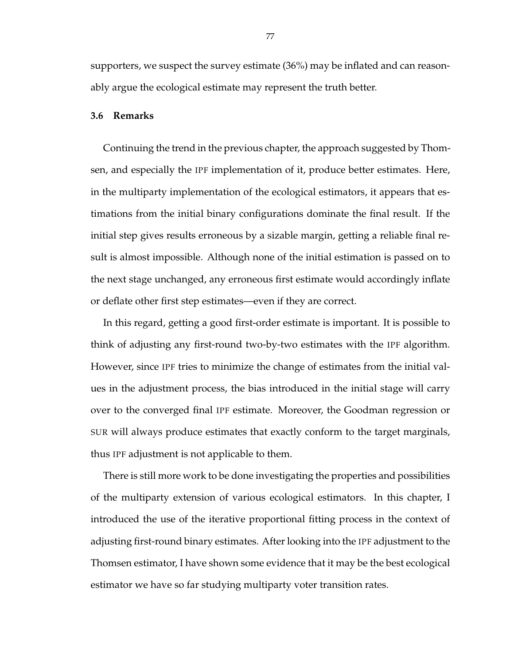supporters, we suspect the survey estimate (36%) may be inflated and can reasonably argue the ecological estimate may represent the truth better.

# **3.6 Remarks**

Continuing the trend in the previous chapter, the approach suggested by Thomsen, and especially the IPF implementation of it, produce better estimates. Here, in the multiparty implementation of the ecological estimators, it appears that estimations from the initial binary configurations dominate the final result. If the initial step gives results erroneous by a sizable margin, getting a reliable final result is almost impossible. Although none of the initial estimation is passed on to the next stage unchanged, any erroneous first estimate would accordingly inflate or deflate other first step estimates—even if they are correct.

In this regard, getting a good first-order estimate is important. It is possible to think of adjusting any first-round two-by-two estimates with the IPF algorithm. However, since IPF tries to minimize the change of estimates from the initial values in the adjustment process, the bias introduced in the initial stage will carry over to the converged final IPF estimate. Moreover, the Goodman regression or SUR will always produce estimates that exactly conform to the target marginals, thus IPF adjustment is not applicable to them.

There is still more work to be done investigating the properties and possibilities of the multiparty extension of various ecological estimators. In this chapter, I introduced the use of the iterative proportional fitting process in the context of adjusting first-round binary estimates. After looking into the IPF adjustment to the Thomsen estimator, I have shown some evidence that it may be the best ecological estimator we have so far studying multiparty voter transition rates.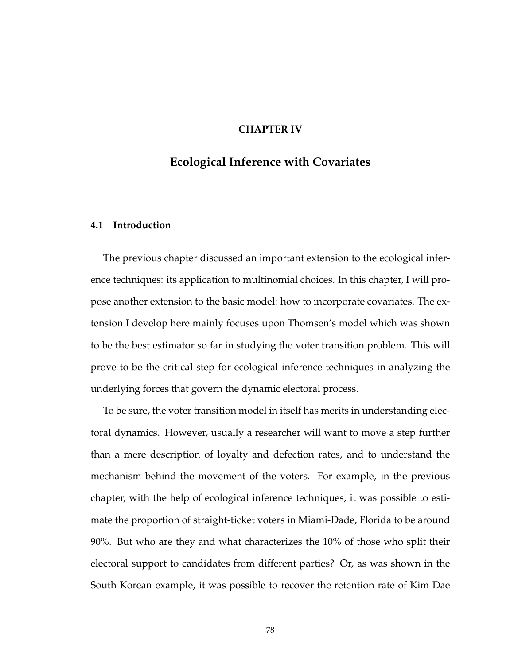# **CHAPTER IV**

# **Ecological Inference with Covariates**

# **4.1 Introduction**

The previous chapter discussed an important extension to the ecological inference techniques: its application to multinomial choices. In this chapter, I will propose another extension to the basic model: how to incorporate covariates. The extension I develop here mainly focuses upon Thomsen's model which was shown to be the best estimator so far in studying the voter transition problem. This will prove to be the critical step for ecological inference techniques in analyzing the underlying forces that govern the dynamic electoral process.

To be sure, the voter transition model in itself has merits in understanding electoral dynamics. However, usually a researcher will want to move a step further than a mere description of loyalty and defection rates, and to understand the mechanism behind the movement of the voters. For example, in the previous chapter, with the help of ecological inference techniques, it was possible to estimate the proportion of straight-ticket voters in Miami-Dade, Florida to be around 90%. But who are they and what characterizes the 10% of those who split their electoral support to candidates from different parties? Or, as was shown in the South Korean example, it was possible to recover the retention rate of Kim Dae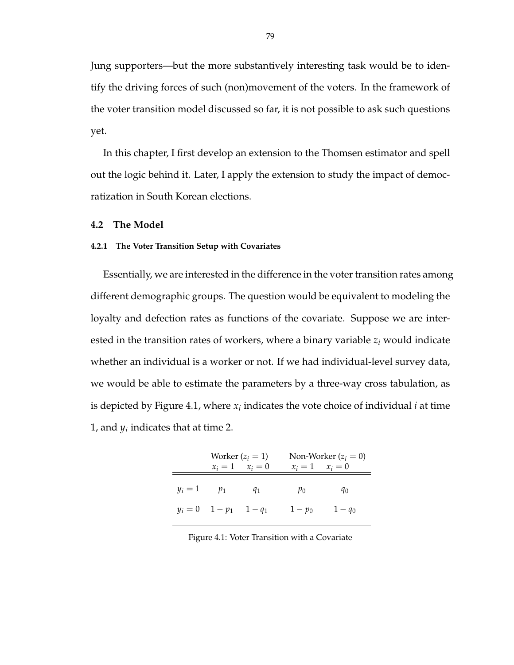Jung supporters—but the more substantively interesting task would be to identify the driving forces of such (non)movement of the voters. In the framework of the voter transition model discussed so far, it is not possible to ask such questions yet.

In this chapter, I first develop an extension to the Thomsen estimator and spell out the logic behind it. Later, I apply the extension to study the impact of democratization in South Korean elections.

# **4.2 The Model**

#### **4.2.1 The Voter Transition Setup with Covariates**

Essentially, we are interested in the difference in the voter transition rates among different demographic groups. The question would be equivalent to modeling the loyalty and defection rates as functions of the covariate. Suppose we are interested in the transition rates of workers, where a binary variable *z<sup>i</sup>* would indicate whether an individual is a worker or not. If we had individual-level survey data, we would be able to estimate the parameters by a three-way cross tabulation, as is depicted by Figure 4.1, where  $x_i$  indicates the vote choice of individual  $i$  at time 1, and  $y_i$  indicates that at time 2.

|                 | Worker $(z_i = 1)$              |                     |                     | Non-Worker $(z_i = 0)$ |
|-----------------|---------------------------------|---------------------|---------------------|------------------------|
|                 |                                 | $x_i = 1$ $x_i = 0$ | $x_i = 1$ $x_i = 0$ |                        |
| $y_i = 1$ $p_1$ |                                 | $q_1$               | $p_0$               | $q_0$                  |
|                 | $y_i = 0 \t 1 - p_1 \t 1 - q_1$ |                     | $1 - p_0$           | $1 - q_0$              |

Figure 4.1: Voter Transition with a Covariate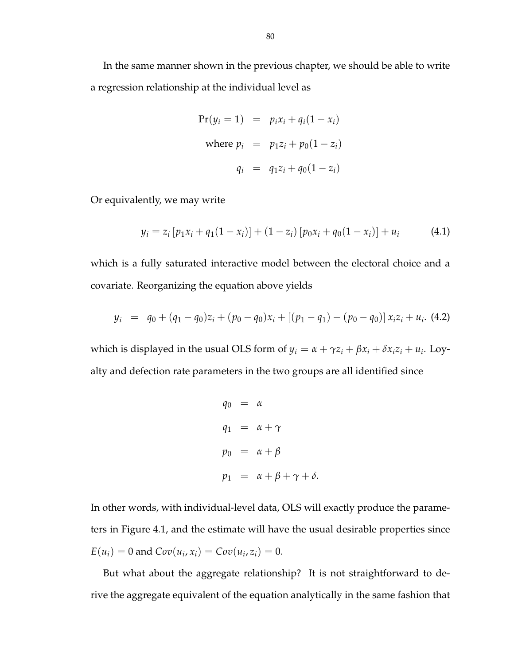In the same manner shown in the previous chapter, we should be able to write a regression relationship at the individual level as

$$
Pr(y_i = 1) = p_i x_i + q_i (1 - x_i)
$$
  
where  $p_i = p_1 z_i + p_0 (1 - z_i)$   
 $q_i = q_1 z_i + q_0 (1 - z_i)$ 

Or equivalently, we may write

$$
y_i = z_i \left[ p_1 x_i + q_1 (1 - x_i) \right] + (1 - z_i) \left[ p_0 x_i + q_0 (1 - x_i) \right] + u_i \tag{4.1}
$$

which is a fully saturated interactive model between the electoral choice and a covariate. Reorganizing the equation above yields

$$
y_i = q_0 + (q_1 - q_0)z_i + (p_0 - q_0)x_i + [(p_1 - q_1) - (p_0 - q_0)]x_i z_i + u_i.
$$
 (4.2)

which is displayed in the usual OLS form of  $y_i = \alpha + \gamma z_i + \beta x_i + \delta x_i z_i + u_i$ . Loyalty and defection rate parameters in the two groups are all identified since

$$
q_0 = \alpha
$$
  
\n
$$
q_1 = \alpha + \gamma
$$
  
\n
$$
p_0 = \alpha + \beta
$$
  
\n
$$
p_1 = \alpha + \beta + \gamma + \delta.
$$

In other words, with individual-level data, OLS will exactly produce the parameters in Figure 4.1, and the estimate will have the usual desirable properties since  $E(u_i) = 0$  and  $Cov(u_i, x_i) = Cov(u_i, z_i) = 0.$ 

But what about the aggregate relationship? It is not straightforward to derive the aggregate equivalent of the equation analytically in the same fashion that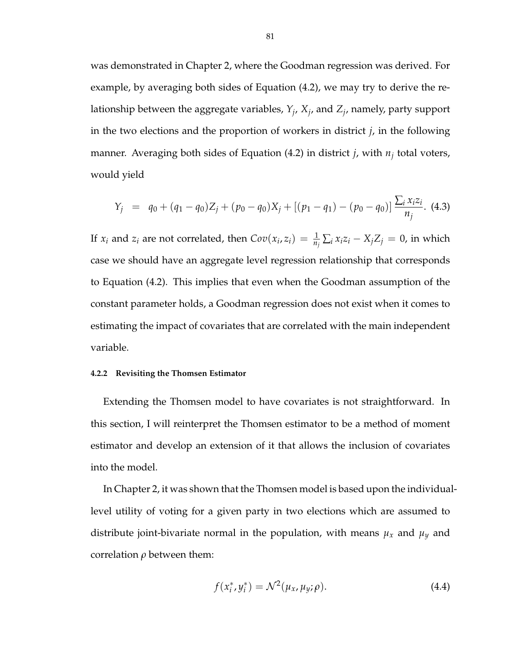was demonstrated in Chapter 2, where the Goodman regression was derived. For example, by averaging both sides of Equation (4.2), we may try to derive the relationship between the aggregate variables, *Y<sup>j</sup>* , *X<sup>j</sup>* , and *Z<sup>j</sup>* , namely, party support in the two elections and the proportion of workers in district *j*, in the following manner. Averaging both sides of Equation (4.2) in district *j*, with *n<sup>j</sup>* total voters, would yield

$$
Y_j = q_0 + (q_1 - q_0)Z_j + (p_0 - q_0)X_j + [(p_1 - q_1) - (p_0 - q_0)] \frac{\sum_i x_i z_i}{n_j}.
$$
 (4.3)

If  $x_i$  and  $z_i$  are not correlated, then  $Cov(x_i, z_i) = \frac{1}{n_i} \sum_i x_i z_i - X_j Z_j = 0$ , in which case we should have an aggregate level regression relationship that corresponds to Equation (4.2). This implies that even when the Goodman assumption of the constant parameter holds, a Goodman regression does not exist when it comes to estimating the impact of covariates that are correlated with the main independent variable.

### **4.2.2 Revisiting the Thomsen Estimator**

Extending the Thomsen model to have covariates is not straightforward. In this section, I will reinterpret the Thomsen estimator to be a method of moment estimator and develop an extension of it that allows the inclusion of covariates into the model.

In Chapter 2, it was shown that the Thomsen model is based upon the individuallevel utility of voting for a given party in two elections which are assumed to distribute joint-bivariate normal in the population, with means  $\mu_x$  and  $\mu_y$  and correlation *ρ* between them:

$$
f(x_i^*, y_i^*) = \mathcal{N}^2(\mu_x, \mu_y; \rho).
$$
 (4.4)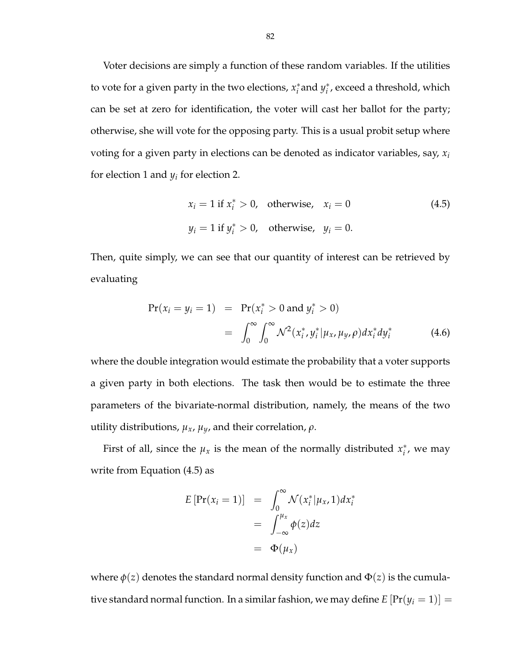Voter decisions are simply a function of these random variables. If the utilities to vote for a given party in the two elections, *x* ∗  $i$ <sup>\*</sup> and  $y_i$ <sup>\*</sup> *i* , exceed a threshold, which can be set at zero for identification, the voter will cast her ballot for the party; otherwise, she will vote for the opposing party. This is a usual probit setup where voting for a given party in elections can be denoted as indicator variables, say, *x<sup>i</sup>* for election 1 and *y<sup>i</sup>* for election 2.

$$
x_i = 1 \text{ if } x_i^* > 0, \text{ otherwise, } x_i = 0
$$
\n
$$
y_i = 1 \text{ if } y_i^* > 0, \text{ otherwise, } y_i = 0.
$$
\n(4.5)

Then, quite simply, we can see that our quantity of interest can be retrieved by evaluating

$$
Pr(x_i = y_i = 1) = Pr(x_i^* > 0 \text{ and } y_i^* > 0)
$$
  
= 
$$
\int_0^\infty \int_0^\infty \mathcal{N}^2(x_i^*, y_i^* | \mu_x, \mu_y, \rho) dx_i^* dy_i^*
$$
 (4.6)

where the double integration would estimate the probability that a voter supports a given party in both elections. The task then would be to estimate the three parameters of the bivariate-normal distribution, namely, the means of the two utility distributions,  $μ_x$ ,  $μ_y$ , and their correlation,  $ρ$ .

First of all, since the  $\mu_x$  is the mean of the normally distributed  $x_i^*$  $i$ <sup>\*</sup>, we may write from Equation (4.5) as

$$
E\left[\Pr(x_i = 1)\right] = \int_0^\infty \mathcal{N}(x_i^* | \mu_x, 1) dx_i^*
$$
  
= 
$$
\int_{-\infty}^{\mu_x} \phi(z) dz
$$
  
= 
$$
\Phi(\mu_x)
$$

where  $\phi(z)$  denotes the standard normal density function and  $\Phi(z)$  is the cumulative standard normal function. In a similar fashion, we may define  $E\left[\Pr(y_i=1)\right] =$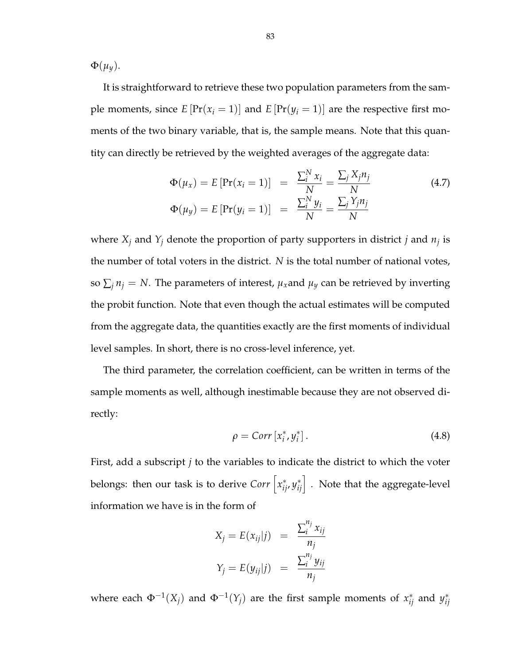$\Phi(\mu_y)$ .

It is straightforward to retrieve these two population parameters from the sample moments, since  $E\left[\Pr(x_i = 1)\right]$  and  $E\left[\Pr(y_i = 1)\right]$  are the respective first moments of the two binary variable, that is, the sample means. Note that this quantity can directly be retrieved by the weighted averages of the aggregate data:

$$
\Phi(\mu_x) = E \left[ \Pr(x_i = 1) \right] = \frac{\sum_i^N x_i}{N} = \frac{\sum_j X_j n_j}{N}
$$
\n
$$
\Phi(\mu_y) = E \left[ \Pr(y_i = 1) \right] = \frac{\sum_i^N y_i}{N} = \frac{\sum_j Y_j n_j}{N}
$$
\n(4.7)

where  $X_j$  and  $Y_j$  denote the proportion of party supporters in district *j* and  $n_j$  is the number of total voters in the district. *N* is the total number of national votes, so  $\sum_j n_j = N$ . The parameters of interest,  $\mu_x$  and  $\mu_y$  can be retrieved by inverting the probit function. Note that even though the actual estimates will be computed from the aggregate data, the quantities exactly are the first moments of individual level samples. In short, there is no cross-level inference, yet.

The third parameter, the correlation coefficient, can be written in terms of the sample moments as well, although inestimable because they are not observed directly:

$$
\rho = Corr\left[x_i^*, y_i^*\right].\tag{4.8}
$$

First, add a subscript *j* to the variables to indicate the district to which the voter belongs: then our task is to derive  $Corr\left[x_{ij}^*, y_{ij}^*\right]$  $\left\{\begin{matrix} * \\ i_j \end{matrix}\right\}$  . Note that the aggregate-level information we have is in the form of

$$
X_j = E(x_{ij}|j) = \frac{\sum_i^{n_j} x_{ij}}{n_j}
$$
  

$$
Y_j = E(y_{ij}|j) = \frac{\sum_i^{n_j} y_{ij}}{n_j}
$$

where each  $\Phi^{-1}(X_j)$  and  $\Phi^{-1}(Y_j)$  are the first sample moments of  $x_{ij}^*$  and  $y_{ij}^*$ *ij*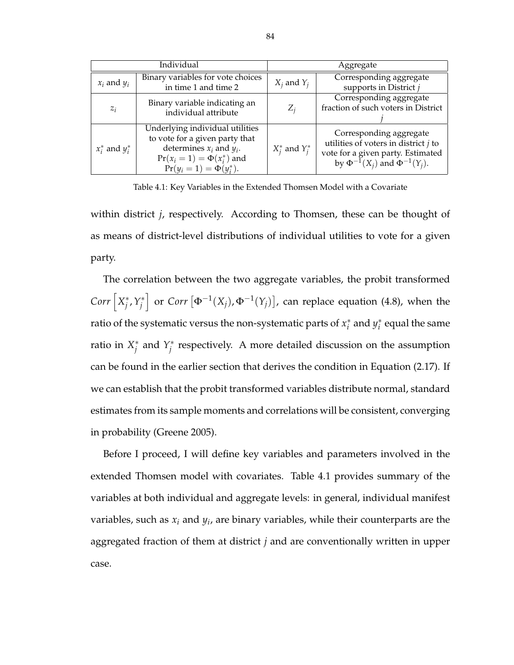|                     | Individual                                                                                                                                                           | Aggregate           |                                                                                                                                                      |  |
|---------------------|----------------------------------------------------------------------------------------------------------------------------------------------------------------------|---------------------|------------------------------------------------------------------------------------------------------------------------------------------------------|--|
| $x_i$ and $y_i$     | Binary variables for vote choices<br>in time 1 and time 2                                                                                                            | $X_i$ and $Y_i$     | Corresponding aggregate<br>supports in District $j$                                                                                                  |  |
| $z_i$               | Binary variable indicating an<br>individual attribute                                                                                                                | $Z_i$               | Corresponding aggregate<br>fraction of such voters in District                                                                                       |  |
| $x_i^*$ and $y_i^*$ | Underlying individual utilities<br>to vote for a given party that<br>determines $x_i$ and $y_i$ .<br>$Pr(x_i = 1) = \Phi(x_i^*)$ and<br>$Pr(y_i = 1) = \Phi(y_i^*).$ | $X_i^*$ and $Y_i^*$ | Corresponding aggregate<br>utilities of voters in district $j$ to<br>vote for a given party. Estimated<br>by $\Phi^{-1}(X_i)$ and $\Phi^{-1}(Y_i)$ . |  |

Table 4.1: Key Variables in the Extended Thomsen Model with a Covariate

within district *j*, respectively. According to Thomsen, these can be thought of as means of district-level distributions of individual utilities to vote for a given party.

The correlation between the two aggregate variables, the probit transformed  $Corr\left[X_i^*\right]$ *j* ,*Y* ∗ *j* or *Corr*  $[\Phi^{-1}(X_i), \Phi^{-1}(Y_i)]$ ¤ , can replace equation (4.8), when the ratio of the systematic versus the non-systematic parts of *x* ∗  $i^*$  and  $y_i^*$  $_i^*$  equal the same ratio in *X* ∗  $\hat{i}$  and  $Y^*$ *j* respectively. A more detailed discussion on the assumption can be found in the earlier section that derives the condition in Equation (2.17). If we can establish that the probit transformed variables distribute normal, standard estimates from its sample moments and correlations will be consistent, converging in probability (Greene 2005).

Before I proceed, I will define key variables and parameters involved in the extended Thomsen model with covariates. Table 4.1 provides summary of the variables at both individual and aggregate levels: in general, individual manifest variables, such as *x<sup>i</sup>* and *y<sup>i</sup>* , are binary variables, while their counterparts are the aggregated fraction of them at district *j* and are conventionally written in upper case.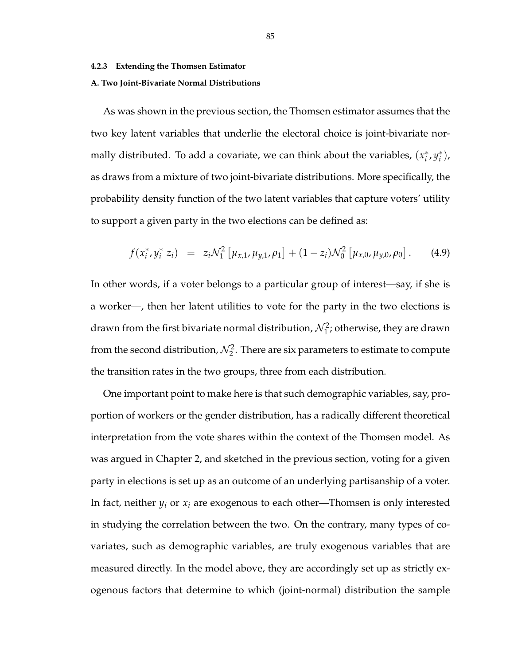#### **4.2.3 Extending the Thomsen Estimator**

#### **A. Two Joint-Bivariate Normal Distributions**

As was shown in the previous section, the Thomsen estimator assumes that the two key latent variables that underlie the electoral choice is joint-bivariate normally distributed. To add a covariate, we can think about the variables, (*x* ∗ *i* , *y* ∗ *i* ), as draws from a mixture of two joint-bivariate distributions. More specifically, the probability density function of the two latent variables that capture voters' utility to support a given party in the two elections can be defined as:

$$
f(x_i^*, y_i^* | z_i) = z_i \mathcal{N}_1^2 [\mu_{x,1}, \mu_{y,1}, \rho_1] + (1 - z_i) \mathcal{N}_0^2 [\mu_{x,0}, \mu_{y,0}, \rho_0]. \qquad (4.9)
$$

In other words, if a voter belongs to a particular group of interest—say, if she is a worker—, then her latent utilities to vote for the party in the two elections is drawn from the first bivariate normal distribution,  $\mathcal{N}_1^2$ ; otherwise, they are drawn from the second distribution,  $\mathcal{N}_2^2$ . There are six parameters to estimate to compute the transition rates in the two groups, three from each distribution.

One important point to make here is that such demographic variables, say, proportion of workers or the gender distribution, has a radically different theoretical interpretation from the vote shares within the context of the Thomsen model. As was argued in Chapter 2, and sketched in the previous section, voting for a given party in elections is set up as an outcome of an underlying partisanship of a voter. In fact, neither  $y_i$  or  $x_i$  are exogenous to each other—Thomsen is only interested in studying the correlation between the two. On the contrary, many types of covariates, such as demographic variables, are truly exogenous variables that are measured directly. In the model above, they are accordingly set up as strictly exogenous factors that determine to which (joint-normal) distribution the sample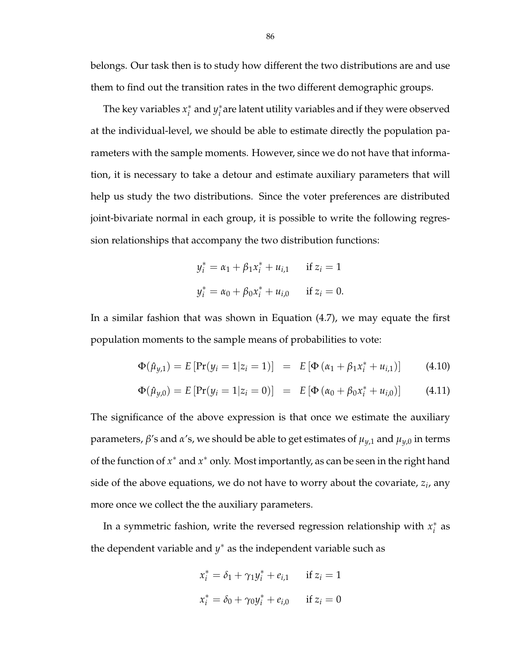belongs. Our task then is to study how different the two distributions are and use them to find out the transition rates in the two different demographic groups.

The key variables *x* ∗  $i^*$  and  $y_i^*$ *i* are latent utility variables and if they were observed at the individual-level, we should be able to estimate directly the population parameters with the sample moments. However, since we do not have that information, it is necessary to take a detour and estimate auxiliary parameters that will help us study the two distributions. Since the voter preferences are distributed joint-bivariate normal in each group, it is possible to write the following regression relationships that accompany the two distribution functions:

$$
y_i^* = \alpha_1 + \beta_1 x_i^* + u_{i,1} \quad \text{if } z_i = 1
$$
  

$$
y_i^* = \alpha_0 + \beta_0 x_i^* + u_{i,0} \quad \text{if } z_i = 0.
$$

In a similar fashion that was shown in Equation (4.7), we may equate the first population moments to the sample means of probabilities to vote:

$$
\Phi(\hat{\mu}_{y,1}) = E \left[ \Pr(y_i = 1 | z_i = 1) \right] = E \left[ \Phi \left( \alpha_1 + \beta_1 x_i^* + u_{i,1} \right) \right] \tag{4.10}
$$

$$
\Phi(\hat{\mu}_{y,0}) = E[\Pr(y_i = 1|z_i = 0)] = E[\Phi(\alpha_0 + \beta_0 x_i^* + u_{i,0})]
$$
(4.11)

The significance of the above expression is that once we estimate the auxiliary parameters, *β*'s and *α*'s, we should be able to get estimates of *µy*,1 and *µy*,0 in terms of the function of *x*<sup>∗</sup> and *x*<sup>∗</sup> only. Most importantly, as can be seen in the right hand side of the above equations, we do not have to worry about the covariate, *z<sup>i</sup>* , any more once we collect the the auxiliary parameters.

In a symmetric fashion, write the reversed regression relationship with *x* ∗  $i^*$  as the dependent variable and *y* <sup>∗</sup> as the independent variable such as

$$
x_i^* = \delta_1 + \gamma_1 y_i^* + e_{i,1} \quad \text{if } z_i = 1
$$
  

$$
x_i^* = \delta_0 + \gamma_0 y_i^* + e_{i,0} \quad \text{if } z_i = 0
$$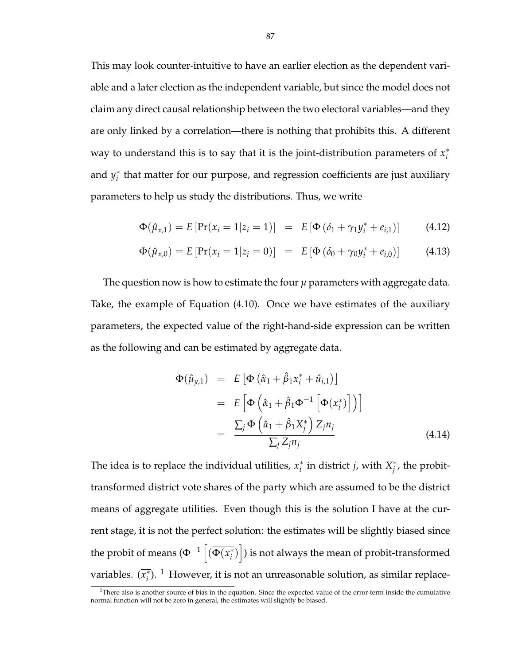This may look counter-intuitive to have an earlier election as the dependent variable and a later election as the independent variable, but since the model does not claim any direct causal relationship between the two electoral variables—and they are only linked by a correlation—there is nothing that prohibits this. A different way to understand this is to say that it is the joint-distribution parameters of  $x_i^*$ *i* and *y* ∗ *i* that matter for our purpose, and regression coefficients are just auxiliary parameters to help us study the distributions. Thus, we write

$$
\Phi(\hat{\mu}_{x,1}) = E \left[ \Pr(x_i = 1 | z_i = 1) \right] = E \left[ \Phi \left( \delta_1 + \gamma_1 y_i^* + e_{i,1} \right) \right] \tag{4.12}
$$

$$
\Phi(\hat{\mu}_{x,0}) = E \left[ \Pr(x_i = 1 | z_i = 0) \right] = E \left[ \Phi \left( \delta_0 + \gamma_0 y_i^* + e_{i,0} \right) \right] \tag{4.13}
$$

The question now is how to estimate the four  $\mu$  parameters with aggregate data. Take, the example of Equation (4.10). Once we have estimates of the auxiliary parameters, the expected value of the right-hand-side expression can be written as the following and can be estimated by aggregate data.

$$
\Phi(\hat{\mu}_{y,1}) = E \left[ \Phi \left( \hat{\alpha}_1 + \hat{\beta}_1 x_i^* + \hat{u}_{i,1} \right) \right]
$$
  
\n
$$
= E \left[ \Phi \left( \hat{\alpha}_1 + \hat{\beta}_1 \Phi^{-1} \left[ \overline{\Phi(x_i^*)} \right] \right) \right]
$$
  
\n
$$
= \frac{\sum_j \Phi \left( \hat{\alpha}_1 + \hat{\beta}_1 X_j^* \right) Z_j n_j}{\sum_j Z_j n_j}
$$
(4.14)

The idea is to replace the individual utilities,  $x_i^*$  $i$ <sup>\*</sup> in district *j*, with  $X_i^*$ *j* , the probittransformed district vote shares of the party which are assumed to be the district means of aggregate utilities. Even though this is the solution I have at the current stage, it is not the perfect solution: the estimates will be slightly biased since the probit of means ( $\Phi^{-1}$ h  $\left(\overline{\Phi(x_i^*)}\right)$ *i* ) i ) is not always the mean of probit-transformed variables. (*x* ∗  $\bar{i}$ <sup>)</sup>. <sup>1</sup> However, it is not an unreasonable solution, as similar replace-

 $1$ There also is another source of bias in the equation. Since the expected value of the error term inside the cumulative normal function will not be zero in general, the estimates will slightly be biased.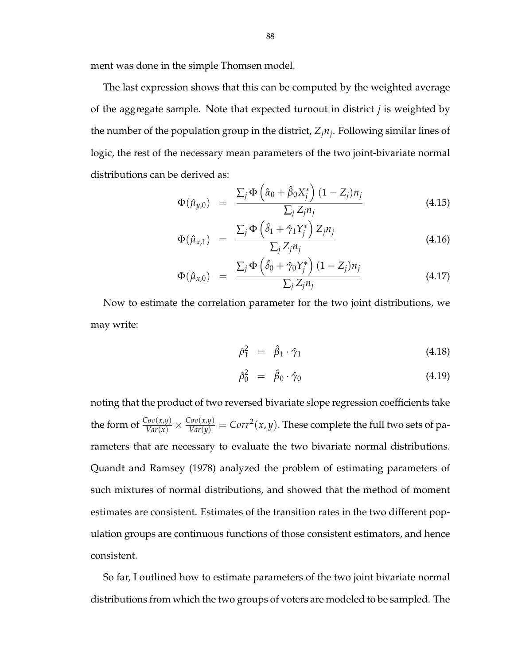ment was done in the simple Thomsen model.

The last expression shows that this can be computed by the weighted average of the aggregate sample. Note that expected turnout in district *j* is weighted by the number of the population group in the district, *Zjn<sup>j</sup>* . Following similar lines of logic, the rest of the necessary mean parameters of the two joint-bivariate normal distributions can be derived as:  $\overline{a}$ ´

$$
\Phi(\hat{\mu}_{y,0}) = \frac{\sum_{j} \Phi\left(\hat{\alpha}_0 + \hat{\beta}_0 X_j^*\right) (1 - Z_j) n_j}{\sum_{j} Z_j n_j} \tag{4.15}
$$

$$
\Phi(\hat{\mu}_{x,1}) = \frac{\sum_{j} \Phi\left(\hat{\delta}_1 + \hat{\gamma}_1 Y_j^*\right) Z_j n_j}{\sum_{j} Z_j n_j} \tag{4.16}
$$

$$
\Phi(\hat{\mu}_{x,0}) = \frac{\sum_{j} \Phi\left(\hat{\delta}_0 + \hat{\gamma}_0 Y_j^*\right) (1 - Z_j) n_j}{\sum_{j} Z_j n_j} \tag{4.17}
$$

Now to estimate the correlation parameter for the two joint distributions, we may write:

$$
\hat{\rho}_1^2 = \hat{\beta}_1 \cdot \hat{\gamma}_1 \tag{4.18}
$$

$$
\hat{\rho}_0^2 = \hat{\beta}_0 \cdot \hat{\gamma}_0 \tag{4.19}
$$

noting that the product of two reversed bivariate slope regression coefficients take the form of  $\frac{Cov(x,y)}{Var(x)} \times \frac{Cov(x,y)}{Var(y)} = Corr^2(x,y).$  These complete the full two sets of parameters that are necessary to evaluate the two bivariate normal distributions. Quandt and Ramsey (1978) analyzed the problem of estimating parameters of such mixtures of normal distributions, and showed that the method of moment estimates are consistent. Estimates of the transition rates in the two different population groups are continuous functions of those consistent estimators, and hence consistent.

So far, I outlined how to estimate parameters of the two joint bivariate normal distributions from which the two groups of voters are modeled to be sampled. The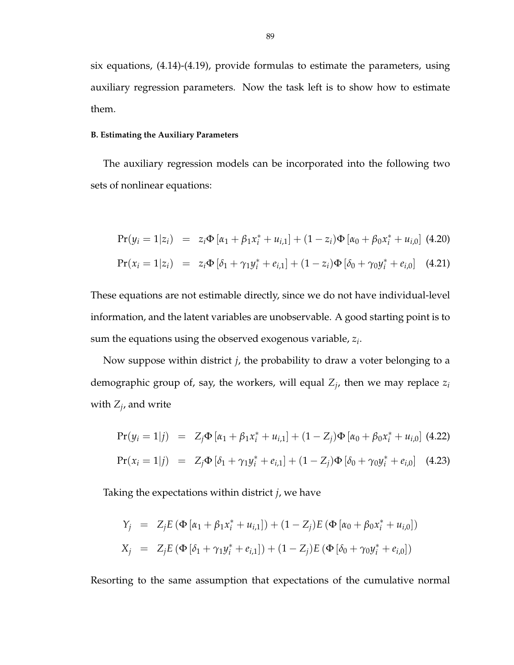six equations, (4.14)-(4.19), provide formulas to estimate the parameters, using auxiliary regression parameters. Now the task left is to show how to estimate them.

#### **B. Estimating the Auxiliary Parameters**

The auxiliary regression models can be incorporated into the following two sets of nonlinear equations:

$$
Pr(y_i = 1|z_i) = z_i \Phi [\alpha_1 + \beta_1 x_i^* + u_{i,1}] + (1 - z_i) \Phi [\alpha_0 + \beta_0 x_i^* + u_{i,0}]
$$
(4.20)  

$$
Pr(x_i = 1|z_i) = z_i \Phi [\delta_1 + \gamma_1 y_i^* + e_{i,1}] + (1 - z_i) \Phi [\delta_0 + \gamma_0 y_i^* + e_{i,0}]
$$
(4.21)

These equations are not estimable directly, since we do not have individual-level information, and the latent variables are unobservable. A good starting point is to sum the equations using the observed exogenous variable, *z<sup>i</sup>* .

Now suppose within district *j*, the probability to draw a voter belonging to a demographic group of, say, the workers, will equal *Z<sup>j</sup>* , then we may replace *z<sup>i</sup>* with *Z<sup>j</sup>* , and write

$$
Pr(y_i = 1|j) = Z_j \Phi [\alpha_1 + \beta_1 x_i^* + u_{i,1}] + (1 - Z_j) \Phi [\alpha_0 + \beta_0 x_i^* + u_{i,0}]
$$
(4.22)  

$$
Pr(x_i = 1|j) = Z_j \Phi [\delta_1 + \gamma_1 y_i^* + e_{i,1}] + (1 - Z_j) \Phi [\delta_0 + \gamma_0 y_i^* + e_{i,0}]
$$
(4.23)

Taking the expectations within district *j*, we have

$$
Y_j = Z_j E (\Phi [\alpha_1 + \beta_1 x_i^* + u_{i,1}]) + (1 - Z_j) E (\Phi [\alpha_0 + \beta_0 x_i^* + u_{i,0}])
$$
  
\n
$$
X_j = Z_j E (\Phi [\delta_1 + \gamma_1 y_i^* + e_{i,1}]) + (1 - Z_j) E (\Phi [\delta_0 + \gamma_0 y_i^* + e_{i,0}])
$$

Resorting to the same assumption that expectations of the cumulative normal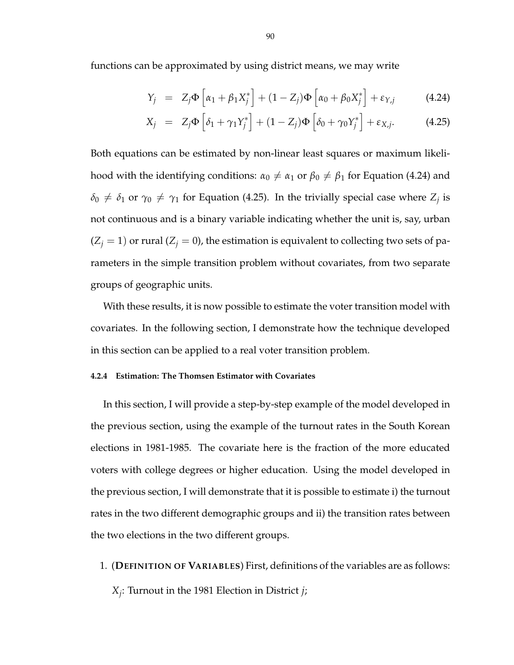functions can be approximated by using district means, we may write

$$
Y_j = Z_j \Phi \left[ \alpha_1 + \beta_1 X_j^* \right] + (1 - Z_j) \Phi \left[ \alpha_0 + \beta_0 X_j^* \right] + \varepsilon_{Y,j}
$$
(4.24)

$$
X_j = Z_j \Phi \left[ \delta_1 + \gamma_1 Y_j^* \right] + (1 - Z_j) \Phi \left[ \delta_0 + \gamma_0 Y_j^* \right] + \varepsilon_{X,j}.
$$
 (4.25)

Both equations can be estimated by non-linear least squares or maximum likelihood with the identifying conditions:  $\alpha_0 \neq \alpha_1$  or  $\beta_0 \neq \beta_1$  for Equation (4.24) and  $\delta_0 \neq \delta_1$  or  $\gamma_0 \neq \gamma_1$  for Equation (4.25). In the trivially special case where  $Z_j$  is not continuous and is a binary variable indicating whether the unit is, say, urban  $(Z_j = 1)$  or rural  $(Z_j = 0)$ , the estimation is equivalent to collecting two sets of parameters in the simple transition problem without covariates, from two separate groups of geographic units.

With these results, it is now possible to estimate the voter transition model with covariates. In the following section, I demonstrate how the technique developed in this section can be applied to a real voter transition problem.

# **4.2.4 Estimation: The Thomsen Estimator with Covariates**

In this section, I will provide a step-by-step example of the model developed in the previous section, using the example of the turnout rates in the South Korean elections in 1981-1985. The covariate here is the fraction of the more educated voters with college degrees or higher education. Using the model developed in the previous section, I will demonstrate that it is possible to estimate i) the turnout rates in the two different demographic groups and ii) the transition rates between the two elections in the two different groups.

1. (**DEFINITION OF VARIABLES**) First, definitions of the variables are as follows: *Xj* : Turnout in the 1981 Election in District *j*;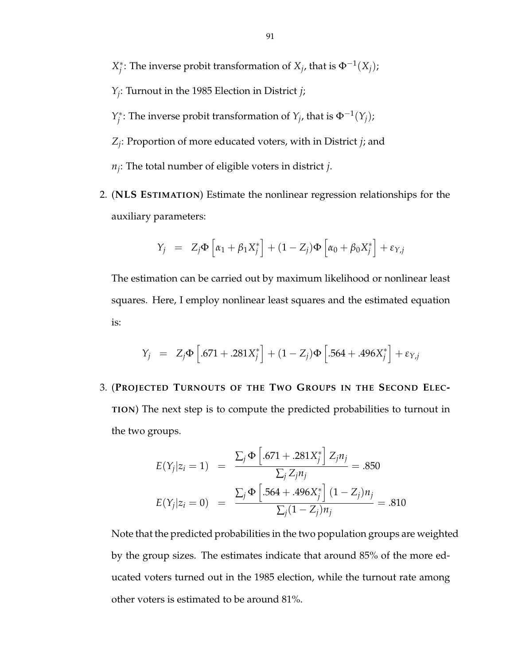*X* ∗  $j$ <sup>\*</sup>: The inverse probit transformation of *X*<sub>*j*</sub></sub>, that is  $\Phi^{-1}(X_j)$ ;

- *Yj* : Turnout in the 1985 Election in District *j*;
- *Y* ∗  $\mathcal{F}_j^*$ : The inverse probit transformation of  $Y_j$ , that is  $\Phi^{-1}(Y_j)$ ;
- *Zj* : Proportion of more educated voters, with in District *j*; and

*nj* : The total number of eligible voters in district *j*.

2. (**NLS ESTIMATION**) Estimate the nonlinear regression relationships for the auxiliary parameters:

$$
Y_j = Z_j \Phi \left[ \alpha_1 + \beta_1 X_j^* \right] + (1 - Z_j) \Phi \left[ \alpha_0 + \beta_0 X_j^* \right] + \varepsilon_{Y,j}
$$

The estimation can be carried out by maximum likelihood or nonlinear least squares. Here, I employ nonlinear least squares and the estimated equation is:

$$
Y_j = Z_j \Phi \left[ .671 + .281X_j^* \right] + (1 - Z_j) \Phi \left[ .564 + .496X_j^* \right] + \varepsilon_{Y,j}
$$

3. (**PROJECTED TURNOUTS OF THE TWO GROUPS IN THE SECOND ELEC-TION**) The next step is to compute the predicted probabilities to turnout in the two groups.

$$
E(Y_j|z_i = 1) = \frac{\sum_j \Phi \left[ .671 + .281X_j^* \right] Z_j n_j}{\sum_j Z_j n_j} = .850
$$
  

$$
E(Y_j|z_i = 0) = \frac{\sum_j \Phi \left[ .564 + .496X_j^* \right] (1 - Z_j) n_j}{\sum_j (1 - Z_j) n_j} = .810
$$

Note that the predicted probabilities in the two population groups are weighted by the group sizes. The estimates indicate that around 85% of the more educated voters turned out in the 1985 election, while the turnout rate among other voters is estimated to be around 81%.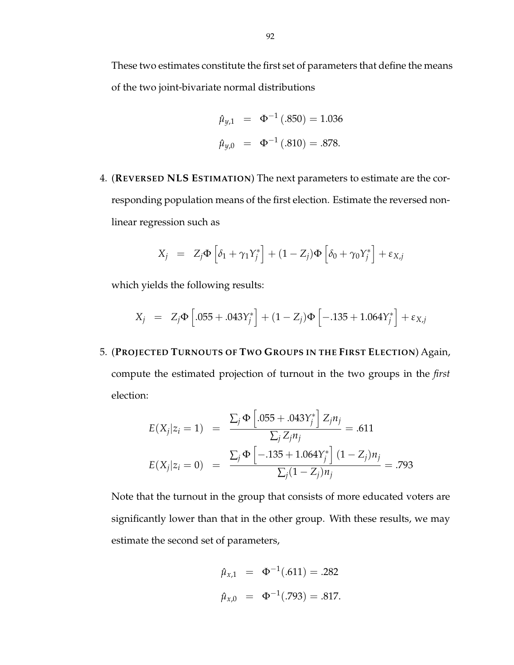These two estimates constitute the first set of parameters that define the means of the two joint-bivariate normal distributions

$$
\hat{\mu}_{y,1} = \Phi^{-1}(.850) = 1.036
$$
  

$$
\hat{\mu}_{y,0} = \Phi^{-1}(.810) = .878.
$$

4. (**REVERSED NLS ESTIMATION**) The next parameters to estimate are the corresponding population means of the first election. Estimate the reversed nonlinear regression such as

$$
X_j = Z_j \Phi \left[ \delta_1 + \gamma_1 Y_j^* \right] + (1 - Z_j) \Phi \left[ \delta_0 + \gamma_0 Y_j^* \right] + \varepsilon_{X,j}
$$

which yields the following results:

$$
X_j = Z_j \Phi \left[ .055 + .043Y_j^* \right] + (1 - Z_j) \Phi \left[ -.135 + 1.064Y_j^* \right] + \varepsilon_{X,j}
$$

5. (**PROJECTED TURNOUTS OF TWO GROUPS IN THE FIRST ELECTION**) Again, compute the estimated projection of turnout in the two groups in the *first* election:

$$
E(X_j|z_i = 1) = \frac{\sum_j \Phi \left[ .055 + .043Y_j^* \right] Z_j n_j}{\sum_j Z_j n_j} = .611
$$
  

$$
E(X_j|z_i = 0) = \frac{\sum_j \Phi \left[ -.135 + 1.064Y_j^* \right] (1 - Z_j) n_j}{\sum_j (1 - Z_j) n_j} = .793
$$

Note that the turnout in the group that consists of more educated voters are significantly lower than that in the other group. With these results, we may estimate the second set of parameters,

$$
\hat{\mu}_{x,1} = \Phi^{-1}(.611) = .282
$$
  

$$
\hat{\mu}_{x,0} = \Phi^{-1}(.793) = .817.
$$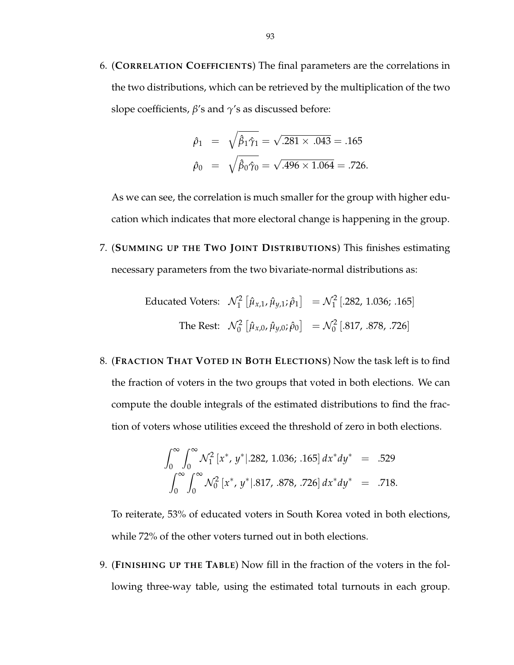6. (**CORRELATION COEFFICIENTS**) The final parameters are the correlations in the two distributions, which can be retrieved by the multiplication of the two slope coefficients, *β*'s and *γ*'s as discussed before:

$$
\hat{\rho}_1 = \sqrt{\hat{\beta}_1 \hat{\gamma}_1} = \sqrt{.281 \times .043} = .165
$$
  

$$
\hat{\rho}_0 = \sqrt{\hat{\beta}_0 \hat{\gamma}_0} = \sqrt{.496 \times 1.064} = .726.
$$

As we can see, the correlation is much smaller for the group with higher education which indicates that more electoral change is happening in the group.

7. (**SUMMING UP THE TWO JOINT DISTRIBUTIONS**) This finishes estimating necessary parameters from the two bivariate-normal distributions as:

Enducated Voters: 
$$
\mathcal{N}_1^2 \left[ \hat{\mu}_{x,1}, \hat{\mu}_{y,1}; \hat{\rho}_1 \right] = \mathcal{N}_1^2 \left[ .282, 1.036; .165 \right]
$$

\nThe Rest:  $\mathcal{N}_0^2 \left[ \hat{\mu}_{x,0}, \hat{\mu}_{y,0}; \hat{\rho}_0 \right] = \mathcal{N}_0^2 \left[ .817, .878, .726 \right]$ 

8. (**FRACTION THAT VOTED IN BOTH ELECTIONS**) Now the task left is to find the fraction of voters in the two groups that voted in both elections. We can compute the double integrals of the estimated distributions to find the fraction of voters whose utilities exceed the threshold of zero in both elections.

$$
\int_0^\infty \int_0^\infty \mathcal{N}_1^2 [x^*, y^*].282, 1.036; .165] dx^* dy^* = .529
$$
  

$$
\int_0^\infty \int_0^\infty \mathcal{N}_0^2 [x^*, y^*].817, .878, .726] dx^* dy^* = .718.
$$

To reiterate, 53% of educated voters in South Korea voted in both elections, while 72% of the other voters turned out in both elections.

9. (**FINISHING UP THE TABLE**) Now fill in the fraction of the voters in the following three-way table, using the estimated total turnouts in each group.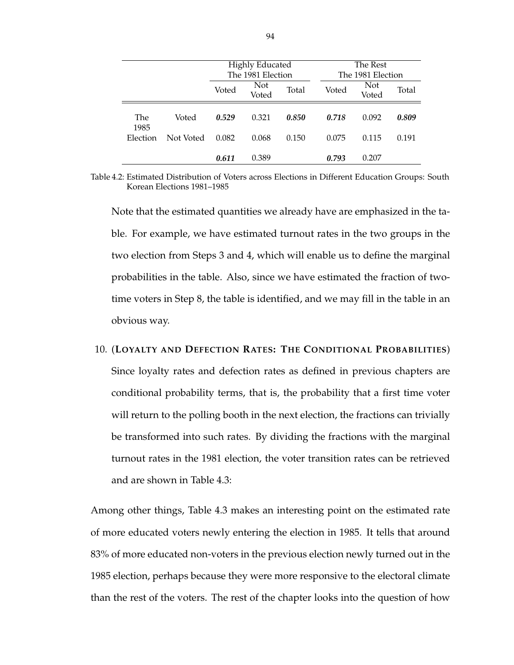|          |           | <b>Highly Educated</b> |                   | The Rest |       |                   |       |
|----------|-----------|------------------------|-------------------|----------|-------|-------------------|-------|
|          |           |                        | The 1981 Election |          |       | The 1981 Election |       |
|          |           | Not<br>Voted           |                   | Total    | Voted | Not               | Total |
|          |           |                        | Voted             |          |       | Voted             |       |
|          |           |                        |                   |          |       |                   |       |
| The      | Voted     | 0.529                  | 0.321             | 0.850    | 0.718 | 0.092             | 0.809 |
| 1985     |           |                        |                   |          |       |                   |       |
| Election | Not Voted | 0.082                  | 0.068             | 0.150    | 0.075 | 0.115             | 0.191 |
|          |           |                        |                   |          |       |                   |       |
|          |           | 0.611                  | 0.389             |          | 0.793 | 0.207             |       |

Table 4.2: Estimated Distribution of Voters across Elections in Different Education Groups: South Korean Elections 1981–1985

Note that the estimated quantities we already have are emphasized in the table. For example, we have estimated turnout rates in the two groups in the two election from Steps 3 and 4, which will enable us to define the marginal probabilities in the table. Also, since we have estimated the fraction of twotime voters in Step 8, the table is identified, and we may fill in the table in an obvious way.

10. (**LOYALTY AND DEFECTION RATES: THE CONDITIONAL PROBABILITIES**) Since loyalty rates and defection rates as defined in previous chapters are conditional probability terms, that is, the probability that a first time voter will return to the polling booth in the next election, the fractions can trivially be transformed into such rates. By dividing the fractions with the marginal turnout rates in the 1981 election, the voter transition rates can be retrieved and are shown in Table 4.3:

Among other things, Table 4.3 makes an interesting point on the estimated rate of more educated voters newly entering the election in 1985. It tells that around 83% of more educated non-voters in the previous election newly turned out in the 1985 election, perhaps because they were more responsive to the electoral climate than the rest of the voters. The rest of the chapter looks into the question of how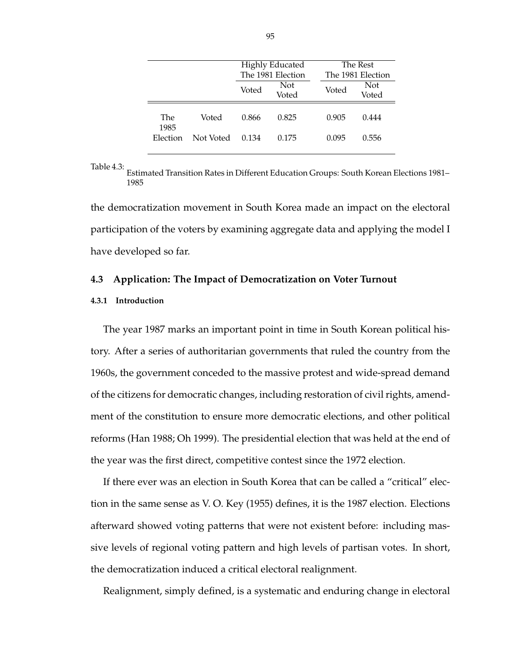|                  |           | <b>Highly Educated</b><br>The 1981 Election |       | The Rest<br>The 1981 Election |       |
|------------------|-----------|---------------------------------------------|-------|-------------------------------|-------|
|                  |           |                                             |       |                               |       |
|                  |           | Voted                                       | Not   | Voted                         | Not   |
|                  |           |                                             | Voted |                               | Voted |
|                  |           |                                             |       |                               |       |
| <b>The</b>       | Voted     | 0.866                                       | 0.825 | 0.905                         | 0.444 |
| 1985<br>Election | Not Voted | 0.134                                       | 0.175 | 0.095                         | 0.556 |
|                  |           |                                             |       |                               |       |

Table 4.3:

Estimated Transition Rates in Different Education Groups: South Korean Elections 1981– 1985

the democratization movement in South Korea made an impact on the electoral participation of the voters by examining aggregate data and applying the model I have developed so far.

# **4.3 Application: The Impact of Democratization on Voter Turnout**

### **4.3.1 Introduction**

The year 1987 marks an important point in time in South Korean political history. After a series of authoritarian governments that ruled the country from the 1960s, the government conceded to the massive protest and wide-spread demand of the citizens for democratic changes, including restoration of civil rights, amendment of the constitution to ensure more democratic elections, and other political reforms (Han 1988; Oh 1999). The presidential election that was held at the end of the year was the first direct, competitive contest since the 1972 election.

If there ever was an election in South Korea that can be called a "critical" election in the same sense as V. O. Key (1955) defines, it is the 1987 election. Elections afterward showed voting patterns that were not existent before: including massive levels of regional voting pattern and high levels of partisan votes. In short, the democratization induced a critical electoral realignment.

Realignment, simply defined, is a systematic and enduring change in electoral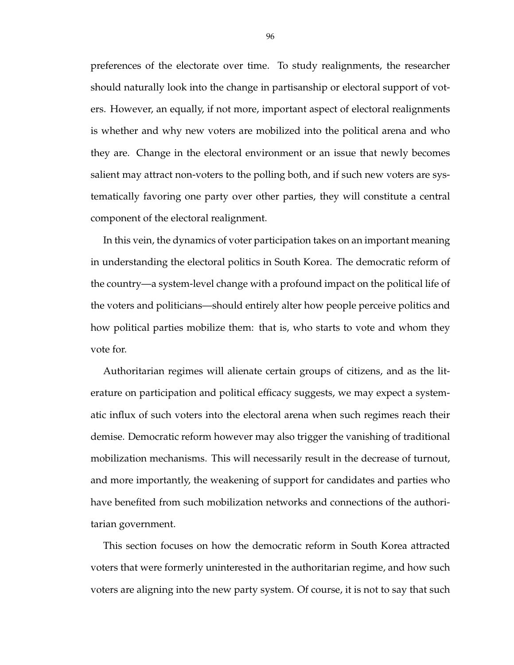preferences of the electorate over time. To study realignments, the researcher should naturally look into the change in partisanship or electoral support of voters. However, an equally, if not more, important aspect of electoral realignments is whether and why new voters are mobilized into the political arena and who they are. Change in the electoral environment or an issue that newly becomes salient may attract non-voters to the polling both, and if such new voters are systematically favoring one party over other parties, they will constitute a central component of the electoral realignment.

In this vein, the dynamics of voter participation takes on an important meaning in understanding the electoral politics in South Korea. The democratic reform of the country—a system-level change with a profound impact on the political life of the voters and politicians—should entirely alter how people perceive politics and how political parties mobilize them: that is, who starts to vote and whom they vote for.

Authoritarian regimes will alienate certain groups of citizens, and as the literature on participation and political efficacy suggests, we may expect a systematic influx of such voters into the electoral arena when such regimes reach their demise. Democratic reform however may also trigger the vanishing of traditional mobilization mechanisms. This will necessarily result in the decrease of turnout, and more importantly, the weakening of support for candidates and parties who have benefited from such mobilization networks and connections of the authoritarian government.

This section focuses on how the democratic reform in South Korea attracted voters that were formerly uninterested in the authoritarian regime, and how such voters are aligning into the new party system. Of course, it is not to say that such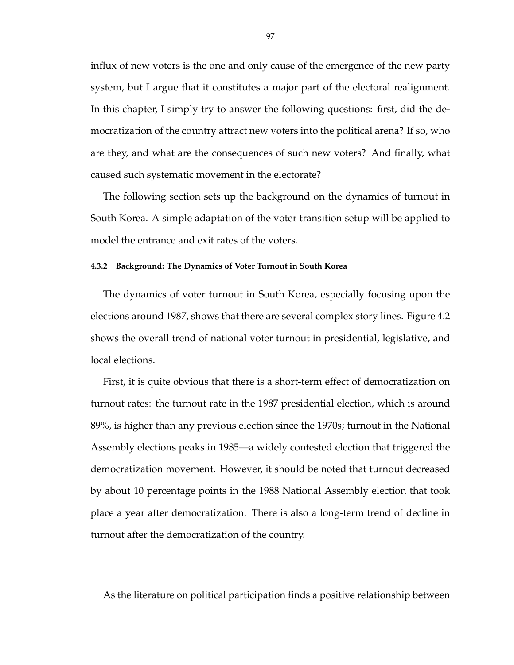influx of new voters is the one and only cause of the emergence of the new party system, but I argue that it constitutes a major part of the electoral realignment. In this chapter, I simply try to answer the following questions: first, did the democratization of the country attract new voters into the political arena? If so, who are they, and what are the consequences of such new voters? And finally, what caused such systematic movement in the electorate?

The following section sets up the background on the dynamics of turnout in South Korea. A simple adaptation of the voter transition setup will be applied to model the entrance and exit rates of the voters.

#### **4.3.2 Background: The Dynamics of Voter Turnout in South Korea**

The dynamics of voter turnout in South Korea, especially focusing upon the elections around 1987, shows that there are several complex story lines. Figure 4.2 shows the overall trend of national voter turnout in presidential, legislative, and local elections.

First, it is quite obvious that there is a short-term effect of democratization on turnout rates: the turnout rate in the 1987 presidential election, which is around 89%, is higher than any previous election since the 1970s; turnout in the National Assembly elections peaks in 1985—a widely contested election that triggered the democratization movement. However, it should be noted that turnout decreased by about 10 percentage points in the 1988 National Assembly election that took place a year after democratization. There is also a long-term trend of decline in turnout after the democratization of the country.

As the literature on political participation finds a positive relationship between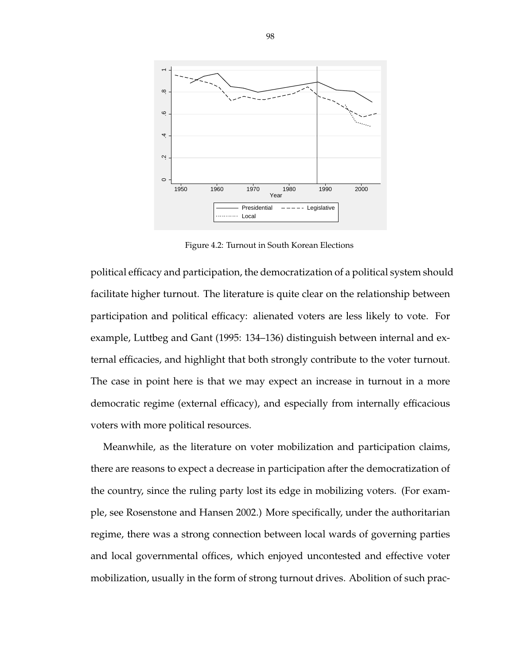

Figure 4.2: Turnout in South Korean Elections

political efficacy and participation, the democratization of a political system should facilitate higher turnout. The literature is quite clear on the relationship between participation and political efficacy: alienated voters are less likely to vote. For example, Luttbeg and Gant (1995: 134–136) distinguish between internal and external efficacies, and highlight that both strongly contribute to the voter turnout. The case in point here is that we may expect an increase in turnout in a more democratic regime (external efficacy), and especially from internally efficacious voters with more political resources.

Meanwhile, as the literature on voter mobilization and participation claims, there are reasons to expect a decrease in participation after the democratization of the country, since the ruling party lost its edge in mobilizing voters. (For example, see Rosenstone and Hansen 2002.) More specifically, under the authoritarian regime, there was a strong connection between local wards of governing parties and local governmental offices, which enjoyed uncontested and effective voter mobilization, usually in the form of strong turnout drives. Abolition of such prac-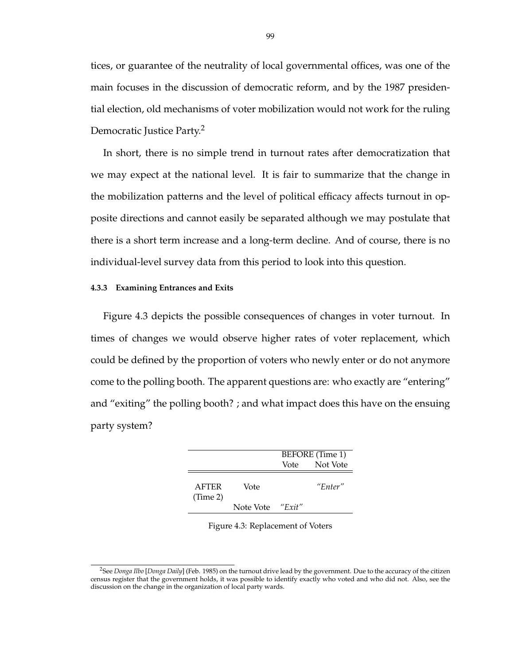tices, or guarantee of the neutrality of local governmental offices, was one of the main focuses in the discussion of democratic reform, and by the 1987 presidential election, old mechanisms of voter mobilization would not work for the ruling Democratic Justice Party.<sup>2</sup>

In short, there is no simple trend in turnout rates after democratization that we may expect at the national level. It is fair to summarize that the change in the mobilization patterns and the level of political efficacy affects turnout in opposite directions and cannot easily be separated although we may postulate that there is a short term increase and a long-term decline. And of course, there is no individual-level survey data from this period to look into this question.

#### **4.3.3 Examining Entrances and Exits**

Figure 4.3 depicts the possible consequences of changes in voter turnout. In times of changes we would observe higher rates of voter replacement, which could be defined by the proportion of voters who newly enter or do not anymore come to the polling booth. The apparent questions are: who exactly are "entering" and "exiting" the polling booth? ; and what impact does this have on the ensuing party system?

|           |           | BEFORE (Time 1) |
|-----------|-----------|-----------------|
|           | Vote      | Not Vote        |
| Vote      |           | "Enter"         |
| Note Vote | " $Exit"$ |                 |
|           |           |                 |

Figure 4.3: Replacement of Voters

<sup>2</sup>See *Donga Ilbo* [*Donga Daily*] (Feb. 1985) on the turnout drive lead by the government. Due to the accuracy of the citizen census register that the government holds, it was possible to identify exactly who voted and who did not. Also, see the discussion on the change in the organization of local party wards.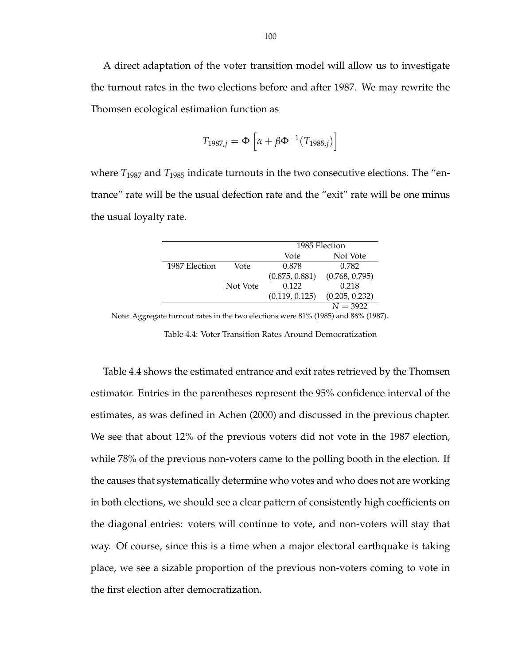A direct adaptation of the voter transition model will allow us to investigate the turnout rates in the two elections before and after 1987. We may rewrite the Thomsen ecological estimation function as

$$
T_{1987,j} = \Phi \left[ \alpha + \beta \Phi^{-1} (T_{1985,j}) \right]
$$

where *T*<sup>1987</sup> and *T*<sup>1985</sup> indicate turnouts in the two consecutive elections. The "entrance" rate will be the usual defection rate and the "exit" rate will be one minus the usual loyalty rate.

|               |          | 1985 Election  |                |  |
|---------------|----------|----------------|----------------|--|
|               |          | Vote           | Not Vote       |  |
| 1987 Election | Vote     | 0.878          | 0.782          |  |
|               |          | (0.875, 0.881) | (0.768, 0.795) |  |
|               | Not Vote | 0.122          | 0.218          |  |
|               |          | (0.119, 0.125) | (0.205, 0.232) |  |
|               |          |                | $N = 3922$     |  |

Note: Aggregate turnout rates in the two elections were 81% (1985) and 86% (1987).

Table 4.4: Voter Transition Rates Around Democratization

Table 4.4 shows the estimated entrance and exit rates retrieved by the Thomsen estimator. Entries in the parentheses represent the 95% confidence interval of the estimates, as was defined in Achen (2000) and discussed in the previous chapter. We see that about 12% of the previous voters did not vote in the 1987 election, while 78% of the previous non-voters came to the polling booth in the election. If the causes that systematically determine who votes and who does not are working in both elections, we should see a clear pattern of consistently high coefficients on the diagonal entries: voters will continue to vote, and non-voters will stay that way. Of course, since this is a time when a major electoral earthquake is taking place, we see a sizable proportion of the previous non-voters coming to vote in the first election after democratization.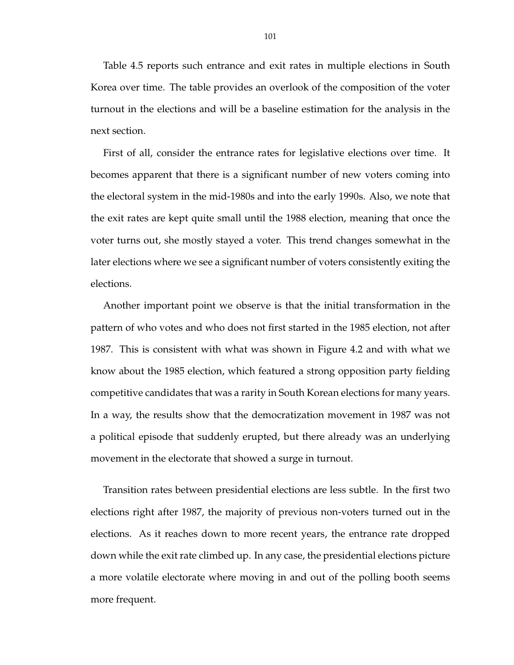Table 4.5 reports such entrance and exit rates in multiple elections in South Korea over time. The table provides an overlook of the composition of the voter turnout in the elections and will be a baseline estimation for the analysis in the next section.

First of all, consider the entrance rates for legislative elections over time. It becomes apparent that there is a significant number of new voters coming into the electoral system in the mid-1980s and into the early 1990s. Also, we note that the exit rates are kept quite small until the 1988 election, meaning that once the voter turns out, she mostly stayed a voter. This trend changes somewhat in the later elections where we see a significant number of voters consistently exiting the elections.

Another important point we observe is that the initial transformation in the pattern of who votes and who does not first started in the 1985 election, not after 1987. This is consistent with what was shown in Figure 4.2 and with what we know about the 1985 election, which featured a strong opposition party fielding competitive candidates that was a rarity in South Korean elections for many years. In a way, the results show that the democratization movement in 1987 was not a political episode that suddenly erupted, but there already was an underlying movement in the electorate that showed a surge in turnout.

Transition rates between presidential elections are less subtle. In the first two elections right after 1987, the majority of previous non-voters turned out in the elections. As it reaches down to more recent years, the entrance rate dropped down while the exit rate climbed up. In any case, the presidential elections picture a more volatile electorate where moving in and out of the polling booth seems more frequent.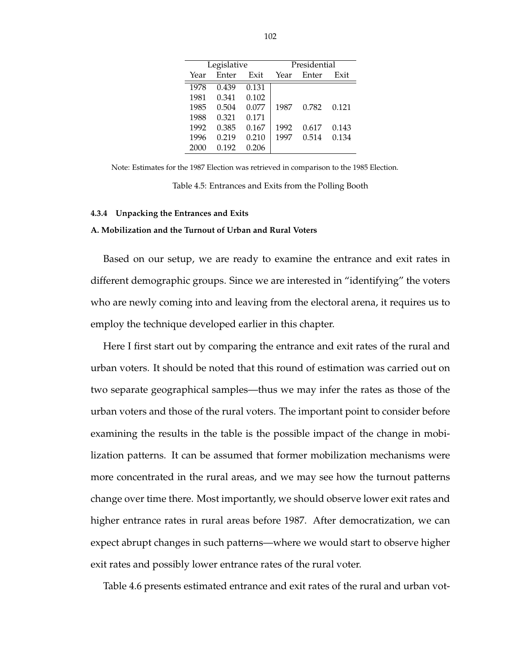|      | Legislative |       | Presidential |       |       |  |
|------|-------------|-------|--------------|-------|-------|--|
| Year | Enter       | Exit  | Year         | Enter | Exit  |  |
| 1978 | 0.439       | 0.131 |              |       |       |  |
| 1981 | 0.341       | 0.102 |              |       |       |  |
| 1985 | 0.504       | 0.077 | 1987         | 0.782 | 0.121 |  |
| 1988 | 0.321       | 0.171 |              |       |       |  |
| 1992 | 0.385       | 0.167 | 1992         | 0.617 | 0.143 |  |
| 1996 | 0.219       | 0.210 | 1997         | 0.514 | 0.134 |  |
| 2000 | 0.192       | 0.206 |              |       |       |  |

Note: Estimates for the 1987 Election was retrieved in comparison to the 1985 Election. Table 4.5: Entrances and Exits from the Polling Booth

**4.3.4 Unpacking the Entrances and Exits**

## **A. Mobilization and the Turnout of Urban and Rural Voters**

Based on our setup, we are ready to examine the entrance and exit rates in different demographic groups. Since we are interested in "identifying" the voters who are newly coming into and leaving from the electoral arena, it requires us to employ the technique developed earlier in this chapter.

Here I first start out by comparing the entrance and exit rates of the rural and urban voters. It should be noted that this round of estimation was carried out on two separate geographical samples—thus we may infer the rates as those of the urban voters and those of the rural voters. The important point to consider before examining the results in the table is the possible impact of the change in mobilization patterns. It can be assumed that former mobilization mechanisms were more concentrated in the rural areas, and we may see how the turnout patterns change over time there. Most importantly, we should observe lower exit rates and higher entrance rates in rural areas before 1987. After democratization, we can expect abrupt changes in such patterns—where we would start to observe higher exit rates and possibly lower entrance rates of the rural voter.

Table 4.6 presents estimated entrance and exit rates of the rural and urban vot-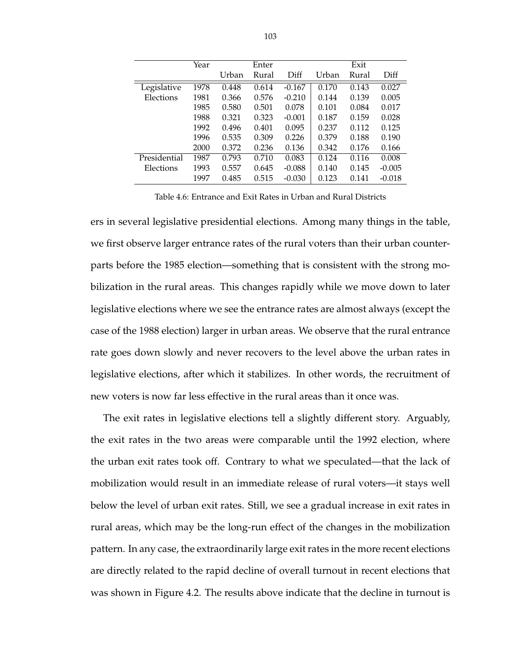|              | Year | Enter |       |          |       |       |          |
|--------------|------|-------|-------|----------|-------|-------|----------|
|              |      | Urban | Rural | Diff     | Urban | Rural | Diff     |
| Legislative  | 1978 | 0.448 | 0.614 | $-0.167$ | 0.170 | 0.143 | 0.027    |
| Elections    | 1981 | 0.366 | 0.576 | $-0.210$ | 0.144 | 0.139 | 0.005    |
|              | 1985 | 0.580 | 0.501 | 0.078    | 0.101 | 0.084 | 0.017    |
|              | 1988 | 0.321 | 0.323 | $-0.001$ | 0.187 | 0.159 | 0.028    |
|              | 1992 | 0.496 | 0.401 | 0.095    | 0.237 | 0.112 | 0.125    |
|              | 1996 | 0.535 | 0.309 | 0.226    | 0.379 | 0.188 | 0.190    |
|              | 2000 | 0.372 | 0.236 | 0.136    | 0.342 | 0.176 | 0.166    |
| Presidential | 1987 | 0.793 | 0.710 | 0.083    | 0.124 | 0.116 | 0.008    |
| Elections    | 1993 | 0.557 | 0.645 | $-0.088$ | 0.140 | 0.145 | $-0.005$ |
|              | 1997 | 0.485 | 0.515 | $-0.030$ | 0.123 | 0.141 | $-0.018$ |

Table 4.6: Entrance and Exit Rates in Urban and Rural Districts

ers in several legislative presidential elections. Among many things in the table, we first observe larger entrance rates of the rural voters than their urban counterparts before the 1985 election—something that is consistent with the strong mobilization in the rural areas. This changes rapidly while we move down to later legislative elections where we see the entrance rates are almost always (except the case of the 1988 election) larger in urban areas. We observe that the rural entrance rate goes down slowly and never recovers to the level above the urban rates in legislative elections, after which it stabilizes. In other words, the recruitment of new voters is now far less effective in the rural areas than it once was.

The exit rates in legislative elections tell a slightly different story. Arguably, the exit rates in the two areas were comparable until the 1992 election, where the urban exit rates took off. Contrary to what we speculated—that the lack of mobilization would result in an immediate release of rural voters—it stays well below the level of urban exit rates. Still, we see a gradual increase in exit rates in rural areas, which may be the long-run effect of the changes in the mobilization pattern. In any case, the extraordinarily large exit rates in the more recent elections are directly related to the rapid decline of overall turnout in recent elections that was shown in Figure 4.2. The results above indicate that the decline in turnout is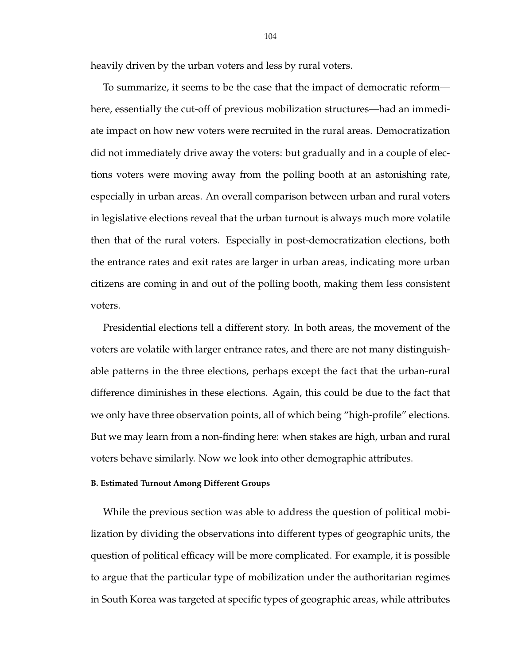heavily driven by the urban voters and less by rural voters.

To summarize, it seems to be the case that the impact of democratic reform here, essentially the cut-off of previous mobilization structures—had an immediate impact on how new voters were recruited in the rural areas. Democratization did not immediately drive away the voters: but gradually and in a couple of elections voters were moving away from the polling booth at an astonishing rate, especially in urban areas. An overall comparison between urban and rural voters in legislative elections reveal that the urban turnout is always much more volatile then that of the rural voters. Especially in post-democratization elections, both the entrance rates and exit rates are larger in urban areas, indicating more urban citizens are coming in and out of the polling booth, making them less consistent voters.

Presidential elections tell a different story. In both areas, the movement of the voters are volatile with larger entrance rates, and there are not many distinguishable patterns in the three elections, perhaps except the fact that the urban-rural difference diminishes in these elections. Again, this could be due to the fact that we only have three observation points, all of which being "high-profile" elections. But we may learn from a non-finding here: when stakes are high, urban and rural voters behave similarly. Now we look into other demographic attributes.

#### **B. Estimated Turnout Among Different Groups**

While the previous section was able to address the question of political mobilization by dividing the observations into different types of geographic units, the question of political efficacy will be more complicated. For example, it is possible to argue that the particular type of mobilization under the authoritarian regimes in South Korea was targeted at specific types of geographic areas, while attributes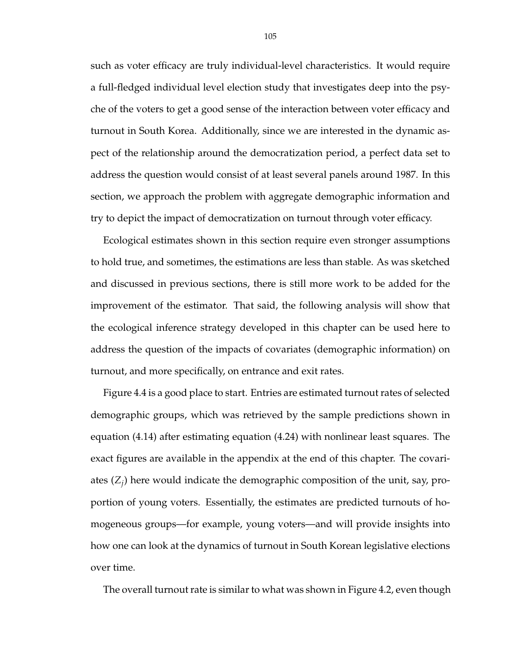such as voter efficacy are truly individual-level characteristics. It would require a full-fledged individual level election study that investigates deep into the psyche of the voters to get a good sense of the interaction between voter efficacy and turnout in South Korea. Additionally, since we are interested in the dynamic aspect of the relationship around the democratization period, a perfect data set to address the question would consist of at least several panels around 1987. In this section, we approach the problem with aggregate demographic information and try to depict the impact of democratization on turnout through voter efficacy.

Ecological estimates shown in this section require even stronger assumptions to hold true, and sometimes, the estimations are less than stable. As was sketched and discussed in previous sections, there is still more work to be added for the improvement of the estimator. That said, the following analysis will show that the ecological inference strategy developed in this chapter can be used here to address the question of the impacts of covariates (demographic information) on turnout, and more specifically, on entrance and exit rates.

Figure 4.4 is a good place to start. Entries are estimated turnout rates of selected demographic groups, which was retrieved by the sample predictions shown in equation (4.14) after estimating equation (4.24) with nonlinear least squares. The exact figures are available in the appendix at the end of this chapter. The covariates (*Z<sup>j</sup>* ) here would indicate the demographic composition of the unit, say, proportion of young voters. Essentially, the estimates are predicted turnouts of homogeneous groups—for example, young voters—and will provide insights into how one can look at the dynamics of turnout in South Korean legislative elections over time.

The overall turnout rate is similar to what was shown in Figure 4.2, even though

105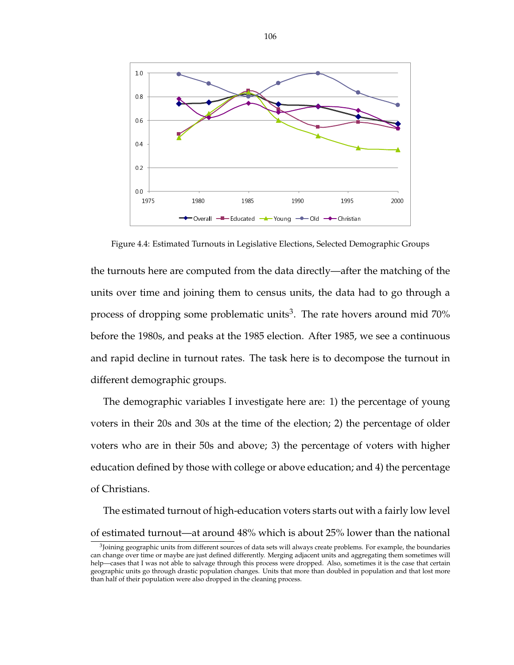

Figure 4.4: Estimated Turnouts in Legislative Elections, Selected Demographic Groups

the turnouts here are computed from the data directly—after the matching of the units over time and joining them to census units, the data had to go through a process of dropping some problematic units<sup>3</sup>. The rate hovers around mid 70% before the 1980s, and peaks at the 1985 election. After 1985, we see a continuous and rapid decline in turnout rates. The task here is to decompose the turnout in different demographic groups.

The demographic variables I investigate here are: 1) the percentage of young voters in their 20s and 30s at the time of the election; 2) the percentage of older voters who are in their 50s and above; 3) the percentage of voters with higher education defined by those with college or above education; and 4) the percentage of Christians.

The estimated turnout of high-education voters starts out with a fairly low level of estimated turnout—at around 48% which is about 25% lower than the national

<sup>&</sup>lt;sup>3</sup>Joining geographic units from different sources of data sets will always create problems. For example, the boundaries can change over time or maybe are just defined differently. Merging adjacent units and aggregating them sometimes will help—cases that I was not able to salvage through this process were dropped. Also, sometimes it is the case that certain geographic units go through drastic population changes. Units that more than doubled in population and that lost more than half of their population were also dropped in the cleaning process.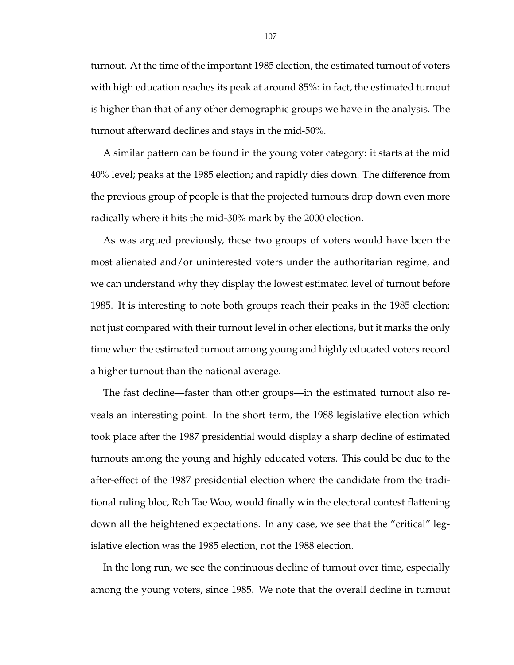turnout. At the time of the important 1985 election, the estimated turnout of voters with high education reaches its peak at around 85%: in fact, the estimated turnout is higher than that of any other demographic groups we have in the analysis. The turnout afterward declines and stays in the mid-50%.

A similar pattern can be found in the young voter category: it starts at the mid 40% level; peaks at the 1985 election; and rapidly dies down. The difference from the previous group of people is that the projected turnouts drop down even more radically where it hits the mid-30% mark by the 2000 election.

As was argued previously, these two groups of voters would have been the most alienated and/or uninterested voters under the authoritarian regime, and we can understand why they display the lowest estimated level of turnout before 1985. It is interesting to note both groups reach their peaks in the 1985 election: not just compared with their turnout level in other elections, but it marks the only time when the estimated turnout among young and highly educated voters record a higher turnout than the national average.

The fast decline—faster than other groups—in the estimated turnout also reveals an interesting point. In the short term, the 1988 legislative election which took place after the 1987 presidential would display a sharp decline of estimated turnouts among the young and highly educated voters. This could be due to the after-effect of the 1987 presidential election where the candidate from the traditional ruling bloc, Roh Tae Woo, would finally win the electoral contest flattening down all the heightened expectations. In any case, we see that the "critical" legislative election was the 1985 election, not the 1988 election.

In the long run, we see the continuous decline of turnout over time, especially among the young voters, since 1985. We note that the overall decline in turnout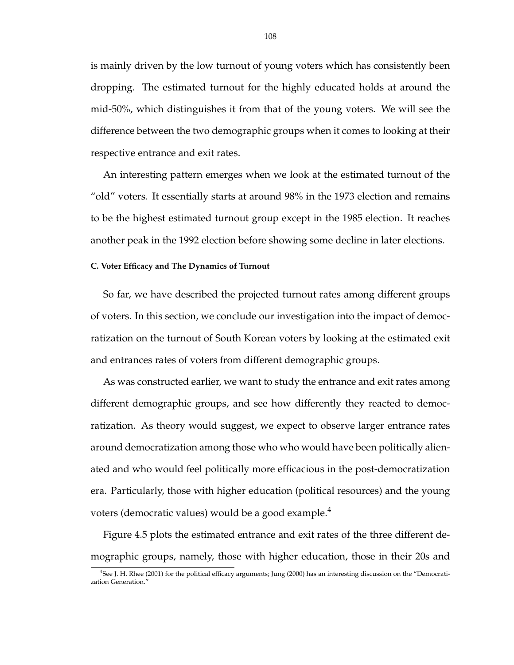is mainly driven by the low turnout of young voters which has consistently been dropping. The estimated turnout for the highly educated holds at around the mid-50%, which distinguishes it from that of the young voters. We will see the difference between the two demographic groups when it comes to looking at their respective entrance and exit rates.

An interesting pattern emerges when we look at the estimated turnout of the "old" voters. It essentially starts at around 98% in the 1973 election and remains to be the highest estimated turnout group except in the 1985 election. It reaches another peak in the 1992 election before showing some decline in later elections.

### **C. Voter Efficacy and The Dynamics of Turnout**

So far, we have described the projected turnout rates among different groups of voters. In this section, we conclude our investigation into the impact of democratization on the turnout of South Korean voters by looking at the estimated exit and entrances rates of voters from different demographic groups.

As was constructed earlier, we want to study the entrance and exit rates among different demographic groups, and see how differently they reacted to democratization. As theory would suggest, we expect to observe larger entrance rates around democratization among those who who would have been politically alienated and who would feel politically more efficacious in the post-democratization era. Particularly, those with higher education (political resources) and the young voters (democratic values) would be a good example. $4$ 

Figure 4.5 plots the estimated entrance and exit rates of the three different demographic groups, namely, those with higher education, those in their 20s and

<sup>4</sup>See J. H. Rhee (2001) for the political efficacy arguments; Jung (2000) has an interesting discussion on the "Democratization Generation.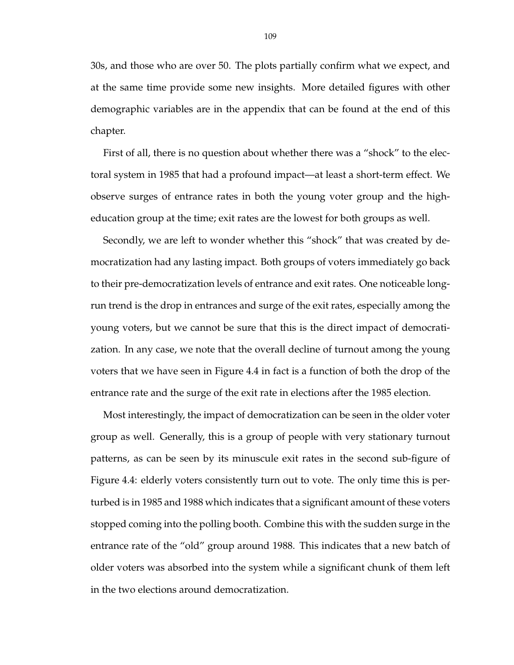30s, and those who are over 50. The plots partially confirm what we expect, and at the same time provide some new insights. More detailed figures with other demographic variables are in the appendix that can be found at the end of this chapter.

First of all, there is no question about whether there was a "shock" to the electoral system in 1985 that had a profound impact—at least a short-term effect. We observe surges of entrance rates in both the young voter group and the higheducation group at the time; exit rates are the lowest for both groups as well.

Secondly, we are left to wonder whether this "shock" that was created by democratization had any lasting impact. Both groups of voters immediately go back to their pre-democratization levels of entrance and exit rates. One noticeable longrun trend is the drop in entrances and surge of the exit rates, especially among the young voters, but we cannot be sure that this is the direct impact of democratization. In any case, we note that the overall decline of turnout among the young voters that we have seen in Figure 4.4 in fact is a function of both the drop of the entrance rate and the surge of the exit rate in elections after the 1985 election.

Most interestingly, the impact of democratization can be seen in the older voter group as well. Generally, this is a group of people with very stationary turnout patterns, as can be seen by its minuscule exit rates in the second sub-figure of Figure 4.4: elderly voters consistently turn out to vote. The only time this is perturbed is in 1985 and 1988 which indicates that a significant amount of these voters stopped coming into the polling booth. Combine this with the sudden surge in the entrance rate of the "old" group around 1988. This indicates that a new batch of older voters was absorbed into the system while a significant chunk of them left in the two elections around democratization.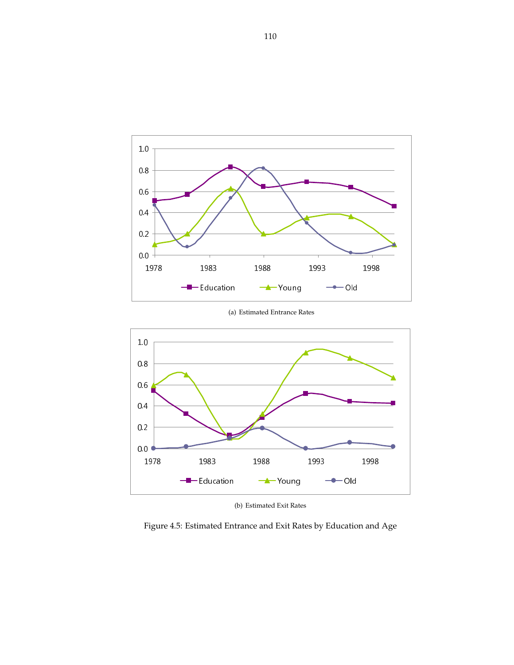

(a) Estimated Entrance Rates



(b) Estimated Exit Rates

Figure 4.5: Estimated Entrance and Exit Rates by Education and Age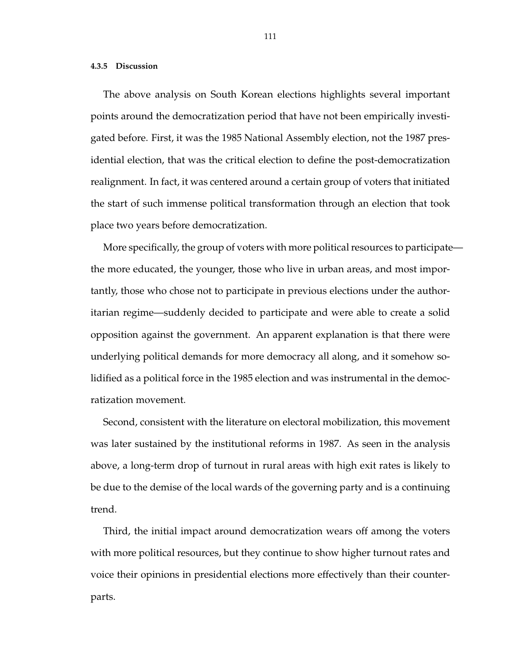#### **4.3.5 Discussion**

The above analysis on South Korean elections highlights several important points around the democratization period that have not been empirically investigated before. First, it was the 1985 National Assembly election, not the 1987 presidential election, that was the critical election to define the post-democratization realignment. In fact, it was centered around a certain group of voters that initiated the start of such immense political transformation through an election that took place two years before democratization.

More specifically, the group of voters with more political resources to participate the more educated, the younger, those who live in urban areas, and most importantly, those who chose not to participate in previous elections under the authoritarian regime—suddenly decided to participate and were able to create a solid opposition against the government. An apparent explanation is that there were underlying political demands for more democracy all along, and it somehow solidified as a political force in the 1985 election and was instrumental in the democratization movement.

Second, consistent with the literature on electoral mobilization, this movement was later sustained by the institutional reforms in 1987. As seen in the analysis above, a long-term drop of turnout in rural areas with high exit rates is likely to be due to the demise of the local wards of the governing party and is a continuing trend.

Third, the initial impact around democratization wears off among the voters with more political resources, but they continue to show higher turnout rates and voice their opinions in presidential elections more effectively than their counterparts.

111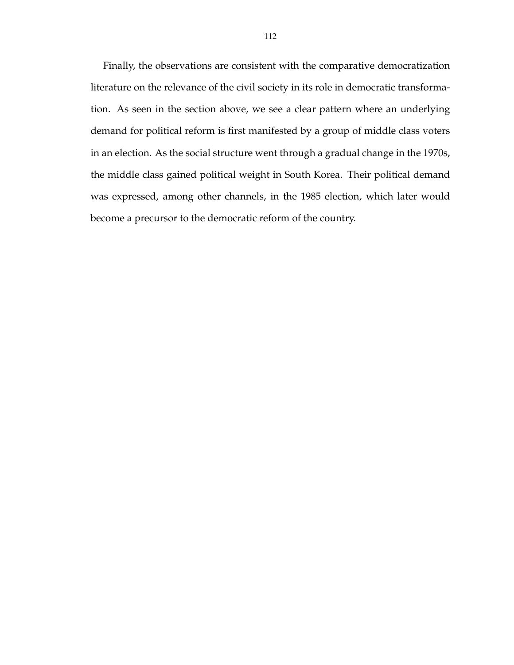Finally, the observations are consistent with the comparative democratization literature on the relevance of the civil society in its role in democratic transformation. As seen in the section above, we see a clear pattern where an underlying demand for political reform is first manifested by a group of middle class voters in an election. As the social structure went through a gradual change in the 1970s, the middle class gained political weight in South Korea. Their political demand was expressed, among other channels, in the 1985 election, which later would become a precursor to the democratic reform of the country.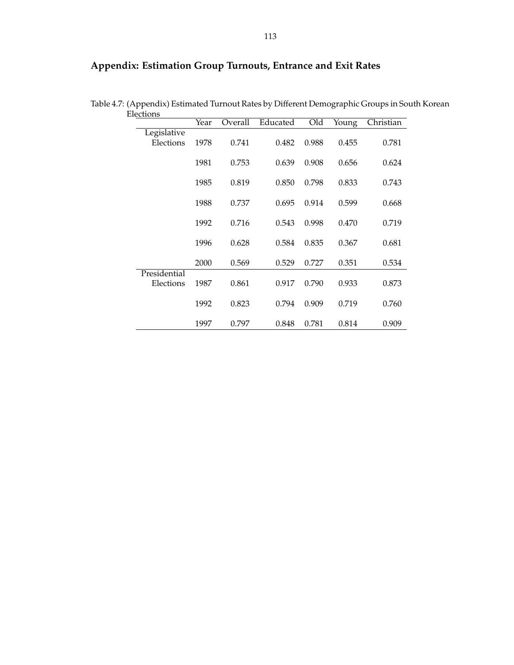# **Appendix: Estimation Group Turnouts, Entrance and Exit Rates**

| recuoris     |      |         |          |       |       |           |
|--------------|------|---------|----------|-------|-------|-----------|
|              | Year | Overall | Educated | Old   | Young | Christian |
| Legislative  |      |         |          |       |       |           |
| Elections    | 1978 | 0.741   | 0.482    | 0.988 | 0.455 | 0.781     |
|              |      |         |          |       |       |           |
|              |      |         |          |       |       |           |
|              | 1981 | 0.753   | 0.639    | 0.908 | 0.656 | 0.624     |
|              |      |         |          |       |       |           |
|              | 1985 | 0.819   | 0.850    | 0.798 | 0.833 | 0.743     |
|              |      |         |          |       |       |           |
|              | 1988 | 0.737   | 0.695    | 0.914 | 0.599 | 0.668     |
|              |      |         |          |       |       |           |
|              |      |         |          |       |       |           |
|              | 1992 | 0.716   | 0.543    | 0.998 | 0.470 | 0.719     |
|              |      |         |          |       |       |           |
|              | 1996 | 0.628   | 0.584    | 0.835 | 0.367 | 0.681     |
|              |      |         |          |       |       |           |
|              | 2000 | 0.569   | 0.529    | 0.727 | 0.351 | 0.534     |
|              |      |         |          |       |       |           |
| Presidential |      |         |          |       |       |           |
| Elections    | 1987 | 0.861   | 0.917    | 0.790 | 0.933 | 0.873     |
|              |      |         |          |       |       |           |
|              | 1992 | 0.823   | 0.794    | 0.909 | 0.719 | 0.760     |
|              |      |         |          |       |       |           |
|              |      |         |          |       |       |           |
|              | 1997 | 0.797   | 0.848    | 0.781 | 0.814 | 0.909     |

Table 4.7: (Appendix) Estimated Turnout Rates by Different Demographic Groups in South Korean **Elections**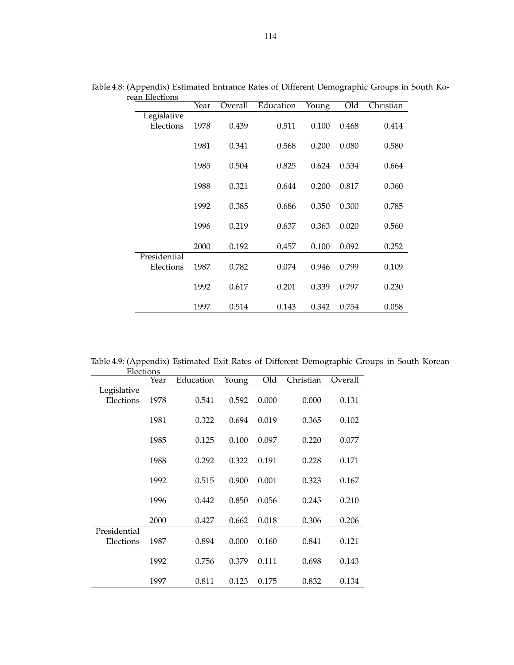| $\epsilon$ and Litra and the set of $\epsilon$ | Year | Overall | Education | Young | Old   | Christian |
|------------------------------------------------|------|---------|-----------|-------|-------|-----------|
| Legislative                                    |      |         |           |       |       |           |
| Elections                                      | 1978 | 0.439   | 0.511     | 0.100 | 0.468 | 0.414     |
|                                                |      |         |           |       |       |           |
|                                                | 1981 | 0.341   | 0.568     | 0.200 | 0.080 | 0.580     |
|                                                |      |         |           |       |       |           |
|                                                | 1985 | 0.504   | 0.825     | 0.624 | 0.534 | 0.664     |
|                                                |      |         |           |       |       |           |
|                                                | 1988 | 0.321   | 0.644     | 0.200 | 0.817 | 0.360     |
|                                                |      | 0.385   |           | 0.350 | 0.300 | 0.785     |
|                                                | 1992 |         | 0.686     |       |       |           |
|                                                | 1996 | 0.219   | 0.637     | 0.363 | 0.020 | 0.560     |
|                                                |      |         |           |       |       |           |
|                                                | 2000 | 0.192   | 0.457     | 0.100 | 0.092 | 0.252     |
| Presidential                                   |      |         |           |       |       |           |
| Elections                                      | 1987 | 0.782   | 0.074     | 0.946 | 0.799 | 0.109     |
|                                                |      |         |           |       |       |           |
|                                                | 1992 | 0.617   | 0.201     | 0.339 | 0.797 | 0.230     |
|                                                |      |         |           |       |       |           |
|                                                | 1997 | 0.514   | 0.143     | 0.342 | 0.754 | 0.058     |

Table 4.8: (Appendix) Estimated Entrance Rates of Different Demographic Groups in South Korean Elections

Table 4.9: (Appendix) Estimated Exit Rates of Different Demographic Groups in South Korean Elections  $\overline{\phantom{a}}$ 

|                           | Year | Education | Young | Old   | Christian | Overall |
|---------------------------|------|-----------|-------|-------|-----------|---------|
| Legislative<br>Elections  | 1978 | 0.541     | 0.592 | 0.000 | 0.000     | 0.131   |
|                           | 1981 | 0.322     | 0.694 | 0.019 | 0.365     | 0.102   |
|                           | 1985 | 0.125     | 0.100 | 0.097 | 0.220     | 0.077   |
|                           | 1988 | 0.292     | 0.322 | 0.191 | 0.228     | 0.171   |
|                           | 1992 | 0.515     | 0.900 | 0.001 | 0.323     | 0.167   |
|                           | 1996 | 0.442     | 0.850 | 0.056 | 0.245     | 0.210   |
|                           | 2000 | 0.427     | 0.662 | 0.018 | 0.306     | 0.206   |
| Presidential<br>Elections | 1987 | 0.894     | 0.000 | 0.160 | 0.841     | 0.121   |
|                           | 1992 | 0.756     | 0.379 | 0.111 | 0.698     | 0.143   |
|                           | 1997 | 0.811     | 0.123 | 0.175 | 0.832     | 0.134   |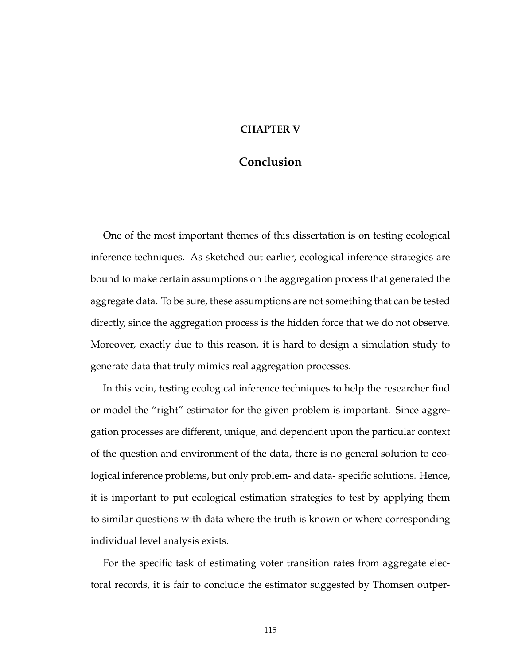## **CHAPTER V**

# **Conclusion**

One of the most important themes of this dissertation is on testing ecological inference techniques. As sketched out earlier, ecological inference strategies are bound to make certain assumptions on the aggregation process that generated the aggregate data. To be sure, these assumptions are not something that can be tested directly, since the aggregation process is the hidden force that we do not observe. Moreover, exactly due to this reason, it is hard to design a simulation study to generate data that truly mimics real aggregation processes.

In this vein, testing ecological inference techniques to help the researcher find or model the "right" estimator for the given problem is important. Since aggregation processes are different, unique, and dependent upon the particular context of the question and environment of the data, there is no general solution to ecological inference problems, but only problem- and data- specific solutions. Hence, it is important to put ecological estimation strategies to test by applying them to similar questions with data where the truth is known or where corresponding individual level analysis exists.

For the specific task of estimating voter transition rates from aggregate electoral records, it is fair to conclude the estimator suggested by Thomsen outper-

115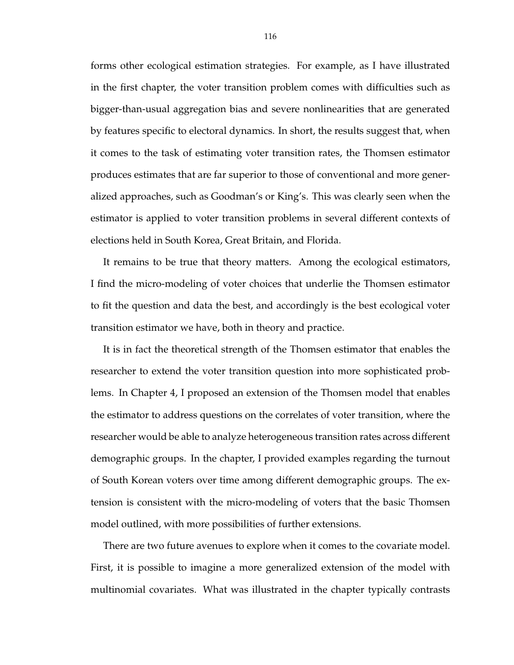forms other ecological estimation strategies. For example, as I have illustrated in the first chapter, the voter transition problem comes with difficulties such as bigger-than-usual aggregation bias and severe nonlinearities that are generated by features specific to electoral dynamics. In short, the results suggest that, when it comes to the task of estimating voter transition rates, the Thomsen estimator produces estimates that are far superior to those of conventional and more generalized approaches, such as Goodman's or King's. This was clearly seen when the estimator is applied to voter transition problems in several different contexts of elections held in South Korea, Great Britain, and Florida.

It remains to be true that theory matters. Among the ecological estimators, I find the micro-modeling of voter choices that underlie the Thomsen estimator to fit the question and data the best, and accordingly is the best ecological voter transition estimator we have, both in theory and practice.

It is in fact the theoretical strength of the Thomsen estimator that enables the researcher to extend the voter transition question into more sophisticated problems. In Chapter 4, I proposed an extension of the Thomsen model that enables the estimator to address questions on the correlates of voter transition, where the researcher would be able to analyze heterogeneous transition rates across different demographic groups. In the chapter, I provided examples regarding the turnout of South Korean voters over time among different demographic groups. The extension is consistent with the micro-modeling of voters that the basic Thomsen model outlined, with more possibilities of further extensions.

There are two future avenues to explore when it comes to the covariate model. First, it is possible to imagine a more generalized extension of the model with multinomial covariates. What was illustrated in the chapter typically contrasts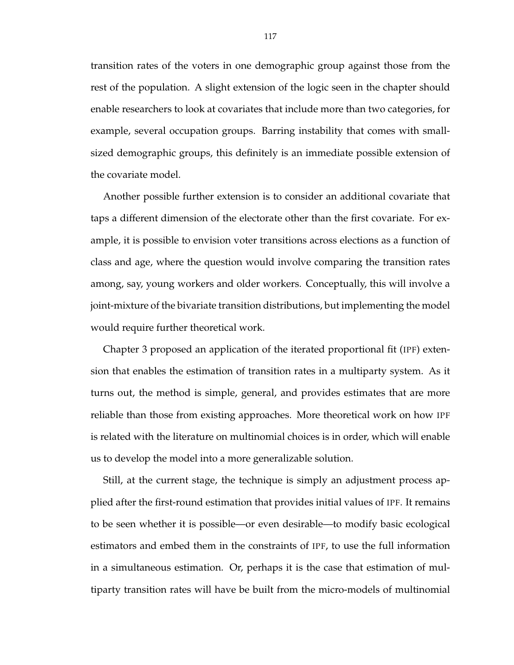transition rates of the voters in one demographic group against those from the rest of the population. A slight extension of the logic seen in the chapter should enable researchers to look at covariates that include more than two categories, for example, several occupation groups. Barring instability that comes with smallsized demographic groups, this definitely is an immediate possible extension of the covariate model.

Another possible further extension is to consider an additional covariate that taps a different dimension of the electorate other than the first covariate. For example, it is possible to envision voter transitions across elections as a function of class and age, where the question would involve comparing the transition rates among, say, young workers and older workers. Conceptually, this will involve a joint-mixture of the bivariate transition distributions, but implementing the model would require further theoretical work.

Chapter 3 proposed an application of the iterated proportional fit (IPF) extension that enables the estimation of transition rates in a multiparty system. As it turns out, the method is simple, general, and provides estimates that are more reliable than those from existing approaches. More theoretical work on how IPF is related with the literature on multinomial choices is in order, which will enable us to develop the model into a more generalizable solution.

Still, at the current stage, the technique is simply an adjustment process applied after the first-round estimation that provides initial values of IPF. It remains to be seen whether it is possible—or even desirable—to modify basic ecological estimators and embed them in the constraints of IPF, to use the full information in a simultaneous estimation. Or, perhaps it is the case that estimation of multiparty transition rates will have be built from the micro-models of multinomial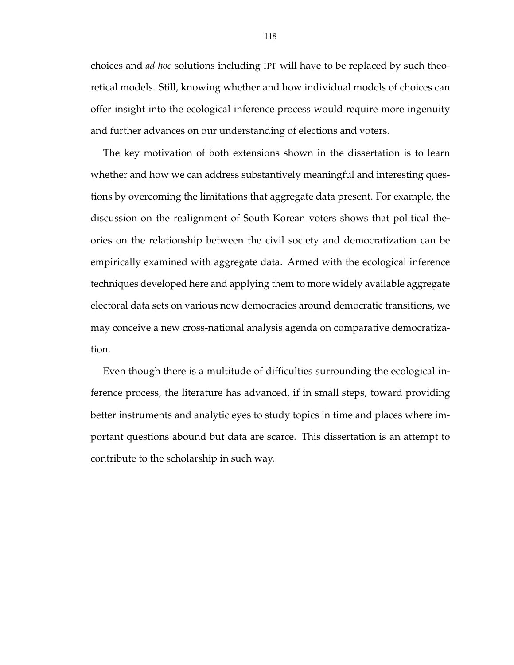choices and *ad hoc* solutions including IPF will have to be replaced by such theoretical models. Still, knowing whether and how individual models of choices can offer insight into the ecological inference process would require more ingenuity and further advances on our understanding of elections and voters.

The key motivation of both extensions shown in the dissertation is to learn whether and how we can address substantively meaningful and interesting questions by overcoming the limitations that aggregate data present. For example, the discussion on the realignment of South Korean voters shows that political theories on the relationship between the civil society and democratization can be empirically examined with aggregate data. Armed with the ecological inference techniques developed here and applying them to more widely available aggregate electoral data sets on various new democracies around democratic transitions, we may conceive a new cross-national analysis agenda on comparative democratization.

Even though there is a multitude of difficulties surrounding the ecological inference process, the literature has advanced, if in small steps, toward providing better instruments and analytic eyes to study topics in time and places where important questions abound but data are scarce. This dissertation is an attempt to contribute to the scholarship in such way.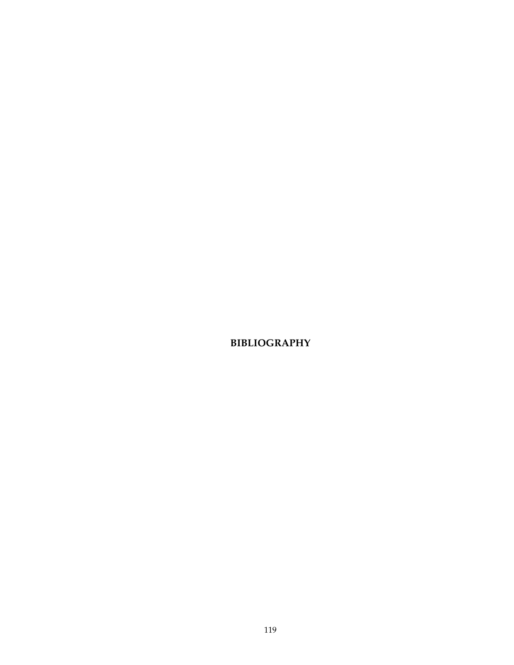**BIBLIOGRAPHY**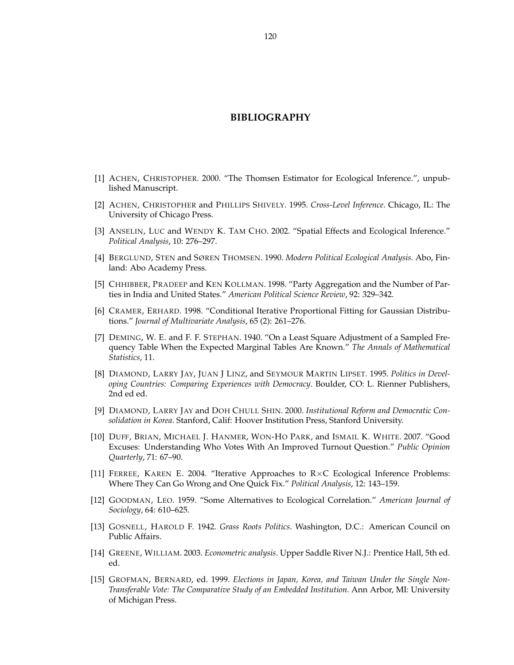## **BIBLIOGRAPHY**

- [1] ACHEN, CHRISTOPHER. 2000. "The Thomsen Estimator for Ecological Inference.", unpublished Manuscript.
- [2] ACHEN, CHRISTOPHER and PHILLIPS SHIVELY. 1995. *Cross-Level Inference*. Chicago, IL: The University of Chicago Press.
- [3] ANSELIN, LUC and WENDY K. TAM CHO. 2002. "Spatial Effects and Ecological Inference." *Political Analysis*, 10: 276–297.
- [4] BERGLUND, STEN and SØREN THOMSEN. 1990. *Modern Political Ecological Analysis.* Abo, Finland: Abo Academy Press.
- [5] CHHIBBER, PRADEEP and KEN KOLLMAN. 1998. "Party Aggregation and the Number of Parties in India and United States." *American Political Science Review*, 92: 329–342.
- [6] CRAMER, ERHARD. 1998. "Conditional Iterative Proportional Fitting for Gaussian Distributions." *Journal of Multivariate Analysis*, 65 (2): 261–276.
- [7] DEMING, W. E. and F. F. STEPHAN. 1940. "On a Least Square Adjustment of a Sampled Frequency Table When the Expected Marginal Tables Are Known." *The Annals of Mathematical Statistics*, 11.
- [8] DIAMOND, LARRY JAY, JUAN J LINZ, and SEYMOUR MARTIN LIPSET. 1995. *Politics in Developing Countries: Comparing Experiences with Democracy*. Boulder, CO: L. Rienner Publishers, 2nd ed ed.
- [9] DIAMOND, LARRY JAY and DOH CHULL SHIN. 2000. *Institutional Reform and Democratic Consolidation in Korea*. Stanford, Calif: Hoover Institution Press, Stanford University.
- [10] DUFF, BRIAN, MICHAEL J. HANMER, WON-HO PARK, and ISMAIL K. WHITE. 2007. "Good Excuses: Understanding Who Votes With An Improved Turnout Question." *Public Opinion Quarterly*, 71: 67–90.
- [11] FERREE, KAREN E. 2004. "Iterative Approaches to  $R \times C$  Ecological Inference Problems: Where They Can Go Wrong and One Quick Fix." *Political Analysis*, 12: 143–159.
- [12] GOODMAN, LEO. 1959. "Some Alternatives to Ecological Correlation." *American Journal of Sociology*, 64: 610–625.
- [13] GOSNELL, HAROLD F. 1942. *Grass Roots Politics*. Washington, D.C.: American Council on Public Affairs.
- [14] GREENE, WILLIAM. 2003. *Econometric analysis*. Upper Saddle River N.J.: Prentice Hall, 5th ed. ed.
- [15] GROFMAN, BERNARD, ed. 1999. *Elections in Japan, Korea, and Taiwan Under the Single Non-Transferable Vote: The Comparative Study of an Embedded Institution*. Ann Arbor, MI: University of Michigan Press.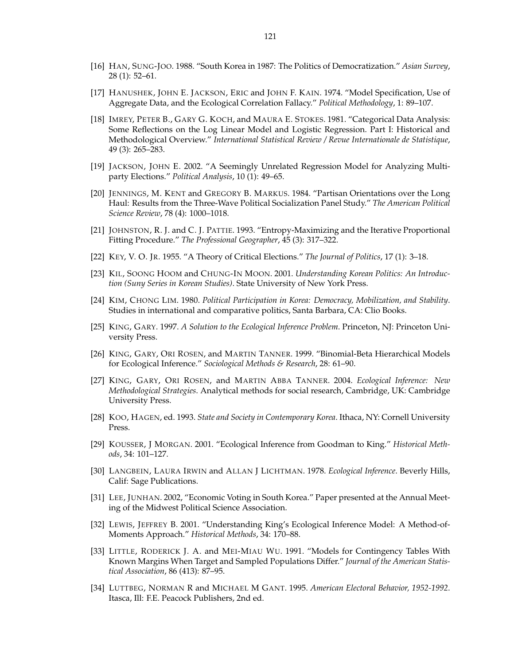- [16] HAN, SUNG-JOO. 1988. "South Korea in 1987: The Politics of Democratization." *Asian Survey*, 28 (1): 52–61.
- [17] HANUSHEK, JOHN E. JACKSON, ERIC and JOHN F. KAIN. 1974. "Model Specification, Use of Aggregate Data, and the Ecological Correlation Fallacy." *Political Methodology*, 1: 89–107.
- [18] IMREY, PETER B., GARY G. KOCH, and MAURA E. STOKES. 1981. "Categorical Data Analysis: Some Reflections on the Log Linear Model and Logistic Regression. Part I: Historical and Methodological Overview." *International Statistical Review / Revue Internationale de Statistique*, 49 (3): 265–283.
- [19] JACKSON, JOHN E. 2002. "A Seemingly Unrelated Regression Model for Analyzing Multiparty Elections." *Political Analysis*, 10 (1): 49–65.
- [20] JENNINGS, M. KENT and GREGORY B. MARKUS. 1984. "Partisan Orientations over the Long Haul: Results from the Three-Wave Political Socialization Panel Study." *The American Political Science Review*, 78 (4): 1000–1018.
- [21] JOHNSTON, R. J. and C. J. PATTIE. 1993. "Entropy-Maximizing and the Iterative Proportional Fitting Procedure." *The Professional Geographer*, 45 (3): 317–322.
- [22] KEY, V. O. JR. 1955. "A Theory of Critical Elections." *The Journal of Politics*, 17 (1): 3–18.
- [23] KIL, SOONG HOOM and CHUNG-IN MOON. 2001. *Understanding Korean Politics: An Introduction (Suny Series in Korean Studies)*. State University of New York Press.
- [24] KIM, CHONG LIM. 1980. *Political Participation in Korea: Democracy, Mobilization, and Stability*. Studies in international and comparative politics, Santa Barbara, CA: Clio Books.
- [25] KING, GARY. 1997. *A Solution to the Ecological Inference Problem*. Princeton, NJ: Princeton University Press.
- [26] KING, GARY, ORI ROSEN, and MARTIN TANNER. 1999. "Binomial-Beta Hierarchical Models for Ecological Inference." *Sociological Methods & Research*, 28: 61–90.
- [27] KING, GARY, ORI ROSEN, and MARTIN ABBA TANNER. 2004. *Ecological Inference: New Methodological Strategies*. Analytical methods for social research, Cambridge, UK: Cambridge University Press.
- [28] KOO, HAGEN, ed. 1993. *State and Society in Contemporary Korea*. Ithaca, NY: Cornell University Press.
- [29] KOUSSER, J MORGAN. 2001. "Ecological Inference from Goodman to King." *Historical Methods*, 34: 101–127.
- [30] LANGBEIN, LAURA IRWIN and ALLAN J LICHTMAN. 1978. *Ecological Inference*. Beverly Hills, Calif: Sage Publications.
- [31] LEE, JUNHAN. 2002, "Economic Voting in South Korea." Paper presented at the Annual Meeting of the Midwest Political Science Association.
- [32] LEWIS, JEFFREY B. 2001. "Understanding King's Ecological Inference Model: A Method-of-Moments Approach." *Historical Methods*, 34: 170–88.
- [33] LITTLE, RODERICK J. A. and MEI-MIAU WU. 1991. "Models for Contingency Tables With Known Margins When Target and Sampled Populations Differ." *Journal of the American Statistical Association*, 86 (413): 87–95.
- [34] LUTTBEG, NORMAN R and MICHAEL M GANT. 1995. *American Electoral Behavior, 1952-1992*. Itasca, Ill: F.E. Peacock Publishers, 2nd ed.